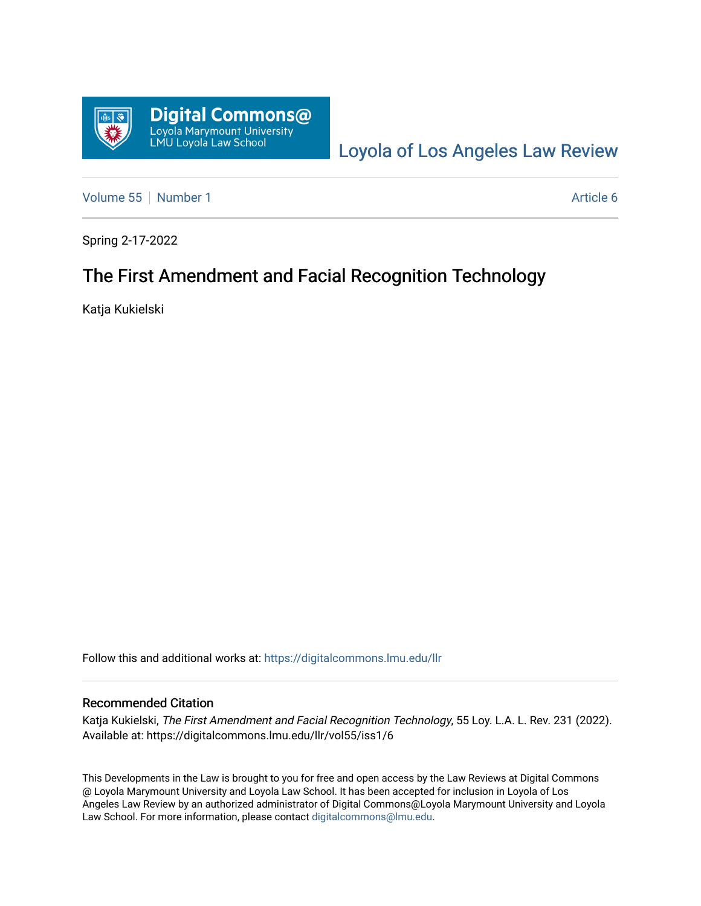

[Loyola of Los Angeles Law Review](https://digitalcommons.lmu.edu/llr) 

[Volume 55](https://digitalcommons.lmu.edu/llr/vol55) [Number 1](https://digitalcommons.lmu.edu/llr/vol55/iss1) Article 6

Spring 2-17-2022

# The First Amendment and Facial Recognition Technology

Katja Kukielski

Follow this and additional works at: [https://digitalcommons.lmu.edu/llr](https://digitalcommons.lmu.edu/llr?utm_source=digitalcommons.lmu.edu%2Fllr%2Fvol55%2Fiss1%2F6&utm_medium=PDF&utm_campaign=PDFCoverPages) 

#### Recommended Citation

Katja Kukielski, The First Amendment and Facial Recognition Technology, 55 Loy. L.A. L. Rev. 231 (2022). Available at: https://digitalcommons.lmu.edu/llr/vol55/iss1/6

This Developments in the Law is brought to you for free and open access by the Law Reviews at Digital Commons @ Loyola Marymount University and Loyola Law School. It has been accepted for inclusion in Loyola of Los Angeles Law Review by an authorized administrator of Digital Commons@Loyola Marymount University and Loyola Law School. For more information, please contact [digitalcommons@lmu.edu.](mailto:digitalcommons@lmu.edu)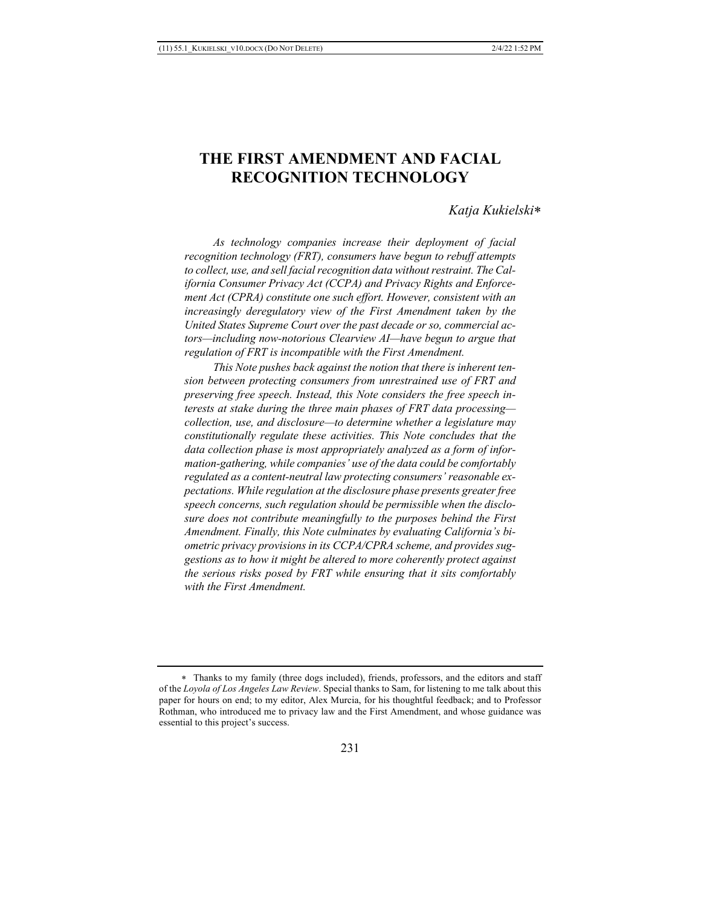## **THE FIRST AMENDMENT AND FACIAL RECOGNITION TECHNOLOGY**

#### *Katja Kukielski*\*

 *As technology companies increase their deployment of facial recognition technology (FRT), consumers have begun to rebuff attempts to collect, use, and sell facial recognition data without restraint. The California Consumer Privacy Act (CCPA) and Privacy Rights and Enforcement Act (CPRA) constitute one such effort. However, consistent with an increasingly deregulatory view of the First Amendment taken by the United States Supreme Court over the past decade or so, commercial actors—including now-notorious Clearview AI—have begun to argue that regulation of FRT is incompatible with the First Amendment.*

 *This Note pushes back against the notion that there is inherent tension between protecting consumers from unrestrained use of FRT and preserving free speech. Instead, this Note considers the free speech interests at stake during the three main phases of FRT data processing collection, use, and disclosure—to determine whether a legislature may constitutionally regulate these activities. This Note concludes that the data collection phase is most appropriately analyzed as a form of information-gathering, while companies' use of the data could be comfortably regulated as a content-neutral law protecting consumers' reasonable expectations. While regulation at the disclosure phase presents greater free*  speech concerns, such regulation should be permissible when the disclo*sure does not contribute meaningfully to the purposes behind the First Amendment. Finally, this Note culminates by evaluating California's biometric privacy provisions in its CCPA/CPRA scheme, and provides suggestions as to how it might be altered to more coherently protect against the serious risks posed by FRT while ensuring that it sits comfortably with the First Amendment.*

<sup>\*</sup> Thanks to my family (three dogs included), friends, professors, and the editors and staff of the *Loyola of Los Angeles Law Review*. Special thanks to Sam, for listening to me talk about this paper for hours on end; to my editor, Alex Murcia, for his thoughtful feedback; and to Professor Rothman, who introduced me to privacy law and the First Amendment, and whose guidance was essential to this project's success.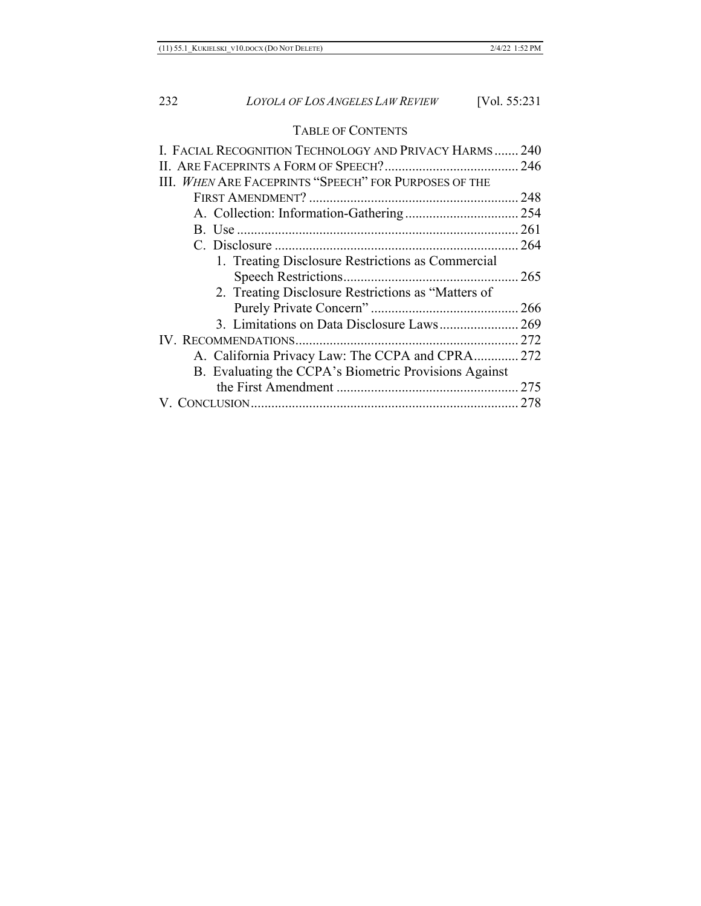## TABLE OF CONTENTS

| I. FACIAL RECOGNITION TECHNOLOGY AND PRIVACY HARMS 240 |  |
|--------------------------------------------------------|--|
|                                                        |  |
| III. WHEN ARE FACEPRINTS "SPEECH" FOR PURPOSES OF THE  |  |
|                                                        |  |
|                                                        |  |
|                                                        |  |
|                                                        |  |
| 1. Treating Disclosure Restrictions as Commercial      |  |
|                                                        |  |
| 2. Treating Disclosure Restrictions as "Matters of     |  |
|                                                        |  |
|                                                        |  |
|                                                        |  |
| A. California Privacy Law: The CCPA and CPRA 272       |  |
| B. Evaluating the CCPA's Biometric Provisions Against  |  |
|                                                        |  |
|                                                        |  |
|                                                        |  |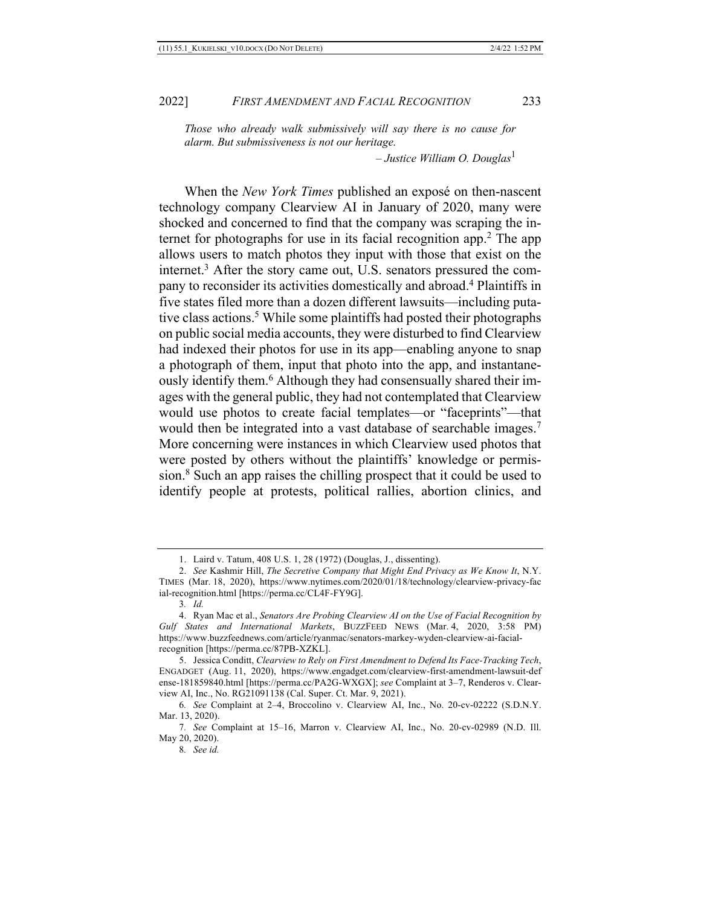*Those who already walk submissively will say there is no cause for alarm. But submissiveness is not our heritage.*

*– Justice William O. Douglas*<sup>1</sup>

When the *New York Times* published an exposé on then-nascent technology company Clearview AI in January of 2020, many were shocked and concerned to find that the company was scraping the internet for photographs for use in its facial recognition app.<sup>2</sup> The app allows users to match photos they input with those that exist on the internet.<sup>3</sup> After the story came out, U.S. senators pressured the company to reconsider its activities domestically and abroad.4 Plaintiffs in five states filed more than a dozen different lawsuits—including putative class actions.<sup>5</sup> While some plaintiffs had posted their photographs on public social media accounts, they were disturbed to find Clearview had indexed their photos for use in its app—enabling anyone to snap a photograph of them, input that photo into the app, and instantaneously identify them.<sup>6</sup> Although they had consensually shared their images with the general public, they had not contemplated that Clearview would use photos to create facial templates—or "faceprints"—that would then be integrated into a vast database of searchable images.<sup>7</sup> More concerning were instances in which Clearview used photos that were posted by others without the plaintiffs' knowledge or permission.8 Such an app raises the chilling prospect that it could be used to identify people at protests, political rallies, abortion clinics, and

<sup>1.</sup> Laird v. Tatum, 408 U.S. 1, 28 (1972) (Douglas, J., dissenting).

<sup>2.</sup> *See* Kashmir Hill, *The Secretive Company that Might End Privacy as We Know It*, N.Y. TIMES (Mar. 18, 2020), https://www.nytimes.com/2020/01/18/technology/clearview-privacy-fac ial-recognition.html [https://perma.cc/CL4F-FY9G].

<sup>3</sup>*. Id.*

<sup>4.</sup> Ryan Mac et al., *Senators Are Probing Clearview AI on the Use of Facial Recognition by Gulf States and International Markets*, BUZZFEED NEWS (Mar. 4, 2020, 3:58 PM) https://www.buzzfeednews.com/article/ryanmac/senators-markey-wyden-clearview-ai-facialrecognition [https://perma.cc/87PB-XZKL].

<sup>5.</sup> Jessica Conditt, *Clearview to Rely on First Amendment to Defend Its Face-Tracking Tech*, ENGADGET (Aug. 11, 2020), https://www.engadget.com/clearview-first-amendment-lawsuit-def ense-181859840.html [https://perma.cc/PA2G-WXGX]; *see* Complaint at 3–7, Renderos v. Clearview AI, Inc., No. RG21091138 (Cal. Super. Ct. Mar. 9, 2021).

<sup>6</sup>*. See* Complaint at 2–4, Broccolino v. Clearview AI, Inc., No. 20-cv-02222 (S.D.N.Y. Mar. 13, 2020).

<sup>7</sup>*. See* Complaint at 15–16, Marron v. Clearview AI, Inc., No. 20-cv-02989 (N.D. Ill. May 20, 2020).

<sup>8</sup>*. See id.*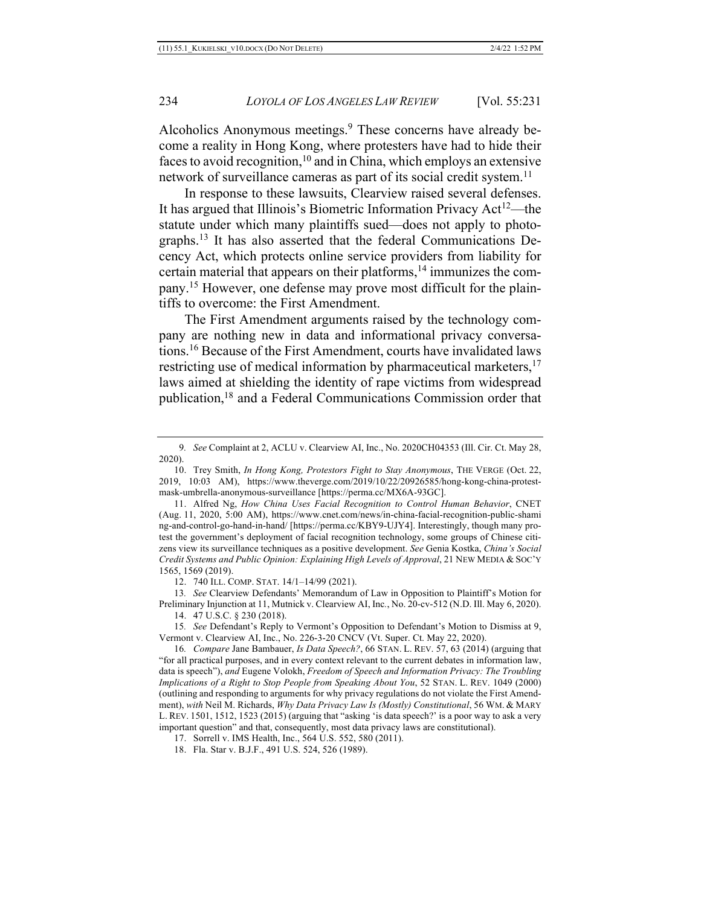Alcoholics Anonymous meetings.<sup>9</sup> These concerns have already become a reality in Hong Kong, where protesters have had to hide their faces to avoid recognition,  $10$  and in China, which employs an extensive network of surveillance cameras as part of its social credit system.<sup>11</sup>

In response to these lawsuits, Clearview raised several defenses. It has argued that Illinois's Biometric Information Privacy  $Act^{12}$ —the statute under which many plaintiffs sued—does not apply to photographs.13 It has also asserted that the federal Communications Decency Act, which protects online service providers from liability for certain material that appears on their platforms,<sup>14</sup> immunizes the company.15 However, one defense may prove most difficult for the plaintiffs to overcome: the First Amendment.

The First Amendment arguments raised by the technology company are nothing new in data and informational privacy conversations.16 Because of the First Amendment, courts have invalidated laws restricting use of medical information by pharmaceutical marketers,<sup>17</sup> laws aimed at shielding the identity of rape victims from widespread publication,18 and a Federal Communications Commission order that

- 17. Sorrell v. IMS Health, Inc., 564 U.S. 552, 580 (2011).
- 18. Fla. Star v. B.J.F., 491 U.S. 524, 526 (1989).

<sup>9</sup>*. See* Complaint at 2, ACLU v. Clearview AI, Inc., No. 2020CH04353 (Ill. Cir. Ct. May 28, 2020).

<sup>10.</sup> Trey Smith, *In Hong Kong, Protestors Fight to Stay Anonymous*, THE VERGE (Oct. 22, 2019, 10:03 AM), https://www.theverge.com/2019/10/22/20926585/hong-kong-china-protestmask-umbrella-anonymous-surveillance [https://perma.cc/MX6A-93GC].

<sup>11.</sup> Alfred Ng, *How China Uses Facial Recognition to Control Human Behavior*, CNET (Aug. 11, 2020, 5:00 AM), https://www.cnet.com/news/in-china-facial-recognition-public-shami ng-and-control-go-hand-in-hand/ [https://perma.cc/KBY9-UJY4]. Interestingly, though many protest the government's deployment of facial recognition technology, some groups of Chinese citizens view its surveillance techniques as a positive development. *See* Genia Kostka, *China's Social Credit Systems and Public Opinion: Explaining High Levels of Approval*, 21 NEW MEDIA & SOC'Y 1565, 1569 (2019).

<sup>12.</sup> 740 ILL. COMP. STAT. 14/1–14/99 (2021).

<sup>13</sup>*. See* Clearview Defendants' Memorandum of Law in Opposition to Plaintiff's Motion for Preliminary Injunction at 11, Mutnick v. Clearview AI, Inc*.*, No. 20-cv-512 (N.D. Ill. May 6, 2020).

<sup>14.</sup> 47 U.S.C. § 230 (2018).

<sup>15</sup>*. See* Defendant's Reply to Vermont's Opposition to Defendant's Motion to Dismiss at 9, Vermont v. Clearview AI, Inc., No. 226-3-20 CNCV (Vt. Super. Ct. May 22, 2020).

<sup>16</sup>*. Compare* Jane Bambauer, *Is Data Speech?*, 66 STAN. L. REV. 57, 63 (2014) (arguing that "for all practical purposes, and in every context relevant to the current debates in information law, data is speech"), *and* Eugene Volokh, *Freedom of Speech and Information Privacy: The Troubling Implications of a Right to Stop People from Speaking About You*, 52 STAN. L. REV. 1049 (2000) (outlining and responding to arguments for why privacy regulations do not violate the First Amendment), *with* Neil M. Richards, *Why Data Privacy Law Is (Mostly) Constitutional*, 56 WM. & MARY L. REV. 1501, 1512, 1523 (2015) (arguing that "asking 'is data speech?' is a poor way to ask a very important question" and that, consequently, most data privacy laws are constitutional).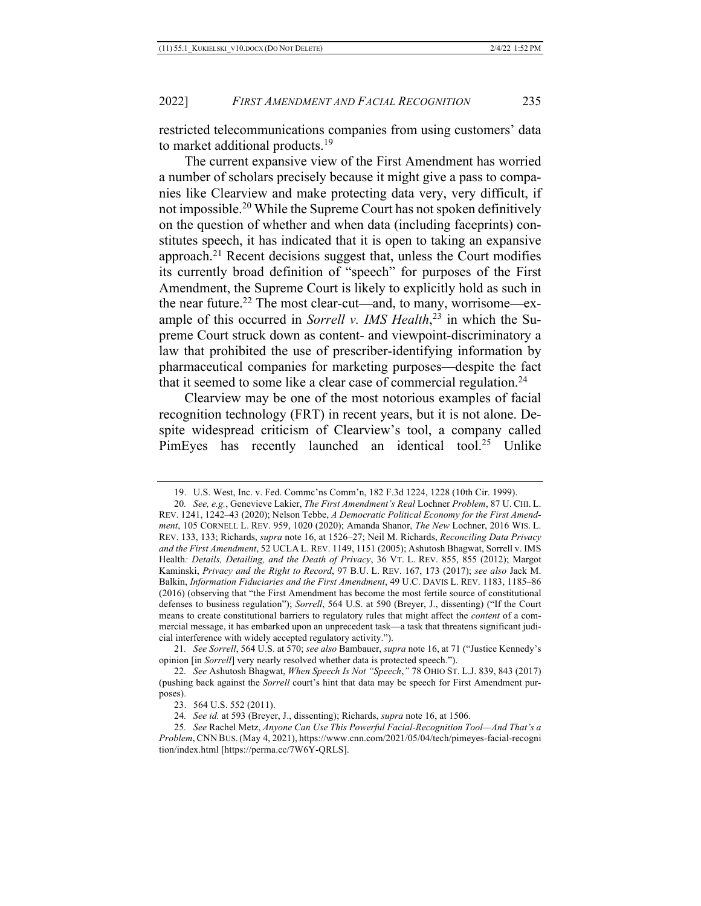restricted telecommunications companies from using customers' data to market additional products.<sup>19</sup>

The current expansive view of the First Amendment has worried a number of scholars precisely because it might give a pass to companies like Clearview and make protecting data very, very difficult, if not impossible.20 While the Supreme Court has not spoken definitively on the question of whether and when data (including faceprints) constitutes speech, it has indicated that it is open to taking an expansive approach.<sup>21</sup> Recent decisions suggest that, unless the Court modifies its currently broad definition of "speech" for purposes of the First Amendment, the Supreme Court is likely to explicitly hold as such in the near future.22 The most clear-cut**—**and, to many, worrisome**—**example of this occurred in *Sorrell v. IMS Health*, <sup>23</sup> in which the Supreme Court struck down as content- and viewpoint-discriminatory a law that prohibited the use of prescriber-identifying information by pharmaceutical companies for marketing purposes—despite the fact that it seemed to some like a clear case of commercial regulation.24

Clearview may be one of the most notorious examples of facial recognition technology (FRT) in recent years, but it is not alone. Despite widespread criticism of Clearview's tool, a company called PimEyes has recently launched an identical tool.<sup>25</sup> Unlike

21*. See Sorrell*, 564 U.S. at 570; *see also* Bambauer, *supra* note 16, at 71 ("Justice Kennedy's opinion [in *Sorrell*] very nearly resolved whether data is protected speech.").

22*. See* Ashutosh Bhagwat, *When Speech Is Not "Speech*,*"* 78 OHIO ST. L.J. 839, 843 (2017) (pushing back against the *Sorrell* court's hint that data may be speech for First Amendment purposes).

<sup>19.</sup> U.S. West, Inc. v. Fed. Commc'ns Comm'n, 182 F.3d 1224, 1228 (10th Cir. 1999).

<sup>20</sup>*. See, e.g.*, Genevieve Lakier, *The First Amendment's Real* Lochner *Problem*, 87 U. CHI. L. REV. 1241, 1242–43 (2020); Nelson Tebbe, *A Democratic Political Economy for the First Amendment*, 105 CORNELL L. REV. 959, 1020 (2020); Amanda Shanor, *The New* Lochner, 2016 WIS. L. REV. 133, 133; Richards, *supra* note 16, at 1526–27; Neil M. Richards, *Reconciling Data Privacy and the First Amendment*, 52 UCLA L. REV. 1149, 1151 (2005); Ashutosh Bhagwat, Sorrell v. IMS Health*: Details, Detailing, and the Death of Privacy*, 36 VT. L. REV. 855, 855 (2012); Margot Kaminski, *Privacy and the Right to Record*, 97 B.U. L. REV. 167, 173 (2017); *see also* Jack M. Balkin, *Information Fiduciaries and the First Amendment*, 49 U.C. DAVIS L. REV. 1183, 1185–86 (2016) (observing that "the First Amendment has become the most fertile source of constitutional defenses to business regulation"); *Sorrell*, 564 U.S. at 590 (Breyer, J., dissenting) ("If the Court means to create constitutional barriers to regulatory rules that might affect the *content* of a commercial message, it has embarked upon an unprecedent task—a task that threatens significant judicial interference with widely accepted regulatory activity.").

<sup>23.</sup> 564 U.S. 552 (2011).

<sup>24</sup>*. See id.* at 593 (Breyer, J., dissenting); Richards, *supra* note 16, at 1506.

<sup>25</sup>*. See* Rachel Metz, *Anyone Can Use This Powerful Facial-Recognition Tool—And That's a Problem*, CNN BUS.(May 4, 2021), https://www.cnn.com/2021/05/04/tech/pimeyes-facial-recogni tion/index.html [https://perma.cc/7W6Y-QRLS].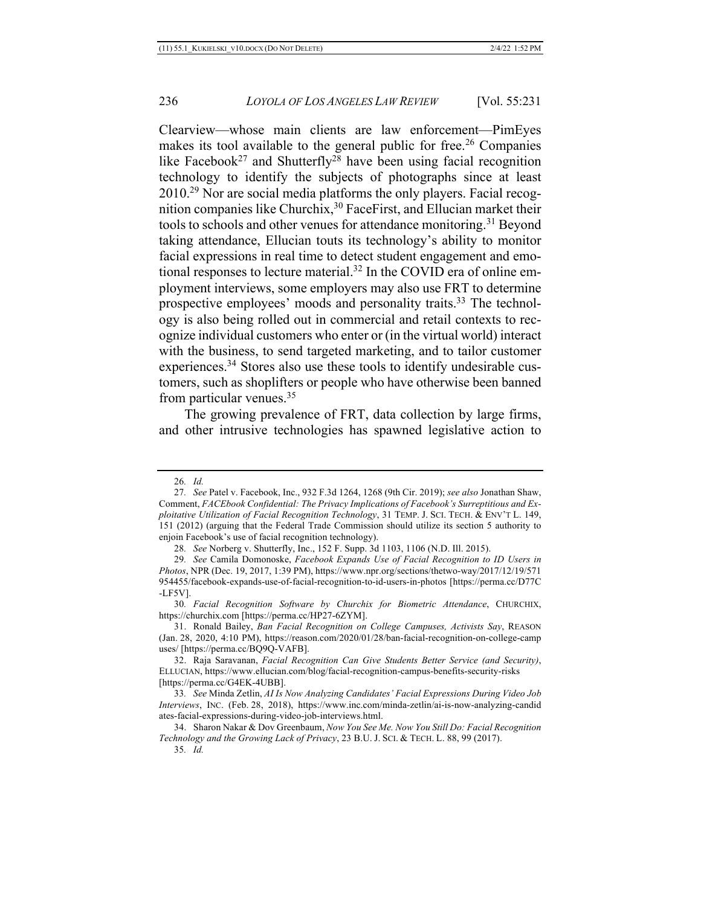Clearview—whose main clients are law enforcement—PimEyes makes its tool available to the general public for free.<sup>26</sup> Companies like Facebook<sup>27</sup> and Shutterfly<sup>28</sup> have been using facial recognition technology to identify the subjects of photographs since at least 2010.29 Nor are social media platforms the only players. Facial recognition companies like Churchix,<sup>30</sup> FaceFirst, and Ellucian market their tools to schools and other venues for attendance monitoring.<sup>31</sup> Beyond taking attendance, Ellucian touts its technology's ability to monitor facial expressions in real time to detect student engagement and emotional responses to lecture material.32 In the COVID era of online employment interviews, some employers may also use FRT to determine prospective employees' moods and personality traits.<sup>33</sup> The technology is also being rolled out in commercial and retail contexts to recognize individual customers who enter or (in the virtual world) interact with the business, to send targeted marketing, and to tailor customer experiences.<sup>34</sup> Stores also use these tools to identify undesirable customers, such as shoplifters or people who have otherwise been banned from particular venues.<sup>35</sup>

The growing prevalence of FRT, data collection by large firms, and other intrusive technologies has spawned legislative action to

<sup>26</sup>*. Id.*

<sup>27</sup>*. See* Patel v. Facebook, Inc., 932 F.3d 1264, 1268 (9th Cir. 2019); *see also* Jonathan Shaw, Comment, *FACEbook Confidential: The Privacy Implications of Facebook's Surreptitious and Exploitative Utilization of Facial Recognition Technology*, 31 TEMP. J. SCI. TECH. & ENV'T L. 149, 151 (2012) (arguing that the Federal Trade Commission should utilize its section 5 authority to enjoin Facebook's use of facial recognition technology).

<sup>28</sup>*. See* Norberg v. Shutterfly, Inc., 152 F. Supp. 3d 1103, 1106 (N.D. Ill. 2015).

<sup>29</sup>*. See* Camila Domonoske, *Facebook Expands Use of Facial Recognition to ID Users in Photos*, NPR (Dec. 19, 2017, 1:39 PM), https://www.npr.org/sections/thetwo-way/2017/12/19/571 954455/facebook-expands-use-of-facial-recognition-to-id-users-in-photos [https://perma.cc/D77C -LF5V].

<sup>30</sup>*. Facial Recognition Software by Churchix for Biometric Attendance*, CHURCHIX, https://churchix.com [https://perma.cc/HP27-6ZYM].

<sup>31.</sup> Ronald Bailey, *Ban Facial Recognition on College Campuses, Activists Say*, REASON (Jan. 28, 2020, 4:10 PM), https://reason.com/2020/01/28/ban-facial-recognition-on-college-camp uses/ [https://perma.cc/BQ9Q-VAFB].

<sup>32.</sup> Raja Saravanan, *Facial Recognition Can Give Students Better Service (and Security)*, ELLUCIAN, https://www.ellucian.com/blog/facial-recognition-campus-benefits-security-risks [https://perma.cc/G4EK-4UBB].

<sup>33</sup>*. See* Minda Zetlin, *AI Is Now Analyzing Candidates' Facial Expressions During Video Job Interviews*, INC. (Feb. 28, 2018), https://www.inc.com/minda-zetlin/ai-is-now-analyzing-candid ates-facial-expressions-during-video-job-interviews.html.

<sup>34.</sup> Sharon Nakar & Dov Greenbaum, *Now You See Me. Now You Still Do: Facial Recognition Technology and the Growing Lack of Privacy*, 23 B.U. J. SCI. & TECH. L. 88, 99 (2017).

<sup>35</sup>*. Id.*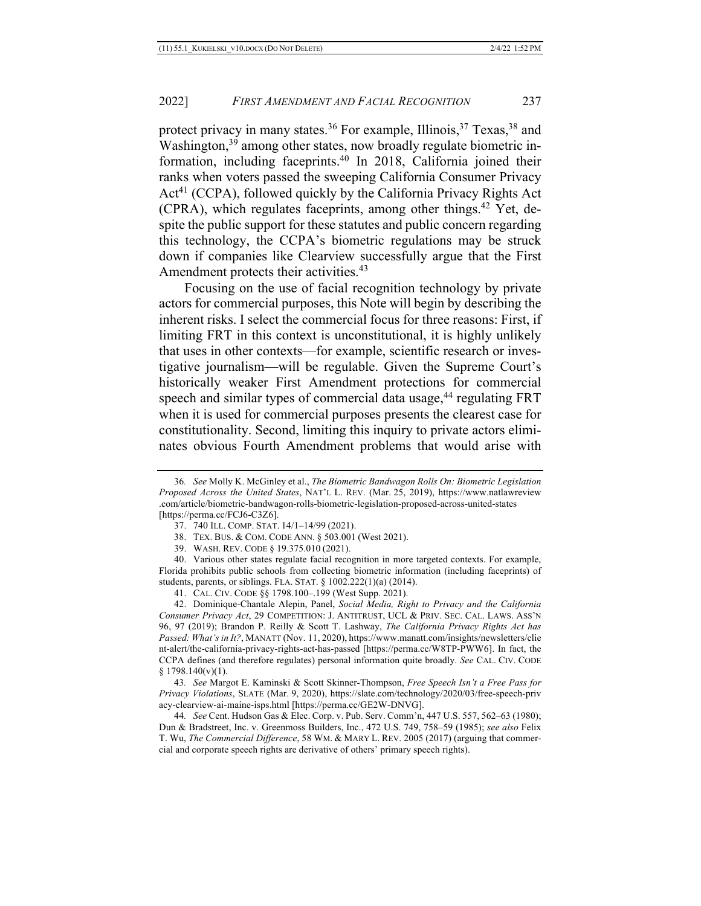protect privacy in many states.<sup>36</sup> For example, Illinois,<sup>37</sup> Texas,<sup>38</sup> and Washington,<sup>39</sup> among other states, now broadly regulate biometric information, including faceprints.40 In 2018, California joined their ranks when voters passed the sweeping California Consumer Privacy Act<sup>41</sup> (CCPA), followed quickly by the California Privacy Rights Act (CPRA), which regulates faceprints, among other things.42 Yet, despite the public support for these statutes and public concern regarding this technology, the CCPA's biometric regulations may be struck down if companies like Clearview successfully argue that the First Amendment protects their activities.<sup>43</sup>

Focusing on the use of facial recognition technology by private actors for commercial purposes, this Note will begin by describing the inherent risks. I select the commercial focus for three reasons: First, if limiting FRT in this context is unconstitutional, it is highly unlikely that uses in other contexts—for example, scientific research or investigative journalism—will be regulable. Given the Supreme Court's historically weaker First Amendment protections for commercial speech and similar types of commercial data usage, $44$  regulating FRT when it is used for commercial purposes presents the clearest case for constitutionality. Second, limiting this inquiry to private actors eliminates obvious Fourth Amendment problems that would arise with

39. WASH. REV. CODE § 19.375.010 (2021).

40. Various other states regulate facial recognition in more targeted contexts. For example, Florida prohibits public schools from collecting biometric information (including faceprints) of students, parents, or siblings. FLA. STAT. § 1002.222(1)(a) (2014).

41. CAL. CIV. CODE §§ 1798.100–.199 (West Supp. 2021).

42. Dominique-Chantale Alepin, Panel, *Social Media, Right to Privacy and the California Consumer Privacy Act*, 29 COMPETITION: J. ANTITRUST, UCL & PRIV. SEC. CAL. LAWS. ASS'N 96, 97 (2019); Brandon P. Reilly & Scott T. Lashway, *The California Privacy Rights Act has Passed: What's in It?*, MANATT (Nov. 11, 2020), https://www.manatt.com/insights/newsletters/clie nt-alert/the-california-privacy-rights-act-has-passed [https://perma.cc/W8TP-PWW6]. In fact, the CCPA defines (and therefore regulates) personal information quite broadly. *See* CAL. CIV. CODE  $§ 1798.140(v)(1).$ 

43*. See* Margot E. Kaminski & Scott Skinner-Thompson, *Free Speech Isn't a Free Pass for Privacy Violations*, SLATE (Mar. 9, 2020), https://slate.com/technology/2020/03/free-speech-priv acy-clearview-ai-maine-isps.html [https://perma.cc/GE2W-DNVG].

44*. See* Cent. Hudson Gas & Elec. Corp. v. Pub. Serv. Comm'n, 447 U.S. 557, 562–63 (1980); Dun & Bradstreet, Inc. v. Greenmoss Builders, Inc., 472 U.S. 749, 758–59 (1985); *see also* Felix T. Wu, *The Commercial Difference*, 58 WM. & MARY L. REV. 2005 (2017) (arguing that commercial and corporate speech rights are derivative of others' primary speech rights).

<sup>36</sup>*. See* Molly K. McGinley et al., *The Biometric Bandwagon Rolls On: Biometric Legislation Proposed Across the United States*, NAT'L L. REV. (Mar. 25, 2019), https://www.natlawreview .com/article/biometric-bandwagon-rolls-biometric-legislation-proposed-across-united-states [https://perma.cc/FCJ6-C3Z6].

<sup>37.</sup> 740 ILL. COMP. STAT. 14/1–14/99 (2021).

<sup>38.</sup> TEX. BUS. & COM. CODE ANN. § 503.001 (West 2021).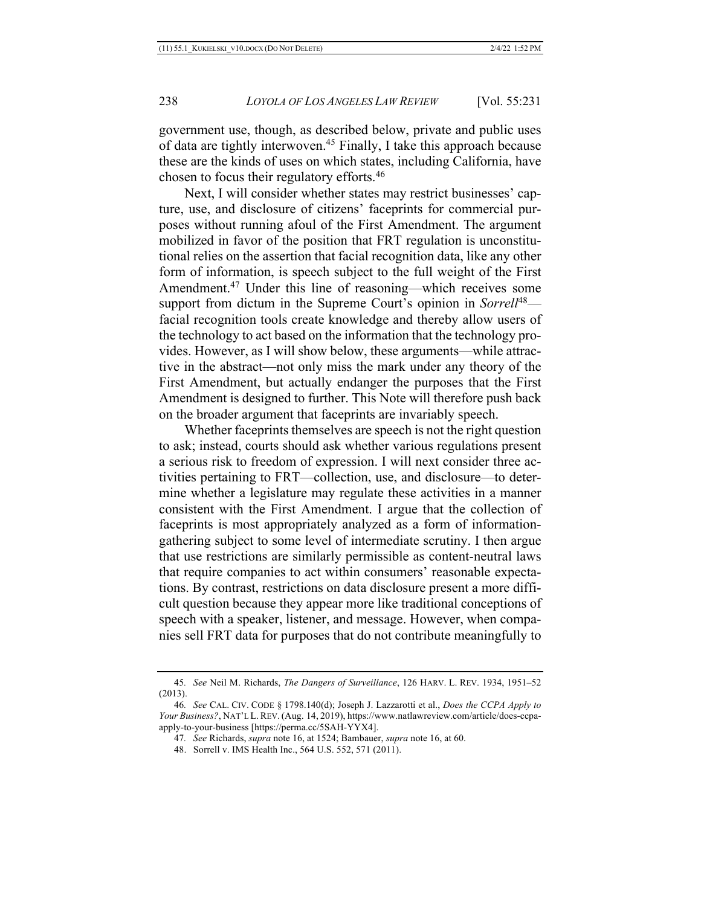government use, though, as described below, private and public uses of data are tightly interwoven.45 Finally, I take this approach because these are the kinds of uses on which states, including California, have chosen to focus their regulatory efforts.46

Next, I will consider whether states may restrict businesses' capture, use, and disclosure of citizens' faceprints for commercial purposes without running afoul of the First Amendment. The argument mobilized in favor of the position that FRT regulation is unconstitutional relies on the assertion that facial recognition data, like any other form of information, is speech subject to the full weight of the First Amendment.<sup>47</sup> Under this line of reasoning—which receives some support from dictum in the Supreme Court's opinion in *Sorrell*<sup>48</sup> facial recognition tools create knowledge and thereby allow users of the technology to act based on the information that the technology provides. However, as I will show below, these arguments—while attractive in the abstract—not only miss the mark under any theory of the First Amendment, but actually endanger the purposes that the First Amendment is designed to further. This Note will therefore push back on the broader argument that faceprints are invariably speech.

Whether faceprints themselves are speech is not the right question to ask; instead, courts should ask whether various regulations present a serious risk to freedom of expression. I will next consider three activities pertaining to FRT—collection, use, and disclosure—to determine whether a legislature may regulate these activities in a manner consistent with the First Amendment. I argue that the collection of faceprints is most appropriately analyzed as a form of informationgathering subject to some level of intermediate scrutiny. I then argue that use restrictions are similarly permissible as content-neutral laws that require companies to act within consumers' reasonable expectations. By contrast, restrictions on data disclosure present a more difficult question because they appear more like traditional conceptions of speech with a speaker, listener, and message. However, when companies sell FRT data for purposes that do not contribute meaningfully to

<sup>45</sup>*. See* Neil M. Richards, *The Dangers of Surveillance*, 126 HARV. L. REV. 1934, 1951–52 (2013).

<sup>46</sup>*. See* CAL. CIV. CODE § 1798.140(d); Joseph J. Lazzarotti et al., *Does the CCPA Apply to Your Business?*, NAT'L L.REV.(Aug. 14, 2019), https://www.natlawreview.com/article/does-ccpaapply-to-your-business [https://perma.cc/5SAH-YYX4].

<sup>47</sup>*. See* Richards, *supra* note 16, at 1524; Bambauer, *supra* note 16, at 60.

<sup>48.</sup> Sorrell v. IMS Health Inc., 564 U.S. 552, 571 (2011).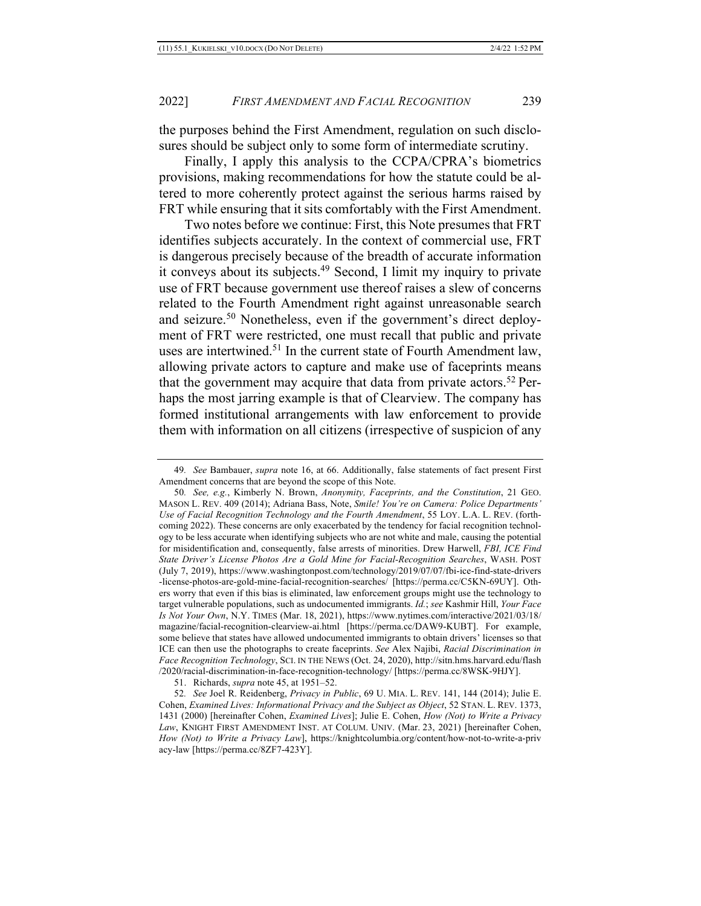the purposes behind the First Amendment, regulation on such disclosures should be subject only to some form of intermediate scrutiny.

Finally, I apply this analysis to the CCPA/CPRA's biometrics provisions, making recommendations for how the statute could be altered to more coherently protect against the serious harms raised by FRT while ensuring that it sits comfortably with the First Amendment.

Two notes before we continue: First, this Note presumes that FRT identifies subjects accurately. In the context of commercial use, FRT is dangerous precisely because of the breadth of accurate information it conveys about its subjects.49 Second, I limit my inquiry to private use of FRT because government use thereof raises a slew of concerns related to the Fourth Amendment right against unreasonable search and seizure.50 Nonetheless, even if the government's direct deployment of FRT were restricted, one must recall that public and private uses are intertwined.51 In the current state of Fourth Amendment law, allowing private actors to capture and make use of faceprints means that the government may acquire that data from private actors.<sup>52</sup> Perhaps the most jarring example is that of Clearview. The company has formed institutional arrangements with law enforcement to provide them with information on all citizens (irrespective of suspicion of any

<sup>49</sup>*. See* Bambauer, *supra* note 16, at 66. Additionally, false statements of fact present First Amendment concerns that are beyond the scope of this Note.

<sup>50</sup>*. See, e.g.*, Kimberly N. Brown, *Anonymity, Faceprints, and the Constitution*, 21 GEO. MASON L. REV. 409 (2014); Adriana Bass, Note, *Smile! You're on Camera: Police Departments' Use of Facial Recognition Technology and the Fourth Amendment*, 55 LOY. L.A. L. REV. (forthcoming 2022). These concerns are only exacerbated by the tendency for facial recognition technology to be less accurate when identifying subjects who are not white and male, causing the potential for misidentification and, consequently, false arrests of minorities. Drew Harwell, *FBI, ICE Find State Driver's License Photos Are a Gold Mine for Facial-Recognition Searches*, WASH. POST (July 7, 2019), https://www.washingtonpost.com/technology/2019/07/07/fbi-ice-find-state-drivers -license-photos-are-gold-mine-facial-recognition-searches/ [https://perma.cc/C5KN-69UY]. Others worry that even if this bias is eliminated, law enforcement groups might use the technology to target vulnerable populations, such as undocumented immigrants. *Id.*; *see* Kashmir Hill, *Your Face Is Not Your Own*, N.Y. TIMES (Mar. 18, 2021), https://www.nytimes.com/interactive/2021/03/18/ magazine/facial-recognition-clearview-ai.html [https://perma.cc/DAW9-KUBT]. For example, some believe that states have allowed undocumented immigrants to obtain drivers' licenses so that ICE can then use the photographs to create faceprints. *See* Alex Najibi, *Racial Discrimination in Face Recognition Technology*, SCI. IN THE NEWS (Oct. 24, 2020), http://sitn.hms.harvard.edu/flash /2020/racial-discrimination-in-face-recognition-technology/ [https://perma.cc/8WSK-9HJY].

<sup>51.</sup> Richards, *supra* note 45, at 1951–52.

<sup>52</sup>*. See* Joel R. Reidenberg, *Privacy in Public*, 69 U. MIA. L. REV. 141, 144 (2014); Julie E. Cohen, *Examined Lives: Informational Privacy and the Subject as Object*, 52 STAN. L. REV. 1373, 1431 (2000) [hereinafter Cohen, *Examined Lives*]; Julie E. Cohen, *How (Not) to Write a Privacy Law*, KNIGHT FIRST AMENDMENT INST. AT COLUM. UNIV. (Mar. 23, 2021) [hereinafter Cohen, *How (Not) to Write a Privacy Law*], https://knightcolumbia.org/content/how-not-to-write-a-priv acy-law [https://perma.cc/8ZF7-423Y].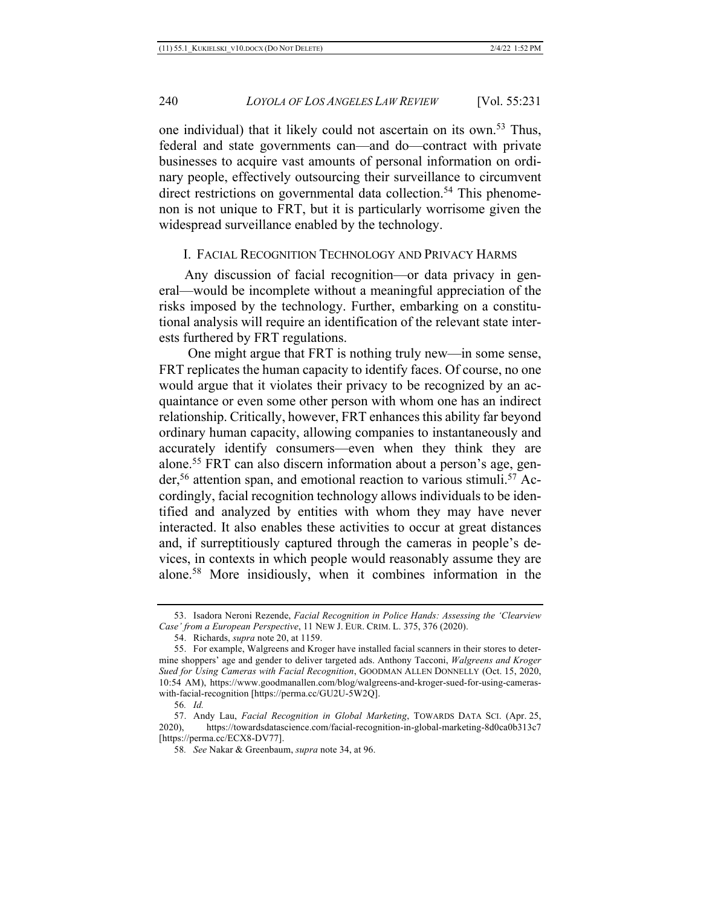one individual) that it likely could not ascertain on its own.53 Thus, federal and state governments can—and do—contract with private businesses to acquire vast amounts of personal information on ordinary people, effectively outsourcing their surveillance to circumvent direct restrictions on governmental data collection.<sup>54</sup> This phenomenon is not unique to FRT, but it is particularly worrisome given the widespread surveillance enabled by the technology.

### I. FACIAL RECOGNITION TECHNOLOGY AND PRIVACY HARMS

Any discussion of facial recognition—or data privacy in general—would be incomplete without a meaningful appreciation of the risks imposed by the technology. Further, embarking on a constitutional analysis will require an identification of the relevant state interests furthered by FRT regulations.

One might argue that FRT is nothing truly new—in some sense, FRT replicates the human capacity to identify faces. Of course, no one would argue that it violates their privacy to be recognized by an acquaintance or even some other person with whom one has an indirect relationship. Critically, however, FRT enhances this ability far beyond ordinary human capacity, allowing companies to instantaneously and accurately identify consumers—even when they think they are alone.55 FRT can also discern information about a person's age, gender,<sup>56</sup> attention span, and emotional reaction to various stimuli.<sup>57</sup> Accordingly, facial recognition technology allows individuals to be identified and analyzed by entities with whom they may have never interacted. It also enables these activities to occur at great distances and, if surreptitiously captured through the cameras in people's devices, in contexts in which people would reasonably assume they are alone.58 More insidiously, when it combines information in the

<sup>53.</sup> Isadora Neroni Rezende, *Facial Recognition in Police Hands: Assessing the 'Clearview Case' from a European Perspective*, 11 NEW J. EUR. CRIM. L. 375, 376 (2020).

<sup>54.</sup> Richards, *supra* note 20, at 1159.

<sup>55.</sup> For example, Walgreens and Kroger have installed facial scanners in their stores to determine shoppers' age and gender to deliver targeted ads. Anthony Tacconi, *Walgreens and Kroger Sued for Using Cameras with Facial Recognition*, GOODMAN ALLEN DONNELLY (Oct. 15, 2020, 10:54 AM), https://www.goodmanallen.com/blog/walgreens-and-kroger-sued-for-using-cameraswith-facial-recognition [https://perma.cc/GU2U-5W2Q].

<sup>56</sup>*. Id.*

<sup>57.</sup> Andy Lau, *Facial Recognition in Global Marketing*, TOWARDS DATA SCI. (Apr. 25, 2020), https://towardsdatascience.com/facial-recognition-in-global-marketing-8d0ca0b313c7 [https://perma.cc/ECX8-DV77].

<sup>58</sup>*. See* Nakar & Greenbaum, *supra* note 34, at 96.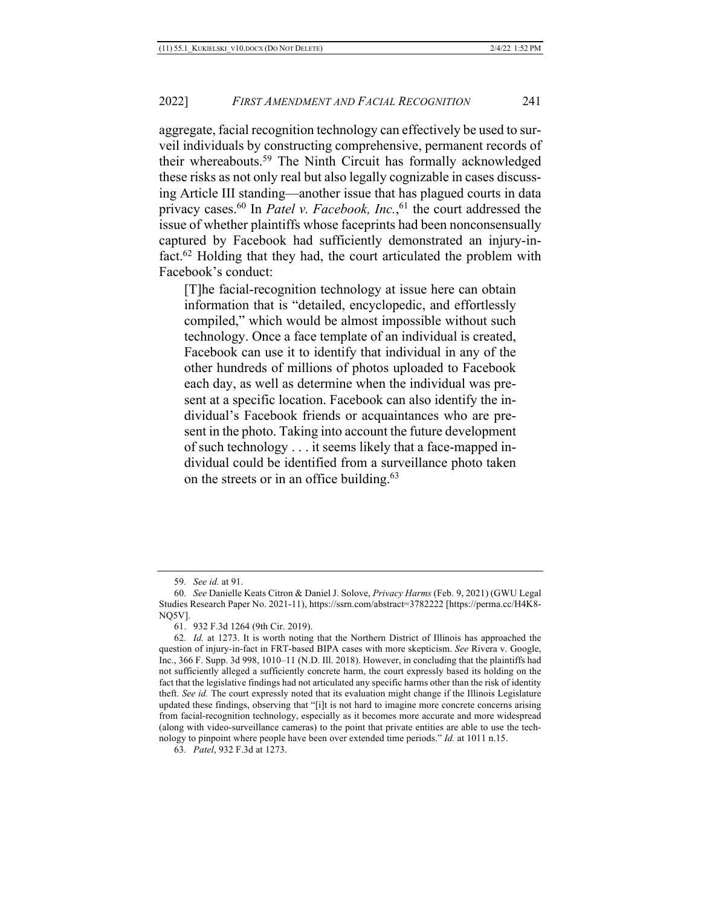aggregate, facial recognition technology can effectively be used to surveil individuals by constructing comprehensive, permanent records of their whereabouts.59 The Ninth Circuit has formally acknowledged these risks as not only real but also legally cognizable in cases discussing Article III standing—another issue that has plagued courts in data privacy cases. <sup>60</sup> In *Patel v. Facebook, Inc.*, <sup>61</sup> the court addressed the issue of whether plaintiffs whose faceprints had been nonconsensually captured by Facebook had sufficiently demonstrated an injury-infact.62 Holding that they had, the court articulated the problem with Facebook's conduct:

[T]he facial-recognition technology at issue here can obtain information that is "detailed, encyclopedic, and effortlessly compiled," which would be almost impossible without such technology. Once a face template of an individual is created, Facebook can use it to identify that individual in any of the other hundreds of millions of photos uploaded to Facebook each day, as well as determine when the individual was present at a specific location. Facebook can also identify the individual's Facebook friends or acquaintances who are present in the photo. Taking into account the future development of such technology . . . it seems likely that a face-mapped individual could be identified from a surveillance photo taken on the streets or in an office building.<sup>63</sup>

<sup>59</sup>*. See id.* at 91.

<sup>60</sup>*. See* Danielle Keats Citron & Daniel J. Solove, *Privacy Harms* (Feb. 9, 2021) (GWU Legal Studies Research Paper No. 2021-11), https://ssrn.com/abstract=3782222 [https://perma.cc/H4K8- NQ5V].

<sup>61.</sup> 932 F.3d 1264 (9th Cir. 2019).

<sup>62</sup>*. Id.* at 1273. It is worth noting that the Northern District of Illinois has approached the question of injury-in-fact in FRT-based BIPA cases with more skepticism. *See* Rivera v. Google, Inc., 366 F. Supp. 3d 998, 1010–11 (N.D. Ill. 2018). However, in concluding that the plaintiffs had not sufficiently alleged a sufficiently concrete harm, the court expressly based its holding on the fact that the legislative findings had not articulated any specific harms other than the risk of identity theft. *See id.* The court expressly noted that its evaluation might change if the Illinois Legislature updated these findings, observing that "[i]t is not hard to imagine more concrete concerns arising from facial-recognition technology, especially as it becomes more accurate and more widespread (along with video-surveillance cameras) to the point that private entities are able to use the technology to pinpoint where people have been over extended time periods." *Id.* at 1011 n.15.

<sup>63</sup>*. Patel*, 932 F.3d at 1273.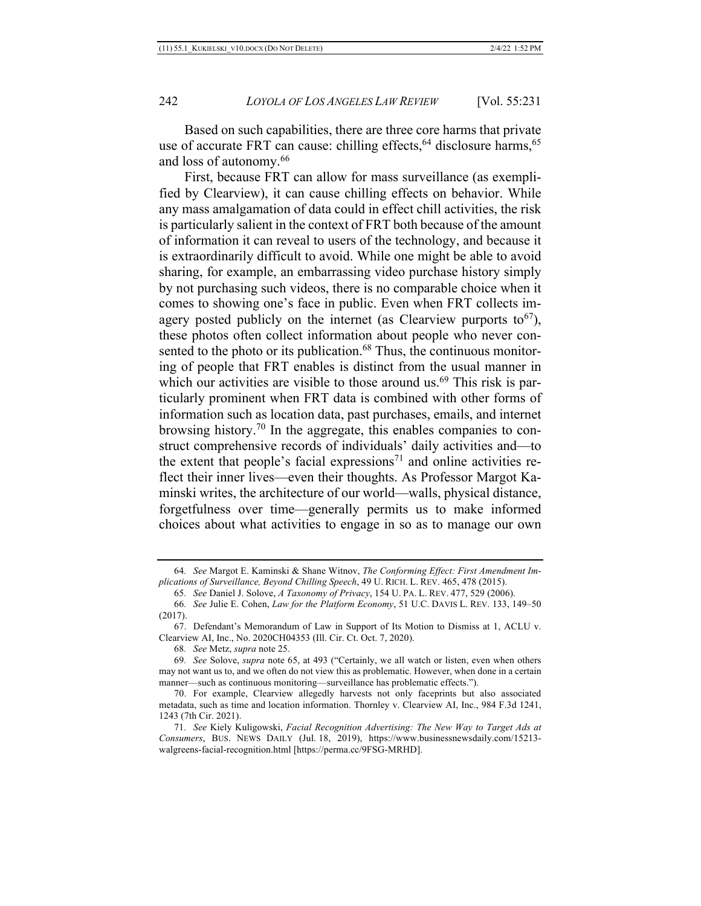Based on such capabilities, there are three core harms that private use of accurate FRT can cause: chilling effects,  $64$  disclosure harms,  $65$ and loss of autonomy.66

First, because FRT can allow for mass surveillance (as exemplified by Clearview), it can cause chilling effects on behavior. While any mass amalgamation of data could in effect chill activities, the risk is particularly salient in the context of FRT both because of the amount of information it can reveal to users of the technology, and because it is extraordinarily difficult to avoid. While one might be able to avoid sharing, for example, an embarrassing video purchase history simply by not purchasing such videos, there is no comparable choice when it comes to showing one's face in public. Even when FRT collects imagery posted publicly on the internet (as Clearview purports to  $67$ ), these photos often collect information about people who never consented to the photo or its publication.<sup>68</sup> Thus, the continuous monitoring of people that FRT enables is distinct from the usual manner in which our activities are visible to those around us.<sup>69</sup> This risk is particularly prominent when FRT data is combined with other forms of information such as location data, past purchases, emails, and internet browsing history.70 In the aggregate, this enables companies to construct comprehensive records of individuals' daily activities and—to the extent that people's facial expressions<sup>71</sup> and online activities reflect their inner lives—even their thoughts. As Professor Margot Kaminski writes, the architecture of our world—walls, physical distance, forgetfulness over time—generally permits us to make informed choices about what activities to engage in so as to manage our own

<sup>64</sup>*. See* Margot E. Kaminski & Shane Witnov, *The Conforming Effect: First Amendment Implications of Surveillance, Beyond Chilling Speech*, 49 U. RICH. L. REV. 465, 478 (2015).

<sup>65</sup>*. See* Daniel J. Solove, *A Taxonomy of Privacy*, 154 U. PA. L. REV. 477, 529 (2006).

<sup>66</sup>*. See* Julie E. Cohen, *Law for the Platform Economy*, 51 U.C. DAVIS L. REV. 133, 149–50 (2017).

<sup>67.</sup> Defendant's Memorandum of Law in Support of Its Motion to Dismiss at 1, ACLU v. Clearview AI, Inc., No. 2020CH04353 (Ill. Cir. Ct. Oct. 7, 2020).

<sup>68</sup>*. See* Metz, *supra* note 25.

<sup>69</sup>*. See* Solove, *supra* note 65, at 493 ("Certainly, we all watch or listen, even when others may not want us to, and we often do not view this as problematic. However, when done in a certain manner—such as continuous monitoring—surveillance has problematic effects.").

<sup>70.</sup> For example, Clearview allegedly harvests not only faceprints but also associated metadata, such as time and location information. Thornley v. Clearview AI, Inc., 984 F.3d 1241, 1243 (7th Cir. 2021).

<sup>71</sup>*. See* Kiely Kuligowski, *Facial Recognition Advertising: The New Way to Target Ads at Consumers*, BUS. NEWS DAILY (Jul. 18, 2019), https://www.businessnewsdaily.com/15213 walgreens-facial-recognition.html [https://perma.cc/9FSG-MRHD].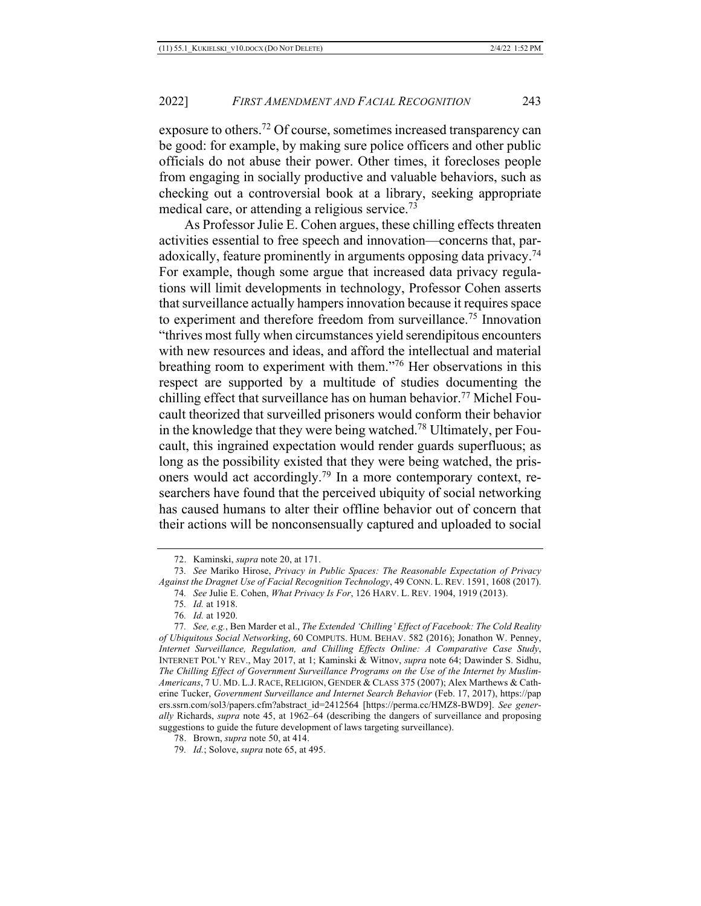exposure to others.72 Of course, sometimes increased transparency can be good: for example, by making sure police officers and other public officials do not abuse their power. Other times, it forecloses people from engaging in socially productive and valuable behaviors, such as checking out a controversial book at a library, seeking appropriate medical care, or attending a religious service.73

As Professor Julie E. Cohen argues, these chilling effects threaten activities essential to free speech and innovation—concerns that, paradoxically, feature prominently in arguments opposing data privacy.<sup>74</sup> For example, though some argue that increased data privacy regulations will limit developments in technology, Professor Cohen asserts that surveillance actually hampers innovation because it requires space to experiment and therefore freedom from surveillance.75 Innovation "thrives most fully when circumstances yield serendipitous encounters with new resources and ideas, and afford the intellectual and material breathing room to experiment with them."76 Her observations in this respect are supported by a multitude of studies documenting the chilling effect that surveillance has on human behavior.77 Michel Foucault theorized that surveilled prisoners would conform their behavior in the knowledge that they were being watched.78 Ultimately, per Foucault, this ingrained expectation would render guards superfluous; as long as the possibility existed that they were being watched, the prisoners would act accordingly.79 In a more contemporary context, researchers have found that the perceived ubiquity of social networking has caused humans to alter their offline behavior out of concern that their actions will be nonconsensually captured and uploaded to social

<sup>72.</sup> Kaminski, *supra* note 20, at 171.

<sup>73</sup>*. See* Mariko Hirose, *Privacy in Public Spaces: The Reasonable Expectation of Privacy Against the Dragnet Use of Facial Recognition Technology*, 49 CONN. L. REV. 1591, 1608 (2017).

<sup>74</sup>*. See* Julie E. Cohen, *What Privacy Is For*, 126 HARV. L. REV. 1904, 1919 (2013).

<sup>75</sup>*. Id.* at 1918.

<sup>76</sup>*. Id.* at 1920.

<sup>77</sup>*. See, e.g.*, Ben Marder et al., *The Extended 'Chilling' Effect of Facebook: The Cold Reality of Ubiquitous Social Networking*, 60 COMPUTS. HUM. BEHAV. 582 (2016); Jonathon W. Penney, *Internet Surveillance, Regulation, and Chilling Effects Online: A Comparative Case Study*, INTERNET POL'Y REV., May 2017, at 1; Kaminski & Witnov, *supra* note 64; Dawinder S. Sidhu, *The Chilling Effect of Government Surveillance Programs on the Use of the Internet by Muslim-Americans*, 7 U. MD. L.J. RACE, RELIGION, GENDER & CLASS 375 (2007); Alex Marthews & Catherine Tucker, *Government Surveillance and Internet Search Behavior* (Feb. 17, 2017), https://pap ers.ssrn.com/sol3/papers.cfm?abstract\_id=2412564 [https://perma.cc/HMZ8-BWD9]. *See generally* Richards, *supra* note 45, at 1962–64 (describing the dangers of surveillance and proposing suggestions to guide the future development of laws targeting surveillance).

<sup>78.</sup> Brown, *supra* note 50, at 414.

<sup>79</sup>*. Id.*; Solove, *supra* note 65, at 495.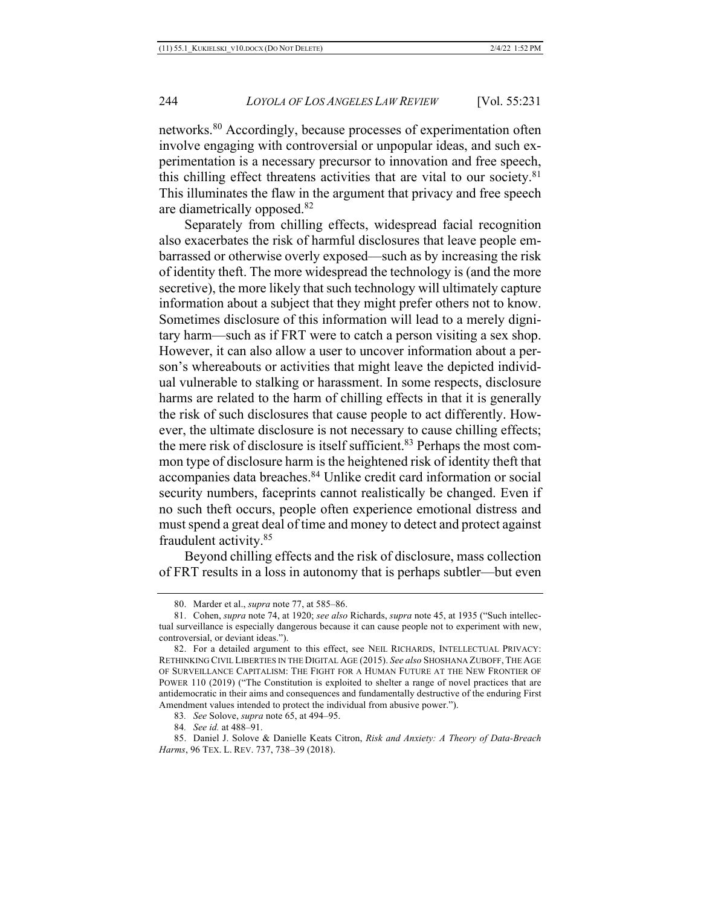networks.80 Accordingly, because processes of experimentation often involve engaging with controversial or unpopular ideas, and such experimentation is a necessary precursor to innovation and free speech, this chilling effect threatens activities that are vital to our society.<sup>81</sup> This illuminates the flaw in the argument that privacy and free speech are diametrically opposed.82

Separately from chilling effects, widespread facial recognition also exacerbates the risk of harmful disclosures that leave people embarrassed or otherwise overly exposed—such as by increasing the risk of identity theft. The more widespread the technology is (and the more secretive), the more likely that such technology will ultimately capture information about a subject that they might prefer others not to know. Sometimes disclosure of this information will lead to a merely dignitary harm—such as if FRT were to catch a person visiting a sex shop. However, it can also allow a user to uncover information about a person's whereabouts or activities that might leave the depicted individual vulnerable to stalking or harassment. In some respects, disclosure harms are related to the harm of chilling effects in that it is generally the risk of such disclosures that cause people to act differently. However, the ultimate disclosure is not necessary to cause chilling effects; the mere risk of disclosure is itself sufficient.<sup>83</sup> Perhaps the most common type of disclosure harm is the heightened risk of identity theft that accompanies data breaches.84 Unlike credit card information or social security numbers, faceprints cannot realistically be changed. Even if no such theft occurs, people often experience emotional distress and must spend a great deal of time and money to detect and protect against fraudulent activity.85

Beyond chilling effects and the risk of disclosure, mass collection of FRT results in a loss in autonomy that is perhaps subtler—but even

84*. See id.* at 488–91.

<sup>80.</sup> Marder et al., *supra* note 77, at 585–86.

<sup>81.</sup> Cohen, *supra* note 74, at 1920; *see also* Richards, *supra* note 45, at 1935 ("Such intellectual surveillance is especially dangerous because it can cause people not to experiment with new, controversial, or deviant ideas.").

<sup>82.</sup> For a detailed argument to this effect, see NEIL RICHARDS, INTELLECTUAL PRIVACY: RETHINKING CIVIL LIBERTIES IN THE DIGITAL AGE (2015). *See also* SHOSHANA ZUBOFF, THE AGE OF SURVEILLANCE CAPITALISM: THE FIGHT FOR A HUMAN FUTURE AT THE NEW FRONTIER OF POWER 110 (2019) ("The Constitution is exploited to shelter a range of novel practices that are antidemocratic in their aims and consequences and fundamentally destructive of the enduring First Amendment values intended to protect the individual from abusive power.").

<sup>83</sup>*. See* Solove, *supra* note 65, at 494–95.

<sup>85.</sup> Daniel J. Solove & Danielle Keats Citron, *Risk and Anxiety: A Theory of Data-Breach Harms*, 96 TEX. L. REV. 737, 738–39 (2018).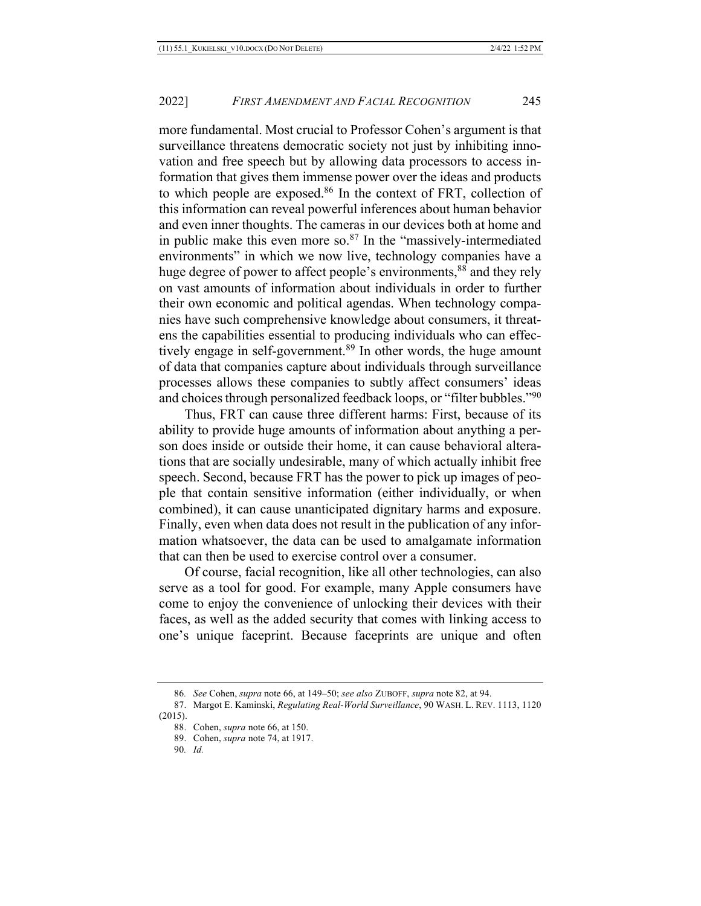more fundamental. Most crucial to Professor Cohen's argument is that surveillance threatens democratic society not just by inhibiting innovation and free speech but by allowing data processors to access information that gives them immense power over the ideas and products to which people are exposed.86 In the context of FRT, collection of this information can reveal powerful inferences about human behavior and even inner thoughts. The cameras in our devices both at home and in public make this even more so. $87$  In the "massively-intermediated environments" in which we now live, technology companies have a huge degree of power to affect people's environments,<sup>88</sup> and they rely on vast amounts of information about individuals in order to further their own economic and political agendas. When technology companies have such comprehensive knowledge about consumers, it threatens the capabilities essential to producing individuals who can effectively engage in self-government.<sup>89</sup> In other words, the huge amount of data that companies capture about individuals through surveillance processes allows these companies to subtly affect consumers' ideas and choices through personalized feedback loops, or "filter bubbles."90

Thus, FRT can cause three different harms: First, because of its ability to provide huge amounts of information about anything a person does inside or outside their home, it can cause behavioral alterations that are socially undesirable, many of which actually inhibit free speech. Second, because FRT has the power to pick up images of people that contain sensitive information (either individually, or when combined), it can cause unanticipated dignitary harms and exposure. Finally, even when data does not result in the publication of any information whatsoever, the data can be used to amalgamate information that can then be used to exercise control over a consumer.

Of course, facial recognition, like all other technologies, can also serve as a tool for good. For example, many Apple consumers have come to enjoy the convenience of unlocking their devices with their faces, as well as the added security that comes with linking access to one's unique faceprint. Because faceprints are unique and often

<sup>86</sup>*. See* Cohen, *supra* note 66, at 149–50; *see also* ZUBOFF, *supra* note 82, at 94.

<sup>87.</sup> Margot E. Kaminski, *Regulating Real-World Surveillance*, 90 WASH. L. REV. 1113, 1120 (2015).

<sup>88.</sup> Cohen, *supra* note 66, at 150.

<sup>89.</sup> Cohen, *supra* note 74, at 1917.

<sup>90</sup>*. Id.*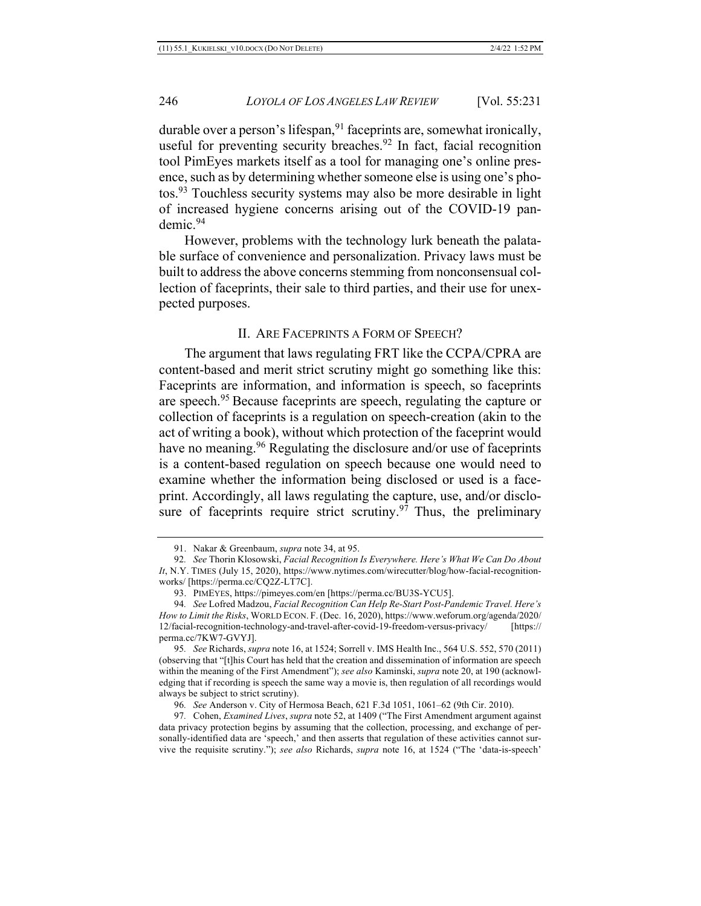durable over a person's lifespan,  $91$  faceprints are, somewhat ironically, useful for preventing security breaches.<sup>92</sup> In fact, facial recognition tool PimEyes markets itself as a tool for managing one's online presence, such as by determining whether someone else is using one's photos.93 Touchless security systems may also be more desirable in light of increased hygiene concerns arising out of the COVID-19 pandemic.94

However, problems with the technology lurk beneath the palatable surface of convenience and personalization. Privacy laws must be built to address the above concerns stemming from nonconsensual collection of faceprints, their sale to third parties, and their use for unexpected purposes.

#### II. ARE FACEPRINTS A FORM OF SPEECH?

The argument that laws regulating FRT like the CCPA/CPRA are content-based and merit strict scrutiny might go something like this: Faceprints are information, and information is speech, so faceprints are speech.95 Because faceprints are speech, regulating the capture or collection of faceprints is a regulation on speech-creation (akin to the act of writing a book), without which protection of the faceprint would have no meaning.<sup>96</sup> Regulating the disclosure and/or use of faceprints is a content-based regulation on speech because one would need to examine whether the information being disclosed or used is a faceprint. Accordingly, all laws regulating the capture, use, and/or disclosure of faceprints require strict scrutiny.<sup>97</sup> Thus, the preliminary

<sup>91.</sup> Nakar & Greenbaum, *supra* note 34, at 95.

<sup>92</sup>*. See* Thorin Klosowski, *Facial Recognition Is Everywhere. Here's What We Can Do About It*, N.Y. TIMES (July 15, 2020), https://www.nytimes.com/wirecutter/blog/how-facial-recognitionworks/ [https://perma.cc/CQ2Z-LT7C].

<sup>93.</sup> PIMEYES, https://pimeyes.com/en [https://perma.cc/BU3S-YCU5].

<sup>94</sup>*. See* Lofred Madzou, *Facial Recognition Can Help Re-Start Post-Pandemic Travel. Here's How to Limit the Risks*, WORLD ECON. F. (Dec. 16, 2020), https://www.weforum.org/agenda/2020/ 12/facial-recognition-technology-and-travel-after-covid-19-freedom-versus-privacy/ [https:// perma.cc/7KW7-GVYJ].

<sup>95</sup>*. See* Richards, *supra* note 16, at 1524; Sorrell v. IMS Health Inc., 564 U.S. 552, 570 (2011) (observing that "[t]his Court has held that the creation and dissemination of information are speech within the meaning of the First Amendment"); *see also* Kaminski, *supra* note 20, at 190 (acknowledging that if recording is speech the same way a movie is, then regulation of all recordings would always be subject to strict scrutiny).

<sup>96</sup>*. See* Anderson v. City of Hermosa Beach, 621 F.3d 1051, 1061–62 (9th Cir. 2010).

<sup>97</sup>*.* Cohen, *Examined Lives*, *supra* note 52, at 1409 ("The First Amendment argument against data privacy protection begins by assuming that the collection, processing, and exchange of personally-identified data are 'speech,' and then asserts that regulation of these activities cannot survive the requisite scrutiny."); *see also* Richards, *supra* note 16, at 1524 ("The 'data-is-speech'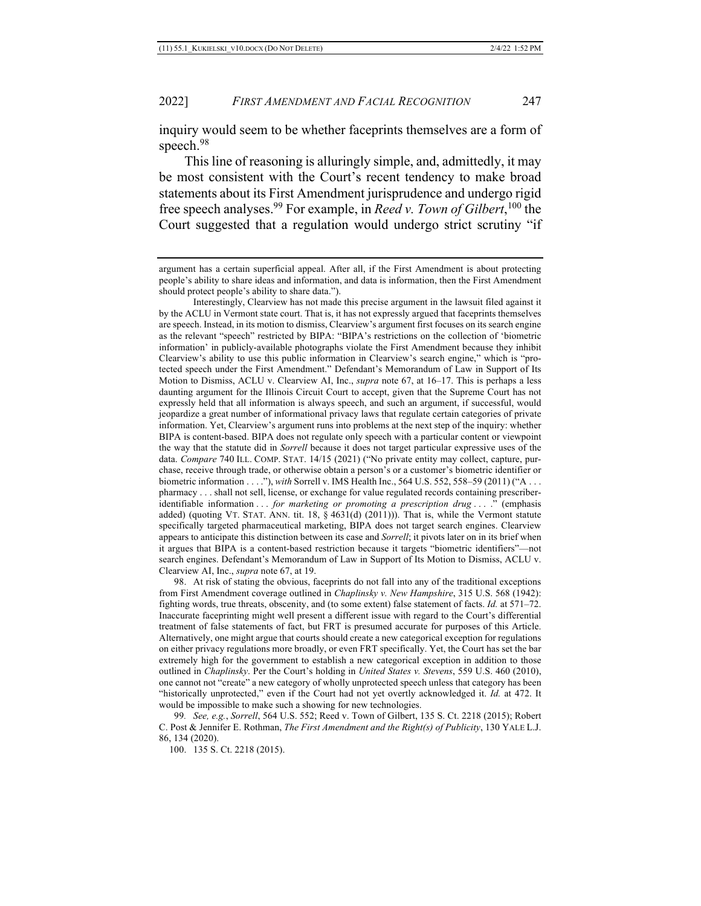inquiry would seem to be whether faceprints themselves are a form of speech.<sup>98</sup>

This line of reasoning is alluringly simple, and, admittedly, it may be most consistent with the Court's recent tendency to make broad statements about its First Amendment jurisprudence and undergo rigid free speech analyses.99 For example, in *Reed v. Town of Gilbert*, <sup>100</sup> the Court suggested that a regulation would undergo strict scrutiny "if

argument has a certain superficial appeal. After all, if the First Amendment is about protecting people's ability to share ideas and information, and data is information, then the First Amendment should protect people's ability to share data.").

Interestingly, Clearview has not made this precise argument in the lawsuit filed against it by the ACLU in Vermont state court. That is, it has not expressly argued that faceprints themselves are speech. Instead, in its motion to dismiss, Clearview's argument first focuses on its search engine as the relevant "speech" restricted by BIPA: "BIPA's restrictions on the collection of 'biometric information' in publicly-available photographs violate the First Amendment because they inhibit Clearview's ability to use this public information in Clearview's search engine," which is "protected speech under the First Amendment." Defendant's Memorandum of Law in Support of Its Motion to Dismiss, ACLU v. Clearview AI, Inc., *supra* note 67, at 16–17. This is perhaps a less daunting argument for the Illinois Circuit Court to accept, given that the Supreme Court has not expressly held that all information is always speech, and such an argument, if successful, would jeopardize a great number of informational privacy laws that regulate certain categories of private information. Yet, Clearview's argument runs into problems at the next step of the inquiry: whether BIPA is content-based. BIPA does not regulate only speech with a particular content or viewpoint the way that the statute did in *Sorrell* because it does not target particular expressive uses of the data. *Compare* 740 ILL. COMP. STAT. 14/15 (2021) ("No private entity may collect, capture, purchase, receive through trade, or otherwise obtain a person's or a customer's biometric identifier or biometric information . . . ."), *with* Sorrell v. IMS Health Inc., 564 U.S. 552, 558–59 (2011) ("A . . . pharmacy . . . shall not sell, license, or exchange for value regulated records containing prescriberidentifiable information . . . *for marketing or promoting a prescription drug* . . . ." (emphasis added) (quoting VT. STAT. ANN. tit. 18, § 4631(d) (2011))). That is, while the Vermont statute specifically targeted pharmaceutical marketing, BIPA does not target search engines. Clearview appears to anticipate this distinction between its case and *Sorrell*; it pivots later on in its brief when it argues that BIPA is a content-based restriction because it targets "biometric identifiers"—not search engines. Defendant's Memorandum of Law in Support of Its Motion to Dismiss, ACLU v. Clearview AI, Inc., *supra* note 67, at 19.

98. At risk of stating the obvious, faceprints do not fall into any of the traditional exceptions from First Amendment coverage outlined in *Chaplinsky v. New Hampshire*, 315 U.S. 568 (1942): fighting words, true threats, obscenity, and (to some extent) false statement of facts. *Id.* at 571–72. Inaccurate faceprinting might well present a different issue with regard to the Court's differential treatment of false statements of fact, but FRT is presumed accurate for purposes of this Article. Alternatively, one might argue that courts should create a new categorical exception for regulations on either privacy regulations more broadly, or even FRT specifically. Yet, the Court has set the bar extremely high for the government to establish a new categorical exception in addition to those outlined in *Chaplinsky*. Per the Court's holding in *United States v. Stevens*, 559 U.S. 460 (2010), one cannot not "create" a new category of wholly unprotected speech unless that category has been "historically unprotected," even if the Court had not yet overtly acknowledged it. *Id.* at 472. It would be impossible to make such a showing for new technologies.

99*. See, e.g.*, *Sorrell*, 564 U.S. 552; Reed v. Town of Gilbert, 135 S. Ct. 2218 (2015); Robert C. Post & Jennifer E. Rothman, *The First Amendment and the Right(s) of Publicity*, 130 YALE L.J. 86, 134 (2020).

100. 135 S. Ct. 2218 (2015).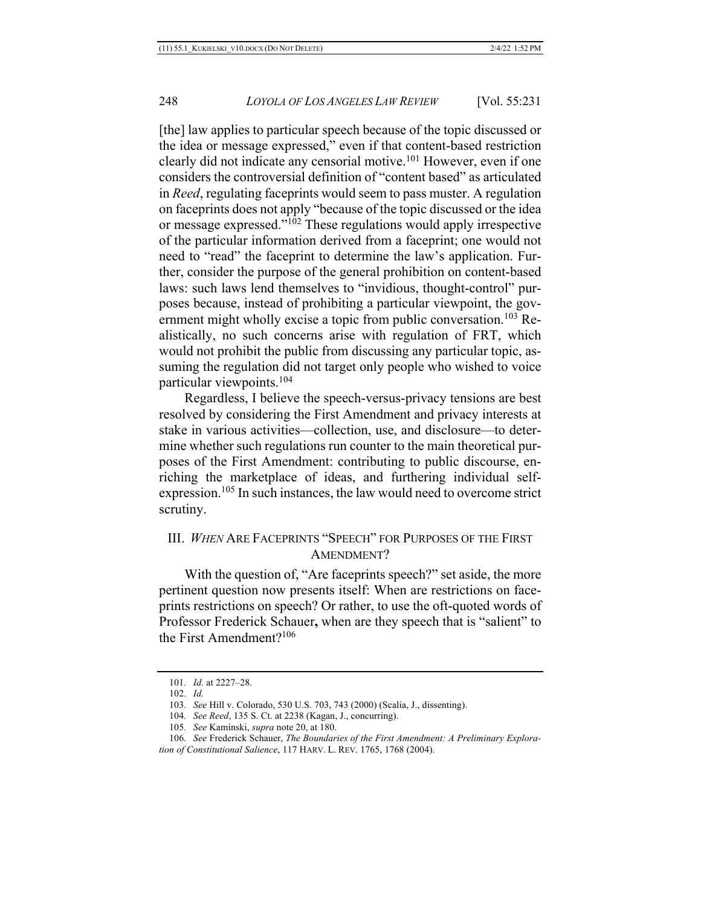[the] law applies to particular speech because of the topic discussed or the idea or message expressed," even if that content-based restriction clearly did not indicate any censorial motive.<sup>101</sup> However, even if one considers the controversial definition of "content based" as articulated in *Reed*, regulating faceprints would seem to pass muster. A regulation on faceprints does not apply "because of the topic discussed or the idea or message expressed."102 These regulations would apply irrespective of the particular information derived from a faceprint; one would not need to "read" the faceprint to determine the law's application. Further, consider the purpose of the general prohibition on content-based laws: such laws lend themselves to "invidious, thought-control" purposes because, instead of prohibiting a particular viewpoint, the government might wholly excise a topic from public conversation.<sup>103</sup> Realistically, no such concerns arise with regulation of FRT, which would not prohibit the public from discussing any particular topic, assuming the regulation did not target only people who wished to voice particular viewpoints.104

Regardless, I believe the speech-versus-privacy tensions are best resolved by considering the First Amendment and privacy interests at stake in various activities—collection, use, and disclosure—to determine whether such regulations run counter to the main theoretical purposes of the First Amendment: contributing to public discourse, enriching the marketplace of ideas, and furthering individual selfexpression.105 In such instances, the law would need to overcome strict scrutiny.

## III. *WHEN* ARE FACEPRINTS "SPEECH" FOR PURPOSES OF THE FIRST AMENDMENT?

With the question of, "Are faceprints speech?" set aside, the more pertinent question now presents itself: When are restrictions on faceprints restrictions on speech? Or rather, to use the oft-quoted words of Professor Frederick Schauer**,** when are they speech that is "salient" to the First Amendment?106

<sup>101</sup>*. Id.* at 2227–28.

<sup>102</sup>*. Id.*

<sup>103</sup>*. See* Hill v. Colorado, 530 U.S. 703, 743 (2000) (Scalia, J., dissenting).

<sup>104</sup>*. See Reed*, 135 S. Ct. at 2238 (Kagan, J., concurring).

<sup>105</sup>*. See* Kaminski, *supra* note 20, at 180.

<sup>106</sup>*. See* Frederick Schauer, *The Boundaries of the First Amendment: A Preliminary Exploration of Constitutional Salience*, 117 HARV. L. REV. 1765, 1768 (2004).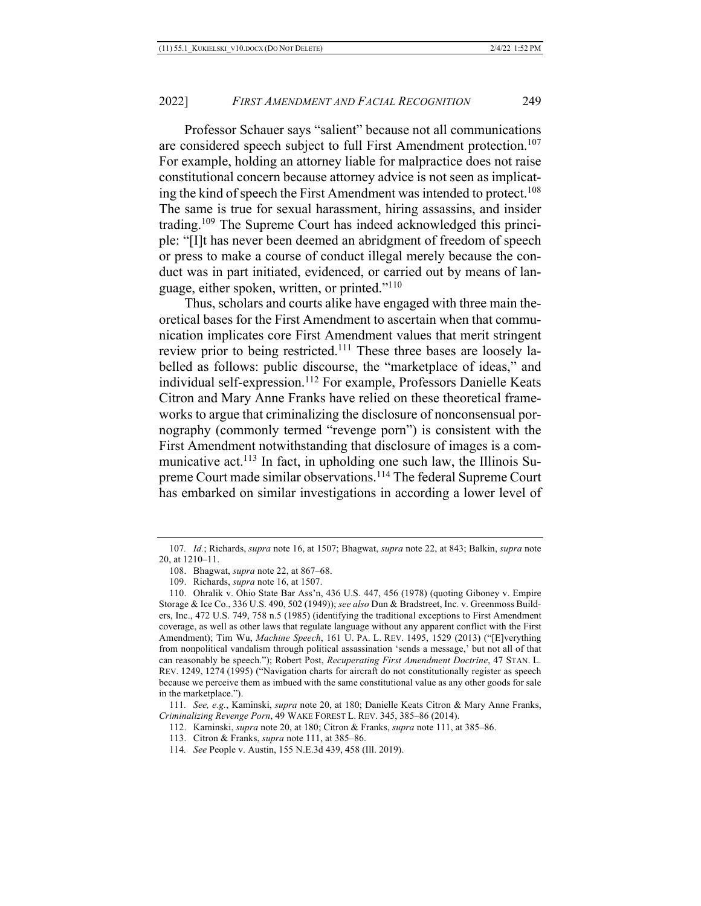Professor Schauer says "salient" because not all communications are considered speech subject to full First Amendment protection.<sup>107</sup> For example, holding an attorney liable for malpractice does not raise constitutional concern because attorney advice is not seen as implicating the kind of speech the First Amendment was intended to protect.<sup>108</sup> The same is true for sexual harassment, hiring assassins, and insider trading.109 The Supreme Court has indeed acknowledged this principle: "[I]t has never been deemed an abridgment of freedom of speech or press to make a course of conduct illegal merely because the conduct was in part initiated, evidenced, or carried out by means of language, either spoken, written, or printed."110

Thus, scholars and courts alike have engaged with three main theoretical bases for the First Amendment to ascertain when that communication implicates core First Amendment values that merit stringent review prior to being restricted.111 These three bases are loosely labelled as follows: public discourse, the "marketplace of ideas," and individual self-expression.<sup>112</sup> For example, Professors Danielle Keats Citron and Mary Anne Franks have relied on these theoretical frameworks to argue that criminalizing the disclosure of nonconsensual pornography (commonly termed "revenge porn") is consistent with the First Amendment notwithstanding that disclosure of images is a communicative act.<sup>113</sup> In fact, in upholding one such law, the Illinois Supreme Court made similar observations.<sup>114</sup> The federal Supreme Court has embarked on similar investigations in according a lower level of

<sup>107</sup>*. Id.*; Richards, *supra* note 16, at 1507; Bhagwat, *supra* note 22, at 843; Balkin, *supra* note 20, at 1210–11.

<sup>108.</sup> Bhagwat, *supra* note 22, at 867–68.

<sup>109.</sup> Richards, *supra* note 16, at 1507.

<sup>110.</sup> Ohralik v. Ohio State Bar Ass'n, 436 U.S. 447, 456 (1978) (quoting Giboney v. Empire Storage & Ice Co., 336 U.S. 490, 502 (1949)); *see also* Dun & Bradstreet, Inc. v. Greenmoss Builders, Inc., 472 U.S. 749, 758 n.5 (1985) (identifying the traditional exceptions to First Amendment coverage, as well as other laws that regulate language without any apparent conflict with the First Amendment); Tim Wu, *Machine Speech*, 161 U. PA. L. REV. 1495, 1529 (2013) ("[E]verything from nonpolitical vandalism through political assassination 'sends a message,' but not all of that can reasonably be speech."); Robert Post, *Recuperating First Amendment Doctrine*, 47 STAN. L. REV. 1249, 1274 (1995) ("Navigation charts for aircraft do not constitutionally register as speech because we perceive them as imbued with the same constitutional value as any other goods for sale in the marketplace.").

<sup>111</sup>*. See, e.g.*, Kaminski, *supra* note 20, at 180; Danielle Keats Citron & Mary Anne Franks, *Criminalizing Revenge Porn*, 49 WAKE FOREST L. REV. 345, 385–86 (2014).

<sup>112.</sup> Kaminski, *supra* note 20, at 180; Citron & Franks, *supra* note 111, at 385–86.

<sup>113.</sup> Citron & Franks, *supra* note 111, at 385–86.

<sup>114</sup>*. See* People v. Austin, 155 N.E.3d 439, 458 (Ill. 2019).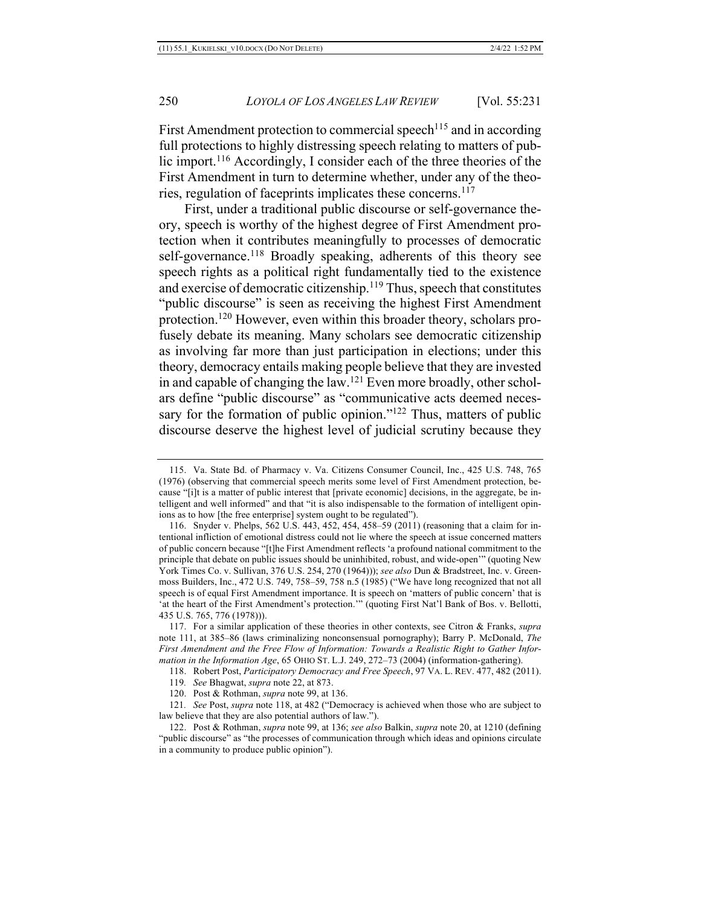First Amendment protection to commercial speech<sup>115</sup> and in according full protections to highly distressing speech relating to matters of public import.116 Accordingly, I consider each of the three theories of the First Amendment in turn to determine whether, under any of the theories, regulation of faceprints implicates these concerns.117

First, under a traditional public discourse or self-governance theory, speech is worthy of the highest degree of First Amendment protection when it contributes meaningfully to processes of democratic self-governance.<sup>118</sup> Broadly speaking, adherents of this theory see speech rights as a political right fundamentally tied to the existence and exercise of democratic citizenship. $119$  Thus, speech that constitutes "public discourse" is seen as receiving the highest First Amendment protection.120 However, even within this broader theory, scholars profusely debate its meaning. Many scholars see democratic citizenship as involving far more than just participation in elections; under this theory, democracy entails making people believe that they are invested in and capable of changing the law.121 Even more broadly, other scholars define "public discourse" as "communicative acts deemed necessary for the formation of public opinion."<sup>122</sup> Thus, matters of public discourse deserve the highest level of judicial scrutiny because they

<sup>115.</sup> Va. State Bd. of Pharmacy v. Va. Citizens Consumer Council, Inc., 425 U.S. 748, 765 (1976) (observing that commercial speech merits some level of First Amendment protection, because "[i]t is a matter of public interest that [private economic] decisions, in the aggregate, be intelligent and well informed" and that "it is also indispensable to the formation of intelligent opinions as to how [the free enterprise] system ought to be regulated").

<sup>116.</sup> Snyder v. Phelps, 562 U.S. 443, 452, 454, 458–59 (2011) (reasoning that a claim for intentional infliction of emotional distress could not lie where the speech at issue concerned matters of public concern because "[t]he First Amendment reflects 'a profound national commitment to the principle that debate on public issues should be uninhibited, robust, and wide-open'" (quoting New York Times Co. v. Sullivan, 376 U.S. 254, 270 (1964))); *see also* Dun & Bradstreet, Inc. v. Greenmoss Builders, Inc., 472 U.S. 749, 758–59, 758 n.5 (1985) ("We have long recognized that not all speech is of equal First Amendment importance. It is speech on 'matters of public concern' that is 'at the heart of the First Amendment's protection.'" (quoting First Nat'l Bank of Bos. v. Bellotti, 435 U.S. 765, 776 (1978))).

<sup>117.</sup> For a similar application of these theories in other contexts, see Citron & Franks, *supra* note 111, at 385–86 (laws criminalizing nonconsensual pornography); Barry P. McDonald, *The First Amendment and the Free Flow of Information: Towards a Realistic Right to Gather Information in the Information Age*, 65 OHIO ST. L.J. 249, 272–73 (2004) (information-gathering).

<sup>118.</sup> Robert Post, *Participatory Democracy and Free Speech*, 97 VA. L. REV. 477, 482 (2011).

<sup>119</sup>*. See* Bhagwat, *supra* note 22, at 873.

<sup>120.</sup> Post & Rothman, *supra* note 99, at 136.

<sup>121</sup>*. See* Post, *supra* note 118, at 482 ("Democracy is achieved when those who are subject to law believe that they are also potential authors of law.").

<sup>122.</sup> Post & Rothman, *supra* note 99, at 136; *see also* Balkin, *supra* note 20, at 1210 (defining "public discourse" as "the processes of communication through which ideas and opinions circulate in a community to produce public opinion").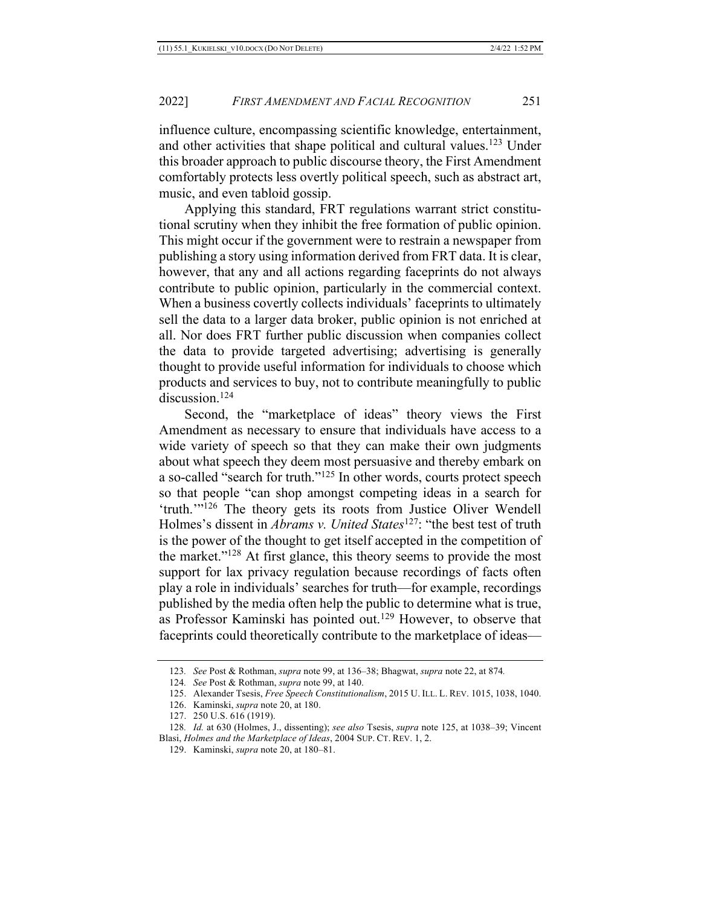influence culture, encompassing scientific knowledge, entertainment, and other activities that shape political and cultural values.<sup>123</sup> Under this broader approach to public discourse theory, the First Amendment comfortably protects less overtly political speech, such as abstract art, music, and even tabloid gossip.

Applying this standard, FRT regulations warrant strict constitutional scrutiny when they inhibit the free formation of public opinion. This might occur if the government were to restrain a newspaper from publishing a story using information derived from FRT data. It is clear, however, that any and all actions regarding faceprints do not always contribute to public opinion, particularly in the commercial context. When a business covertly collects individuals' faceprints to ultimately sell the data to a larger data broker, public opinion is not enriched at all. Nor does FRT further public discussion when companies collect the data to provide targeted advertising; advertising is generally thought to provide useful information for individuals to choose which products and services to buy, not to contribute meaningfully to public discussion.<sup>124</sup>

Second, the "marketplace of ideas" theory views the First Amendment as necessary to ensure that individuals have access to a wide variety of speech so that they can make their own judgments about what speech they deem most persuasive and thereby embark on a so-called "search for truth."125 In other words, courts protect speech so that people "can shop amongst competing ideas in a search for 'truth.'"126 The theory gets its roots from Justice Oliver Wendell Holmes's dissent in *Abrams v. United States*127: "the best test of truth is the power of the thought to get itself accepted in the competition of the market."128 At first glance, this theory seems to provide the most support for lax privacy regulation because recordings of facts often play a role in individuals' searches for truth—for example, recordings published by the media often help the public to determine what is true, as Professor Kaminski has pointed out.129 However, to observe that faceprints could theoretically contribute to the marketplace of ideas—

<sup>123</sup>*. See* Post & Rothman, *supra* note 99, at 136–38; Bhagwat, *supra* note 22, at 874*.*

<sup>124</sup>*. See* Post & Rothman, *supra* note 99, at 140.

<sup>125.</sup> Alexander Tsesis, *Free Speech Constitutionalism*, 2015 U. ILL. L. REV. 1015, 1038, 1040.

<sup>126.</sup> Kaminski, *supra* note 20, at 180.

<sup>127.</sup> 250 U.S. 616 (1919).

<sup>128</sup>*. Id.* at 630 (Holmes, J., dissenting); *see also* Tsesis, *supra* note 125, at 1038–39; Vincent Blasi, *Holmes and the Marketplace of Ideas*, 2004 SUP. CT. REV. 1, 2.

<sup>129.</sup> Kaminski, *supra* note 20, at 180–81.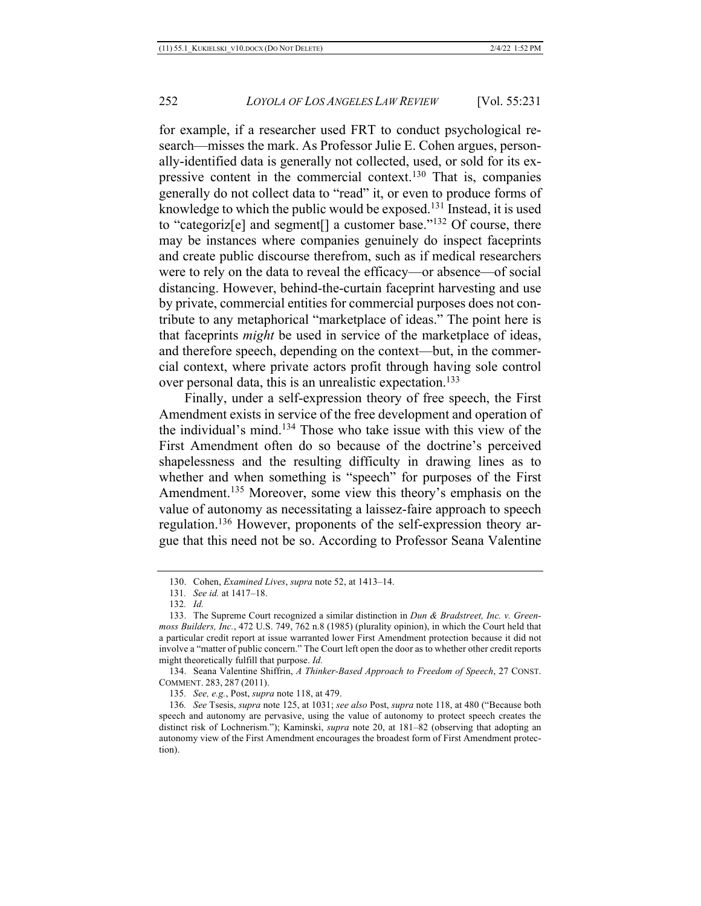for example, if a researcher used FRT to conduct psychological research—misses the mark. As Professor Julie E. Cohen argues, personally-identified data is generally not collected, used, or sold for its expressive content in the commercial context.130 That is, companies generally do not collect data to "read" it, or even to produce forms of knowledge to which the public would be exposed.131 Instead, it is used to "categoriz[e] and segment[] a customer base."132 Of course, there may be instances where companies genuinely do inspect faceprints and create public discourse therefrom, such as if medical researchers were to rely on the data to reveal the efficacy—or absence—of social distancing. However, behind-the-curtain faceprint harvesting and use by private, commercial entities for commercial purposes does not contribute to any metaphorical "marketplace of ideas." The point here is that faceprints *might* be used in service of the marketplace of ideas, and therefore speech, depending on the context—but, in the commercial context, where private actors profit through having sole control over personal data, this is an unrealistic expectation.133

Finally, under a self-expression theory of free speech, the First Amendment exists in service of the free development and operation of the individual's mind.134 Those who take issue with this view of the First Amendment often do so because of the doctrine's perceived shapelessness and the resulting difficulty in drawing lines as to whether and when something is "speech" for purposes of the First Amendment.<sup>135</sup> Moreover, some view this theory's emphasis on the value of autonomy as necessitating a laissez-faire approach to speech regulation.136 However, proponents of the self-expression theory argue that this need not be so. According to Professor Seana Valentine

134. Seana Valentine Shiffrin, *A Thinker-Based Approach to Freedom of Speech*, 27 CONST. COMMENT. 283, 287 (2011).

135*. See, e.g.*, Post, *supra* note 118, at 479.

<sup>130.</sup> Cohen, *Examined Lives*, *supra* note 52, at 1413–14.

<sup>131</sup>*. See id.* at 1417–18.

<sup>132</sup>*. Id.*

<sup>133.</sup> The Supreme Court recognized a similar distinction in *Dun & Bradstreet, Inc. v. Greenmoss Builders, Inc.*, 472 U.S. 749, 762 n.8 (1985) (plurality opinion), in which the Court held that a particular credit report at issue warranted lower First Amendment protection because it did not involve a "matter of public concern." The Court left open the door as to whether other credit reports might theoretically fulfill that purpose. *Id.*

<sup>136</sup>*. See* Tsesis, *supra* note 125, at 1031; *see also* Post, *supra* note 118, at 480 ("Because both speech and autonomy are pervasive, using the value of autonomy to protect speech creates the distinct risk of Lochnerism."); Kaminski, *supra* note 20, at 181–82 (observing that adopting an autonomy view of the First Amendment encourages the broadest form of First Amendment protection).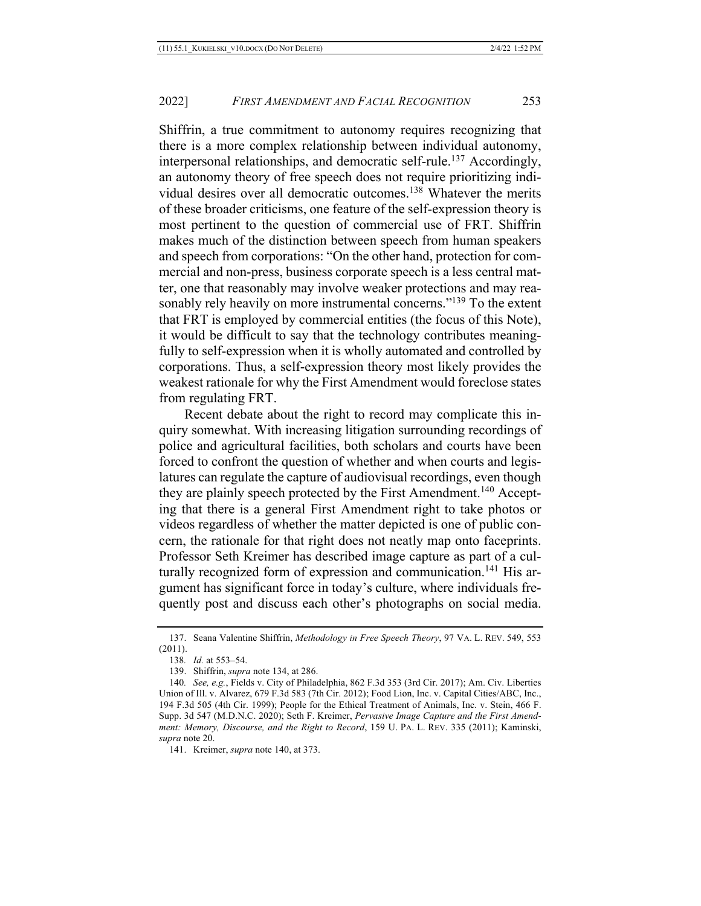Shiffrin, a true commitment to autonomy requires recognizing that there is a more complex relationship between individual autonomy, interpersonal relationships, and democratic self-rule.<sup>137</sup> Accordingly, an autonomy theory of free speech does not require prioritizing individual desires over all democratic outcomes.138 Whatever the merits of these broader criticisms, one feature of the self-expression theory is most pertinent to the question of commercial use of FRT. Shiffrin makes much of the distinction between speech from human speakers and speech from corporations: "On the other hand, protection for commercial and non-press, business corporate speech is a less central matter, one that reasonably may involve weaker protections and may reasonably rely heavily on more instrumental concerns."<sup>139</sup> To the extent that FRT is employed by commercial entities (the focus of this Note), it would be difficult to say that the technology contributes meaningfully to self-expression when it is wholly automated and controlled by corporations. Thus, a self-expression theory most likely provides the weakest rationale for why the First Amendment would foreclose states from regulating FRT.

Recent debate about the right to record may complicate this inquiry somewhat. With increasing litigation surrounding recordings of police and agricultural facilities, both scholars and courts have been forced to confront the question of whether and when courts and legislatures can regulate the capture of audiovisual recordings, even though they are plainly speech protected by the First Amendment.<sup>140</sup> Accepting that there is a general First Amendment right to take photos or videos regardless of whether the matter depicted is one of public concern, the rationale for that right does not neatly map onto faceprints. Professor Seth Kreimer has described image capture as part of a culturally recognized form of expression and communication.<sup>141</sup> His argument has significant force in today's culture, where individuals frequently post and discuss each other's photographs on social media.

<sup>137.</sup> Seana Valentine Shiffrin, *Methodology in Free Speech Theory*, 97 VA. L. REV. 549, 553 (2011).

<sup>138</sup>*. Id.* at 553–54.

<sup>139.</sup> Shiffrin, *supra* note 134, at 286.

<sup>140</sup>*. See, e.g.*, Fields v. City of Philadelphia, 862 F.3d 353 (3rd Cir. 2017); Am. Civ. Liberties Union of Ill. v. Alvarez, 679 F.3d 583 (7th Cir. 2012); Food Lion, Inc. v. Capital Cities/ABC, Inc., 194 F.3d 505 (4th Cir. 1999); People for the Ethical Treatment of Animals, Inc. v. Stein, 466 F. Supp. 3d 547 (M.D.N.C. 2020); Seth F. Kreimer, *Pervasive Image Capture and the First Amendment: Memory, Discourse, and the Right to Record*, 159 U. PA. L. REV. 335 (2011); Kaminski, *supra* note 20.

<sup>141.</sup> Kreimer, *supra* note 140, at 373.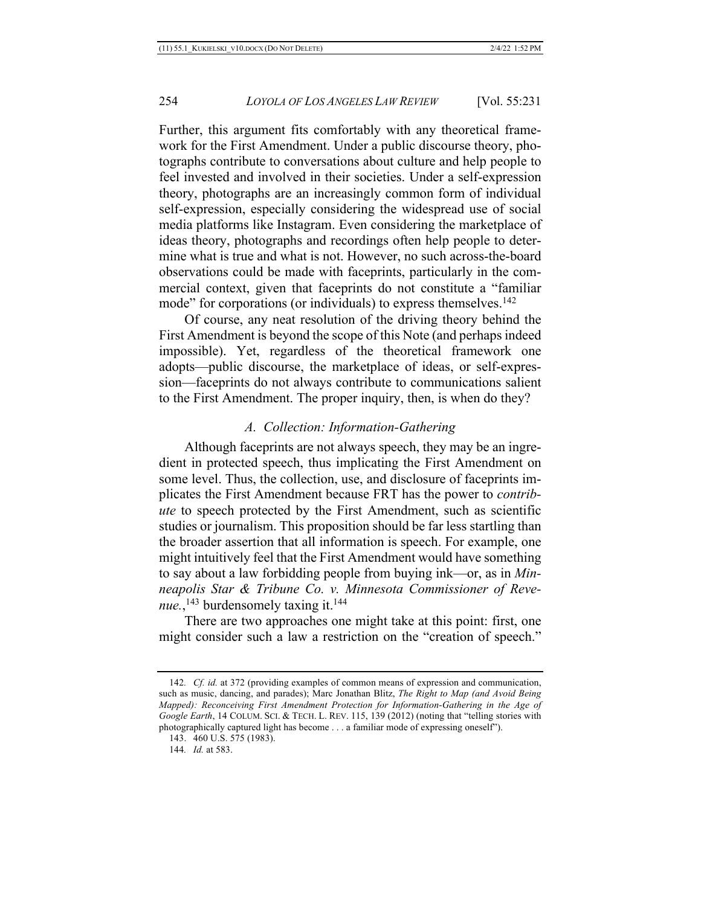Further, this argument fits comfortably with any theoretical framework for the First Amendment. Under a public discourse theory, photographs contribute to conversations about culture and help people to feel invested and involved in their societies. Under a self-expression theory, photographs are an increasingly common form of individual self-expression, especially considering the widespread use of social media platforms like Instagram. Even considering the marketplace of ideas theory, photographs and recordings often help people to determine what is true and what is not. However, no such across-the-board observations could be made with faceprints, particularly in the commercial context, given that faceprints do not constitute a "familiar mode" for corporations (or individuals) to express themselves.<sup>142</sup>

Of course, any neat resolution of the driving theory behind the First Amendment is beyond the scope of this Note (and perhaps indeed impossible). Yet, regardless of the theoretical framework one adopts—public discourse, the marketplace of ideas, or self-expression—faceprints do not always contribute to communications salient to the First Amendment. The proper inquiry, then, is when do they?

## *A. Collection: Information-Gathering*

Although faceprints are not always speech, they may be an ingredient in protected speech, thus implicating the First Amendment on some level. Thus, the collection, use, and disclosure of faceprints implicates the First Amendment because FRT has the power to *contribute* to speech protected by the First Amendment, such as scientific studies or journalism. This proposition should be far less startling than the broader assertion that all information is speech. For example, one might intuitively feel that the First Amendment would have something to say about a law forbidding people from buying ink—or, as in *Minneapolis Star & Tribune Co. v. Minnesota Commissioner of Reve*nue.,<sup>143</sup> burdensomely taxing it.<sup>144</sup>

There are two approaches one might take at this point: first, one might consider such a law a restriction on the "creation of speech."

<sup>142</sup>*. Cf. id.* at 372 (providing examples of common means of expression and communication, such as music, dancing, and parades); Marc Jonathan Blitz, *The Right to Map (and Avoid Being Mapped): Reconceiving First Amendment Protection for Information-Gathering in the Age of Google Earth*, 14 COLUM. SCI. & TECH. L. REV. 115, 139 (2012) (noting that "telling stories with photographically captured light has become . . . a familiar mode of expressing oneself").

<sup>143.</sup> 460 U.S. 575 (1983).

<sup>144</sup>*. Id.* at 583.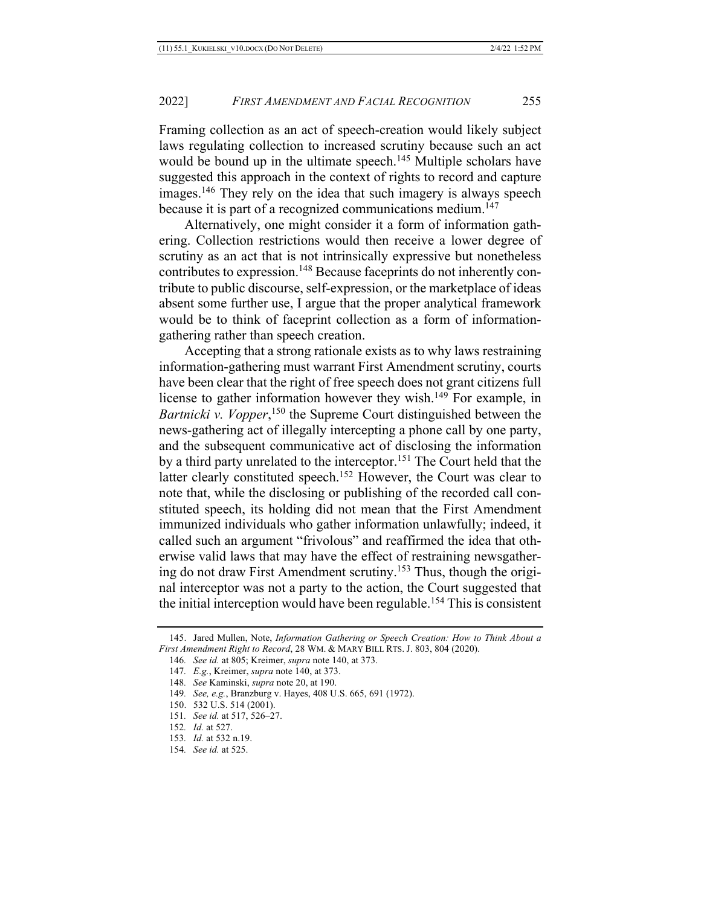Framing collection as an act of speech-creation would likely subject laws regulating collection to increased scrutiny because such an act would be bound up in the ultimate speech.<sup>145</sup> Multiple scholars have suggested this approach in the context of rights to record and capture images.<sup>146</sup> They rely on the idea that such imagery is always speech because it is part of a recognized communications medium.<sup>147</sup>

Alternatively, one might consider it a form of information gathering. Collection restrictions would then receive a lower degree of scrutiny as an act that is not intrinsically expressive but nonetheless contributes to expression.148 Because faceprints do not inherently contribute to public discourse, self-expression, or the marketplace of ideas absent some further use, I argue that the proper analytical framework would be to think of faceprint collection as a form of informationgathering rather than speech creation.

Accepting that a strong rationale exists as to why laws restraining information-gathering must warrant First Amendment scrutiny, courts have been clear that the right of free speech does not grant citizens full license to gather information however they wish.<sup>149</sup> For example, in Bartnicki v. Vopper,<sup>150</sup> the Supreme Court distinguished between the news-gathering act of illegally intercepting a phone call by one party, and the subsequent communicative act of disclosing the information by a third party unrelated to the interceptor.151 The Court held that the latter clearly constituted speech.<sup>152</sup> However, the Court was clear to note that, while the disclosing or publishing of the recorded call constituted speech, its holding did not mean that the First Amendment immunized individuals who gather information unlawfully; indeed, it called such an argument "frivolous" and reaffirmed the idea that otherwise valid laws that may have the effect of restraining newsgathering do not draw First Amendment scrutiny.153 Thus, though the original interceptor was not a party to the action, the Court suggested that the initial interception would have been regulable.<sup>154</sup> This is consistent

- 150. 532 U.S. 514 (2001).
- 151*. See id.* at 517, 526–27.
- 152*. Id.* at 527.
- 153*. Id.* at 532 n.19.
- 154*. See id.* at 525.

<sup>145.</sup> Jared Mullen, Note, *Information Gathering or Speech Creation: How to Think About a First Amendment Right to Record*, 28 WM. & MARY BILL RTS. J. 803, 804 (2020).

<sup>146</sup>*. See id.* at 805; Kreimer, *supra* note 140, at 373.

<sup>147</sup>*. E.g.*, Kreimer, *supra* note 140, at 373.

<sup>148</sup>*. See* Kaminski, *supra* note 20, at 190.

<sup>149</sup>*. See, e.g.*, Branzburg v. Hayes, 408 U.S. 665, 691 (1972).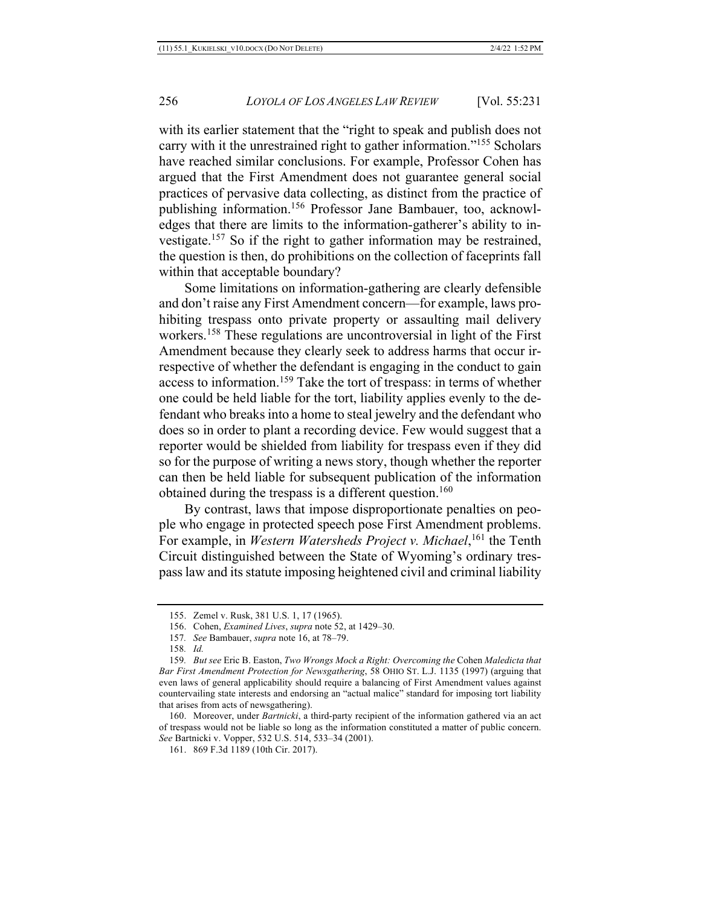with its earlier statement that the "right to speak and publish does not carry with it the unrestrained right to gather information."155 Scholars have reached similar conclusions. For example, Professor Cohen has argued that the First Amendment does not guarantee general social practices of pervasive data collecting, as distinct from the practice of publishing information.156 Professor Jane Bambauer, too, acknowledges that there are limits to the information-gatherer's ability to investigate.157 So if the right to gather information may be restrained, the question is then, do prohibitions on the collection of faceprints fall within that acceptable boundary?

Some limitations on information-gathering are clearly defensible and don't raise any First Amendment concern—for example, laws prohibiting trespass onto private property or assaulting mail delivery workers.158 These regulations are uncontroversial in light of the First Amendment because they clearly seek to address harms that occur irrespective of whether the defendant is engaging in the conduct to gain access to information.159 Take the tort of trespass: in terms of whether one could be held liable for the tort, liability applies evenly to the defendant who breaks into a home to steal jewelry and the defendant who does so in order to plant a recording device. Few would suggest that a reporter would be shielded from liability for trespass even if they did so for the purpose of writing a news story, though whether the reporter can then be held liable for subsequent publication of the information obtained during the trespass is a different question.<sup>160</sup>

By contrast, laws that impose disproportionate penalties on people who engage in protected speech pose First Amendment problems. For example, in *Western Watersheds Project v. Michael*, <sup>161</sup> the Tenth Circuit distinguished between the State of Wyoming's ordinary trespass law and its statute imposing heightened civil and criminal liability

160. Moreover, under *Bartnicki*, a third-party recipient of the information gathered via an act of trespass would not be liable so long as the information constituted a matter of public concern. *See* Bartnicki v. Vopper, 532 U.S. 514, 533–34 (2001).

<sup>155.</sup> Zemel v. Rusk, 381 U.S. 1, 17 (1965).

<sup>156.</sup> Cohen, *Examined Lives*, *supra* note 52, at 1429–30.

<sup>157</sup>*. See* Bambauer, *supra* note 16, at 78–79.

<sup>158</sup>*. Id.*

<sup>159</sup>*. But see* Eric B. Easton, *Two Wrongs Mock a Right: Overcoming the* Cohen *Maledicta that Bar First Amendment Protection for Newsgathering*, 58 OHIO ST. L.J. 1135 (1997) (arguing that even laws of general applicability should require a balancing of First Amendment values against countervailing state interests and endorsing an "actual malice" standard for imposing tort liability that arises from acts of newsgathering).

<sup>161.</sup> 869 F.3d 1189 (10th Cir. 2017).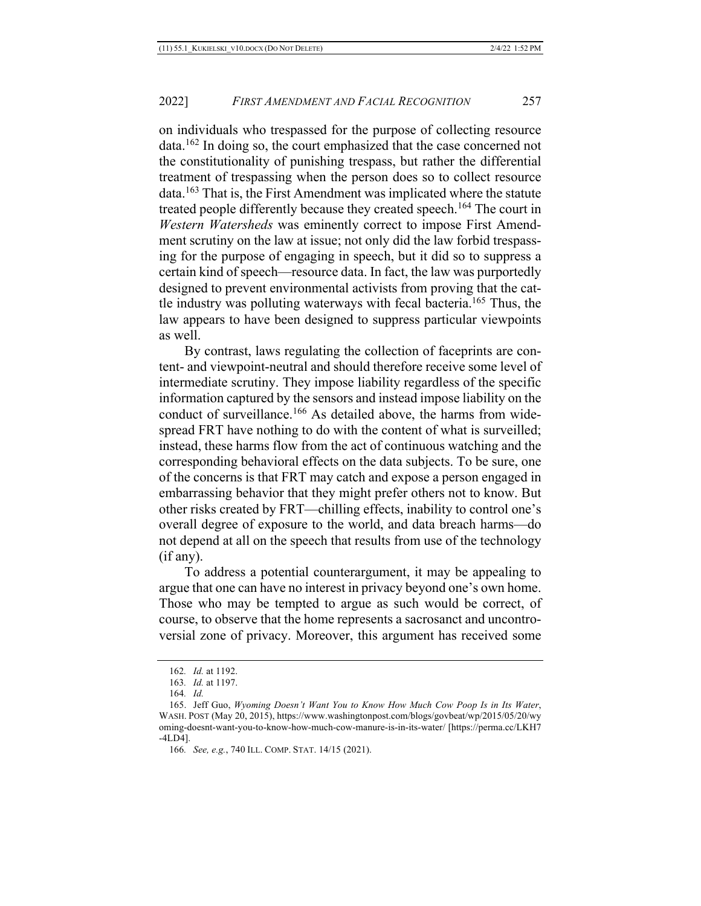on individuals who trespassed for the purpose of collecting resource data.162 In doing so, the court emphasized that the case concerned not the constitutionality of punishing trespass, but rather the differential treatment of trespassing when the person does so to collect resource data.163 That is, the First Amendment was implicated where the statute treated people differently because they created speech.<sup>164</sup> The court in *Western Watersheds* was eminently correct to impose First Amendment scrutiny on the law at issue; not only did the law forbid trespassing for the purpose of engaging in speech, but it did so to suppress a certain kind of speech—resource data. In fact, the law was purportedly designed to prevent environmental activists from proving that the cattle industry was polluting waterways with fecal bacteria.165 Thus, the law appears to have been designed to suppress particular viewpoints as well.

By contrast, laws regulating the collection of faceprints are content- and viewpoint-neutral and should therefore receive some level of intermediate scrutiny. They impose liability regardless of the specific information captured by the sensors and instead impose liability on the conduct of surveillance.<sup>166</sup> As detailed above, the harms from widespread FRT have nothing to do with the content of what is surveilled; instead, these harms flow from the act of continuous watching and the corresponding behavioral effects on the data subjects. To be sure, one of the concerns is that FRT may catch and expose a person engaged in embarrassing behavior that they might prefer others not to know. But other risks created by FRT—chilling effects, inability to control one's overall degree of exposure to the world, and data breach harms—do not depend at all on the speech that results from use of the technology (if any).

To address a potential counterargument, it may be appealing to argue that one can have no interest in privacy beyond one's own home. Those who may be tempted to argue as such would be correct, of course, to observe that the home represents a sacrosanct and uncontroversial zone of privacy. Moreover, this argument has received some

<sup>162</sup>*. Id.* at 1192.

<sup>163</sup>*. Id.* at 1197.

<sup>164</sup>*. Id.*

<sup>165.</sup> Jeff Guo, *Wyoming Doesn't Want You to Know How Much Cow Poop Is in Its Water*, WASH. POST (May 20, 2015), https://www.washingtonpost.com/blogs/govbeat/wp/2015/05/20/wy oming-doesnt-want-you-to-know-how-much-cow-manure-is-in-its-water/ [https://perma.cc/LKH7 -4LD4].

<sup>166</sup>*. See, e.g.*, 740 ILL. COMP. STAT. 14/15 (2021).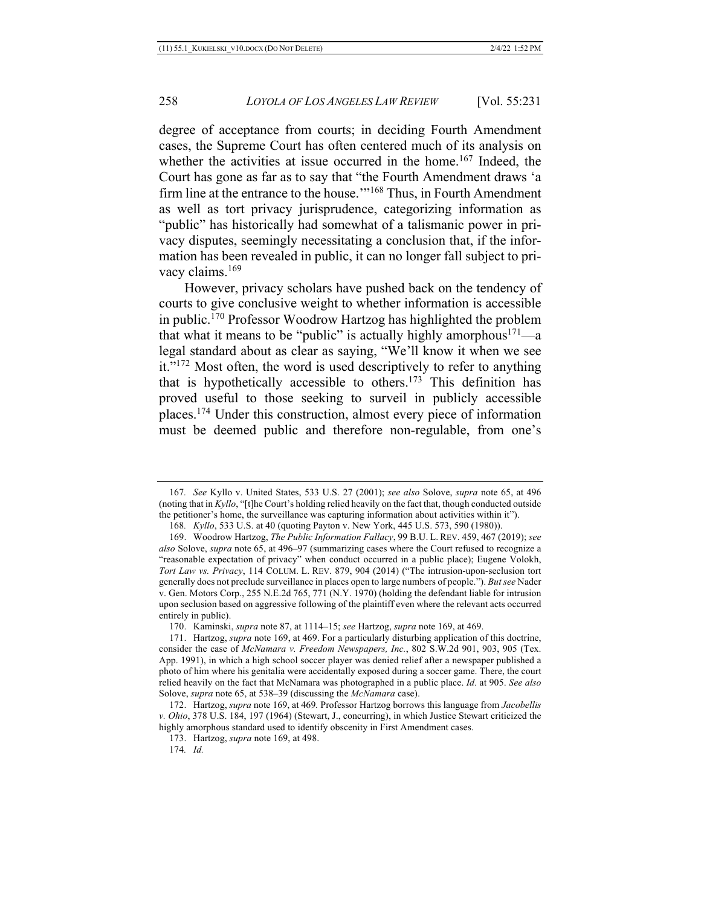degree of acceptance from courts; in deciding Fourth Amendment cases, the Supreme Court has often centered much of its analysis on whether the activities at issue occurred in the home.<sup>167</sup> Indeed, the Court has gone as far as to say that "the Fourth Amendment draws 'a firm line at the entrance to the house.<sup>'"168</sup> Thus, in Fourth Amendment as well as tort privacy jurisprudence, categorizing information as "public" has historically had somewhat of a talismanic power in privacy disputes, seemingly necessitating a conclusion that, if the information has been revealed in public, it can no longer fall subject to privacy claims.<sup>169</sup>

However, privacy scholars have pushed back on the tendency of courts to give conclusive weight to whether information is accessible in public.170 Professor Woodrow Hartzog has highlighted the problem that what it means to be "public" is actually highly amorphous $171$ —a legal standard about as clear as saying, "We'll know it when we see it."172 Most often, the word is used descriptively to refer to anything that is hypothetically accessible to others.<sup>173</sup> This definition has proved useful to those seeking to surveil in publicly accessible places.174 Under this construction, almost every piece of information must be deemed public and therefore non-regulable, from one's

<sup>167</sup>*. See* Kyllo v. United States, 533 U.S. 27 (2001); *see also* Solove, *supra* note 65, at 496 (noting that in *Kyllo*, "[t]he Court's holding relied heavily on the fact that, though conducted outside the petitioner's home, the surveillance was capturing information about activities within it").

<sup>168</sup>*. Kyllo*, 533 U.S. at 40 (quoting Payton v. New York, 445 U.S. 573, 590 (1980)).

<sup>169.</sup> Woodrow Hartzog, *The Public Information Fallacy*, 99 B.U. L. REV. 459, 467 (2019); *see also* Solove, *supra* note 65, at 496–97 (summarizing cases where the Court refused to recognize a "reasonable expectation of privacy" when conduct occurred in a public place); Eugene Volokh, *Tort Law vs. Privacy*, 114 COLUM. L. REV. 879, 904 (2014) ("The intrusion-upon-seclusion tort generally does not preclude surveillance in places open to large numbers of people."). *But see* Nader v. Gen. Motors Corp., 255 N.E.2d 765, 771 (N.Y. 1970) (holding the defendant liable for intrusion upon seclusion based on aggressive following of the plaintiff even where the relevant acts occurred entirely in public).

<sup>170.</sup> Kaminski, *supra* note 87, at 1114–15; *see* Hartzog, *supra* note 169, at 469.

<sup>171.</sup> Hartzog, *supra* note 169, at 469. For a particularly disturbing application of this doctrine, consider the case of *McNamara v. Freedom Newspapers, Inc.*, 802 S.W.2d 901, 903, 905 (Tex. App. 1991), in which a high school soccer player was denied relief after a newspaper published a photo of him where his genitalia were accidentally exposed during a soccer game. There, the court relied heavily on the fact that McNamara was photographed in a public place. *Id.* at 905. *See also* Solove, *supra* note 65, at 538–39 (discussing the *McNamara* case).

<sup>172.</sup> Hartzog, *supra* note 169, at 469*.* Professor Hartzog borrows this language from *Jacobellis v. Ohio*, 378 U.S. 184, 197 (1964) (Stewart, J., concurring), in which Justice Stewart criticized the highly amorphous standard used to identify obscenity in First Amendment cases.

<sup>173.</sup> Hartzog, *supra* note 169, at 498.

<sup>174</sup>*. Id.*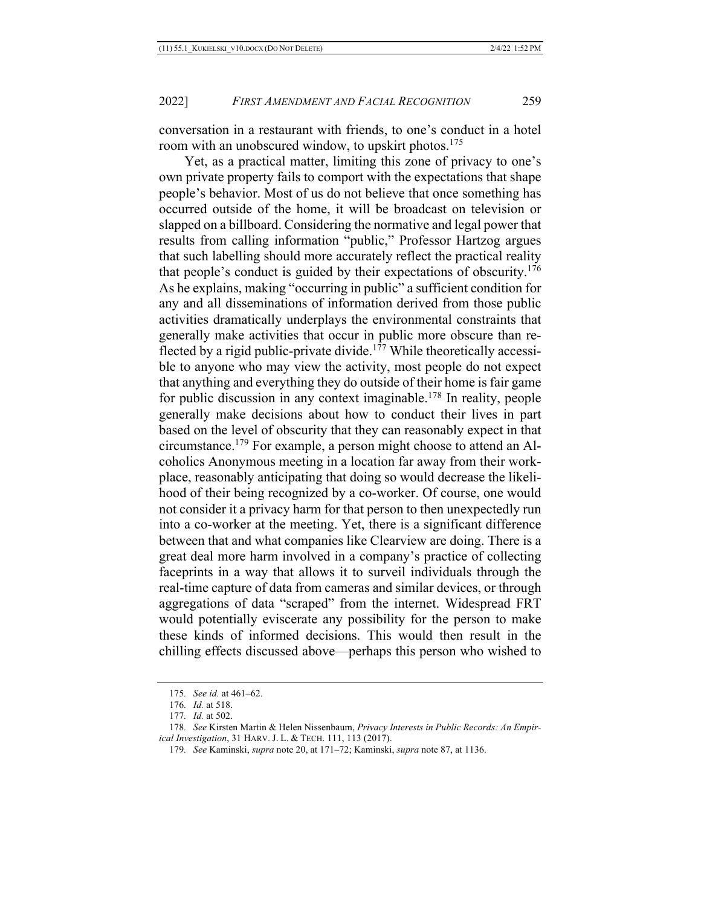conversation in a restaurant with friends, to one's conduct in a hotel room with an unobscured window, to upskirt photos.<sup>175</sup>

Yet, as a practical matter, limiting this zone of privacy to one's own private property fails to comport with the expectations that shape people's behavior. Most of us do not believe that once something has occurred outside of the home, it will be broadcast on television or slapped on a billboard. Considering the normative and legal power that results from calling information "public," Professor Hartzog argues that such labelling should more accurately reflect the practical reality that people's conduct is guided by their expectations of obscurity.176 As he explains, making "occurring in public" a sufficient condition for any and all disseminations of information derived from those public activities dramatically underplays the environmental constraints that generally make activities that occur in public more obscure than reflected by a rigid public-private divide.<sup>177</sup> While theoretically accessible to anyone who may view the activity, most people do not expect that anything and everything they do outside of their home is fair game for public discussion in any context imaginable.<sup>178</sup> In reality, people generally make decisions about how to conduct their lives in part based on the level of obscurity that they can reasonably expect in that circumstance.179 For example, a person might choose to attend an Alcoholics Anonymous meeting in a location far away from their workplace, reasonably anticipating that doing so would decrease the likelihood of their being recognized by a co-worker. Of course, one would not consider it a privacy harm for that person to then unexpectedly run into a co-worker at the meeting. Yet, there is a significant difference between that and what companies like Clearview are doing. There is a great deal more harm involved in a company's practice of collecting faceprints in a way that allows it to surveil individuals through the real-time capture of data from cameras and similar devices, or through aggregations of data "scraped" from the internet. Widespread FRT would potentially eviscerate any possibility for the person to make these kinds of informed decisions. This would then result in the chilling effects discussed above—perhaps this person who wished to

<sup>175</sup>*. See id.* at 461–62.

<sup>176</sup>*. Id.* at 518.

<sup>177</sup>*. Id.* at 502.

<sup>178</sup>*. See* Kirsten Martin & Helen Nissenbaum, *Privacy Interests in Public Records: An Empirical Investigation*, 31 HARV. J. L. & TECH. 111, 113 (2017).

<sup>179</sup>*. See* Kaminski, *supra* note 20, at 171–72; Kaminski, *supra* note 87, at 1136.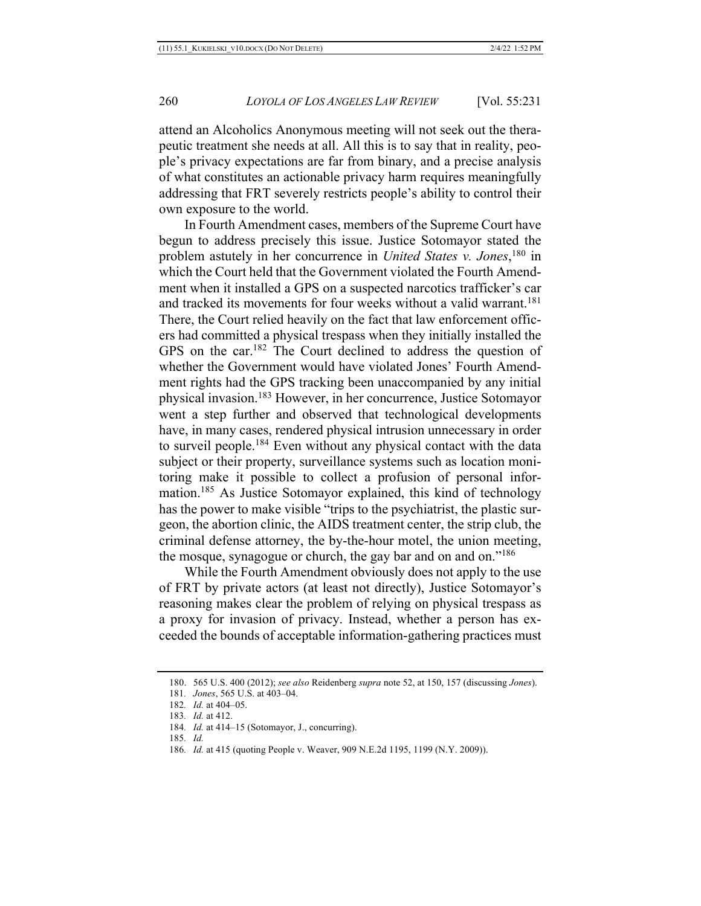attend an Alcoholics Anonymous meeting will not seek out the therapeutic treatment she needs at all. All this is to say that in reality, people's privacy expectations are far from binary, and a precise analysis of what constitutes an actionable privacy harm requires meaningfully addressing that FRT severely restricts people's ability to control their own exposure to the world.

In Fourth Amendment cases, members of the Supreme Court have begun to address precisely this issue. Justice Sotomayor stated the problem astutely in her concurrence in *United States v. Jones*, <sup>180</sup> in which the Court held that the Government violated the Fourth Amendment when it installed a GPS on a suspected narcotics trafficker's car and tracked its movements for four weeks without a valid warrant.<sup>181</sup> There, the Court relied heavily on the fact that law enforcement officers had committed a physical trespass when they initially installed the GPS on the car.182 The Court declined to address the question of whether the Government would have violated Jones' Fourth Amendment rights had the GPS tracking been unaccompanied by any initial physical invasion.183 However, in her concurrence, Justice Sotomayor went a step further and observed that technological developments have, in many cases, rendered physical intrusion unnecessary in order to surveil people.184 Even without any physical contact with the data subject or their property, surveillance systems such as location monitoring make it possible to collect a profusion of personal information.185 As Justice Sotomayor explained, this kind of technology has the power to make visible "trips to the psychiatrist, the plastic surgeon, the abortion clinic, the AIDS treatment center, the strip club, the criminal defense attorney, the by-the-hour motel, the union meeting, the mosque, synagogue or church, the gay bar and on and on."<sup>186</sup>

While the Fourth Amendment obviously does not apply to the use of FRT by private actors (at least not directly), Justice Sotomayor's reasoning makes clear the problem of relying on physical trespass as a proxy for invasion of privacy. Instead, whether a person has exceeded the bounds of acceptable information-gathering practices must

<sup>180.</sup> 565 U.S. 400 (2012); *see also* Reidenberg *supra* note 52, at 150, 157 (discussing *Jones*).

<sup>181</sup>*. Jones*, 565 U.S. at 403–04.

<sup>182</sup>*. Id.* at 404–05.

<sup>183</sup>*. Id.* at 412.

<sup>184</sup>*. Id.* at 414–15 (Sotomayor, J., concurring).

<sup>185</sup>*. Id.*

<sup>186</sup>*. Id.* at 415 (quoting People v. Weaver, 909 N.E.2d 1195, 1199 (N.Y. 2009)).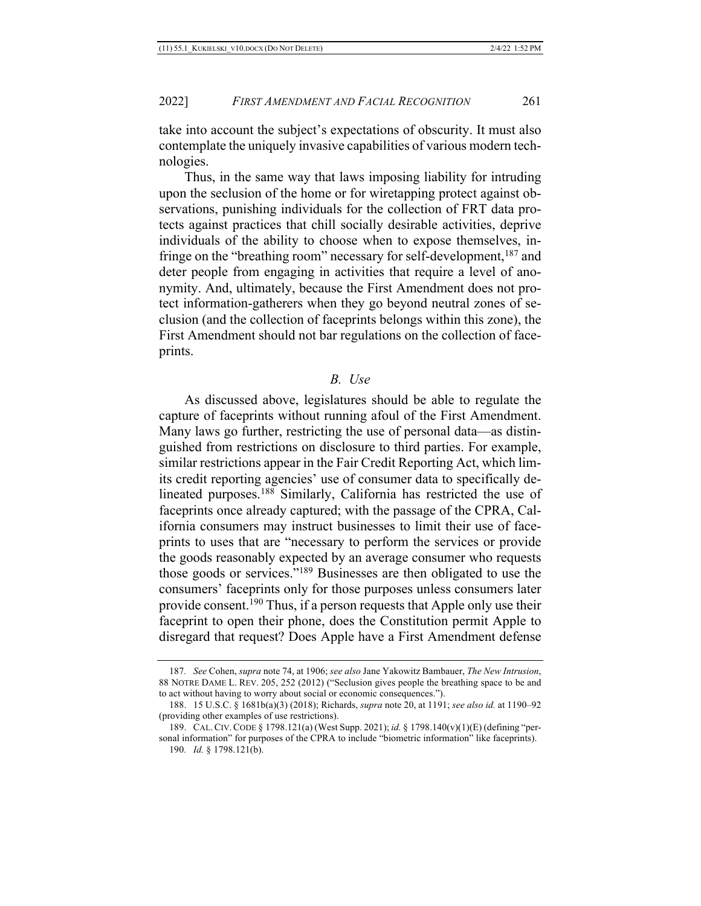take into account the subject's expectations of obscurity. It must also contemplate the uniquely invasive capabilities of various modern technologies.

Thus, in the same way that laws imposing liability for intruding upon the seclusion of the home or for wiretapping protect against observations, punishing individuals for the collection of FRT data protects against practices that chill socially desirable activities, deprive individuals of the ability to choose when to expose themselves, infringe on the "breathing room" necessary for self-development, <sup>187</sup> and deter people from engaging in activities that require a level of anonymity. And, ultimately, because the First Amendment does not protect information-gatherers when they go beyond neutral zones of seclusion (and the collection of faceprints belongs within this zone), the First Amendment should not bar regulations on the collection of faceprints.

#### *B. Use*

As discussed above, legislatures should be able to regulate the capture of faceprints without running afoul of the First Amendment. Many laws go further, restricting the use of personal data—as distinguished from restrictions on disclosure to third parties. For example, similar restrictions appear in the Fair Credit Reporting Act, which limits credit reporting agencies' use of consumer data to specifically delineated purposes.<sup>188</sup> Similarly, California has restricted the use of faceprints once already captured; with the passage of the CPRA, California consumers may instruct businesses to limit their use of faceprints to uses that are "necessary to perform the services or provide the goods reasonably expected by an average consumer who requests those goods or services."189 Businesses are then obligated to use the consumers' faceprints only for those purposes unless consumers later provide consent.<sup>190</sup> Thus, if a person requests that Apple only use their faceprint to open their phone, does the Constitution permit Apple to disregard that request? Does Apple have a First Amendment defense

<sup>187</sup>*. See* Cohen, *supra* note 74, at 1906; *see also* Jane Yakowitz Bambauer, *The New Intrusion*, 88 NOTRE DAME L. REV. 205, 252 (2012) ("Seclusion gives people the breathing space to be and to act without having to worry about social or economic consequences.").

<sup>188.</sup> 15 U.S.C. § 1681b(a)(3) (2018); Richards, *supra* note 20, at 1191; *see also id.* at 1190–92 (providing other examples of use restrictions).

<sup>189.</sup> CAL.CIV.CODE § 1798.121(a) (West Supp. 2021); *id.* § 1798.140(v)(1)(E) (defining "personal information" for purposes of the CPRA to include "biometric information" like faceprints). 190*. Id.* § 1798.121(b).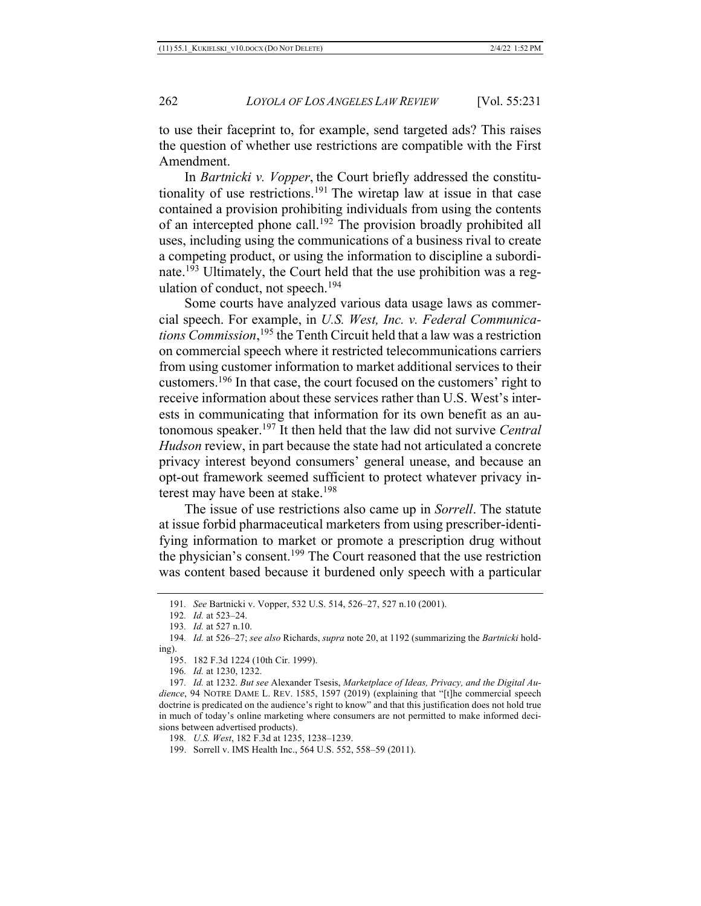to use their faceprint to, for example, send targeted ads? This raises the question of whether use restrictions are compatible with the First Amendment.

In *Bartnicki v. Vopper*, the Court briefly addressed the constitutionality of use restrictions.<sup>191</sup> The wiretap law at issue in that case contained a provision prohibiting individuals from using the contents of an intercepted phone call.<sup>192</sup> The provision broadly prohibited all uses, including using the communications of a business rival to create a competing product, or using the information to discipline a subordinate.193 Ultimately, the Court held that the use prohibition was a regulation of conduct, not speech.<sup>194</sup>

Some courts have analyzed various data usage laws as commercial speech. For example, in *U.S. West, Inc. v. Federal Communications Commission*, <sup>195</sup> the Tenth Circuit held that a law was a restriction on commercial speech where it restricted telecommunications carriers from using customer information to market additional services to their customers.196 In that case, the court focused on the customers' right to receive information about these services rather than U.S. West's interests in communicating that information for its own benefit as an autonomous speaker.197 It then held that the law did not survive *Central Hudson* review, in part because the state had not articulated a concrete privacy interest beyond consumers' general unease, and because an opt-out framework seemed sufficient to protect whatever privacy interest may have been at stake.<sup>198</sup>

The issue of use restrictions also came up in *Sorrell*. The statute at issue forbid pharmaceutical marketers from using prescriber-identifying information to market or promote a prescription drug without the physician's consent.<sup>199</sup> The Court reasoned that the use restriction was content based because it burdened only speech with a particular

195. 182 F.3d 1224 (10th Cir. 1999).

196*. Id.* at 1230, 1232.

198*. U.S. West*, 182 F.3d at 1235, 1238–1239.

199. Sorrell v. IMS Health Inc., 564 U.S. 552, 558–59 (2011).

<sup>191</sup>*. See* Bartnicki v. Vopper, 532 U.S. 514, 526–27, 527 n.10 (2001).

<sup>192</sup>*. Id.* at 523–24.

<sup>193</sup>*. Id.* at 527 n.10.

<sup>194</sup>*. Id.* at 526–27; *see also* Richards, *supra* note 20, at 1192 (summarizing the *Bartnicki* holding).

<sup>197</sup>*. Id.* at 1232. *But see* Alexander Tsesis, *Marketplace of Ideas, Privacy, and the Digital Audience*, 94 NOTRE DAME L. REV. 1585, 1597 (2019) (explaining that "[t]he commercial speech doctrine is predicated on the audience's right to know" and that this justification does not hold true in much of today's online marketing where consumers are not permitted to make informed decisions between advertised products).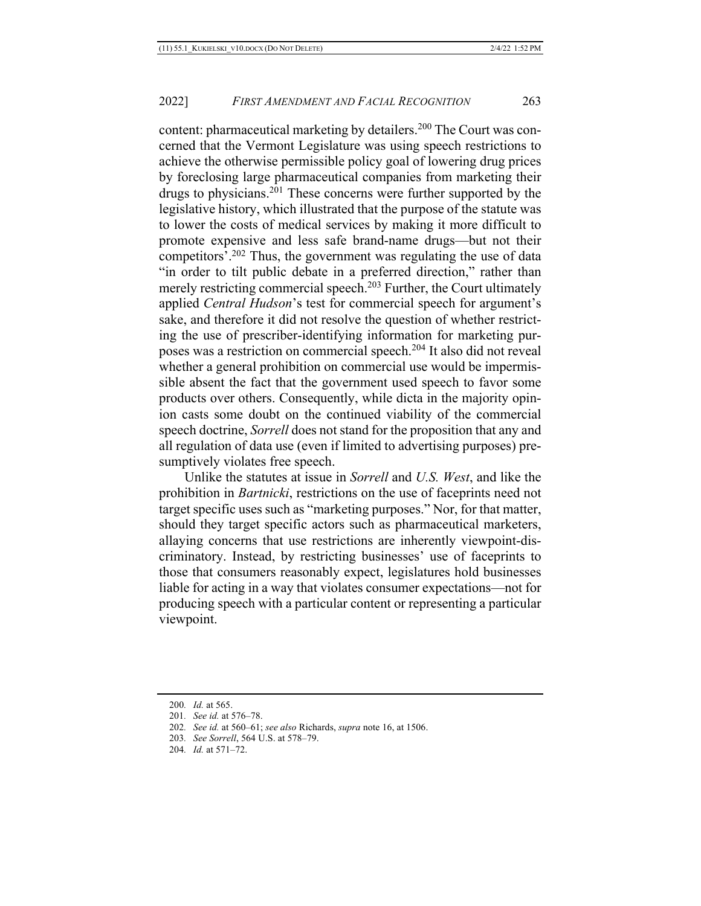content: pharmaceutical marketing by detailers.<sup>200</sup> The Court was concerned that the Vermont Legislature was using speech restrictions to achieve the otherwise permissible policy goal of lowering drug prices by foreclosing large pharmaceutical companies from marketing their drugs to physicians.201 These concerns were further supported by the legislative history, which illustrated that the purpose of the statute was to lower the costs of medical services by making it more difficult to promote expensive and less safe brand-name drugs—but not their competitors'.202 Thus, the government was regulating the use of data "in order to tilt public debate in a preferred direction," rather than merely restricting commercial speech.<sup>203</sup> Further, the Court ultimately applied *Central Hudson*'s test for commercial speech for argument's sake, and therefore it did not resolve the question of whether restricting the use of prescriber-identifying information for marketing purposes was a restriction on commercial speech.204 It also did not reveal whether a general prohibition on commercial use would be impermissible absent the fact that the government used speech to favor some products over others. Consequently, while dicta in the majority opinion casts some doubt on the continued viability of the commercial speech doctrine, *Sorrell* does not stand for the proposition that any and all regulation of data use (even if limited to advertising purposes) presumptively violates free speech.

Unlike the statutes at issue in *Sorrell* and *U.S. West*, and like the prohibition in *Bartnicki*, restrictions on the use of faceprints need not target specific uses such as "marketing purposes." Nor, for that matter, should they target specific actors such as pharmaceutical marketers, allaying concerns that use restrictions are inherently viewpoint-discriminatory. Instead, by restricting businesses' use of faceprints to those that consumers reasonably expect, legislatures hold businesses liable for acting in a way that violates consumer expectations—not for producing speech with a particular content or representing a particular viewpoint.

<sup>200</sup>*. Id.* at 565.

<sup>201</sup>*. See id.* at 576–78.

<sup>202</sup>*. See id.* at 560–61; *see also* Richards, *supra* note 16, at 1506.

<sup>203</sup>*. See Sorrell*, 564 U.S. at 578–79.

<sup>204</sup>*. Id.* at 571–72.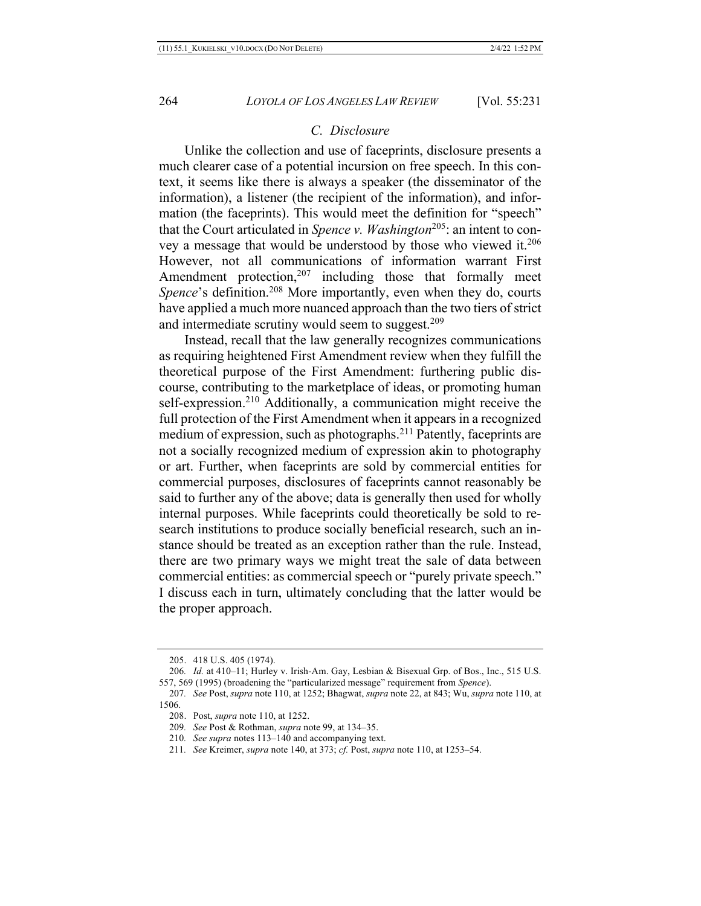#### *C. Disclosure*

Unlike the collection and use of faceprints, disclosure presents a much clearer case of a potential incursion on free speech. In this context, it seems like there is always a speaker (the disseminator of the information), a listener (the recipient of the information), and information (the faceprints). This would meet the definition for "speech" that the Court articulated in *Spence v. Washington*<sup>205</sup>: an intent to convey a message that would be understood by those who viewed it.206 However, not all communications of information warrant First Amendment protection, $207$  including those that formally meet Spence's definition.<sup>208</sup> More importantly, even when they do, courts have applied a much more nuanced approach than the two tiers of strict and intermediate scrutiny would seem to suggest.<sup>209</sup>

Instead, recall that the law generally recognizes communications as requiring heightened First Amendment review when they fulfill the theoretical purpose of the First Amendment: furthering public discourse, contributing to the marketplace of ideas, or promoting human self-expression.<sup>210</sup> Additionally, a communication might receive the full protection of the First Amendment when it appears in a recognized medium of expression, such as photographs.211 Patently, faceprints are not a socially recognized medium of expression akin to photography or art. Further, when faceprints are sold by commercial entities for commercial purposes, disclosures of faceprints cannot reasonably be said to further any of the above; data is generally then used for wholly internal purposes. While faceprints could theoretically be sold to research institutions to produce socially beneficial research, such an instance should be treated as an exception rather than the rule. Instead, there are two primary ways we might treat the sale of data between commercial entities: as commercial speech or "purely private speech." I discuss each in turn, ultimately concluding that the latter would be the proper approach.

- 210*. See supra* notes 113–140 and accompanying text.
- 211*. See* Kreimer, *supra* note 140, at 373; *cf.* Post, *supra* note 110, at 1253–54.

<sup>205.</sup> 418 U.S. 405 (1974).

<sup>206</sup>*. Id.* at 410–11; Hurley v. Irish-Am. Gay, Lesbian & Bisexual Grp. of Bos., Inc., 515 U.S. 557, 569 (1995) (broadening the "particularized message" requirement from *Spence*).

<sup>207</sup>*. See* Post, *supra* note 110, at 1252; Bhagwat, *supra* note 22, at 843; Wu, *supra* note 110, at 1506.

<sup>208.</sup> Post, *supra* note 110, at 1252.

<sup>209</sup>*. See* Post & Rothman, *supra* note 99, at 134–35.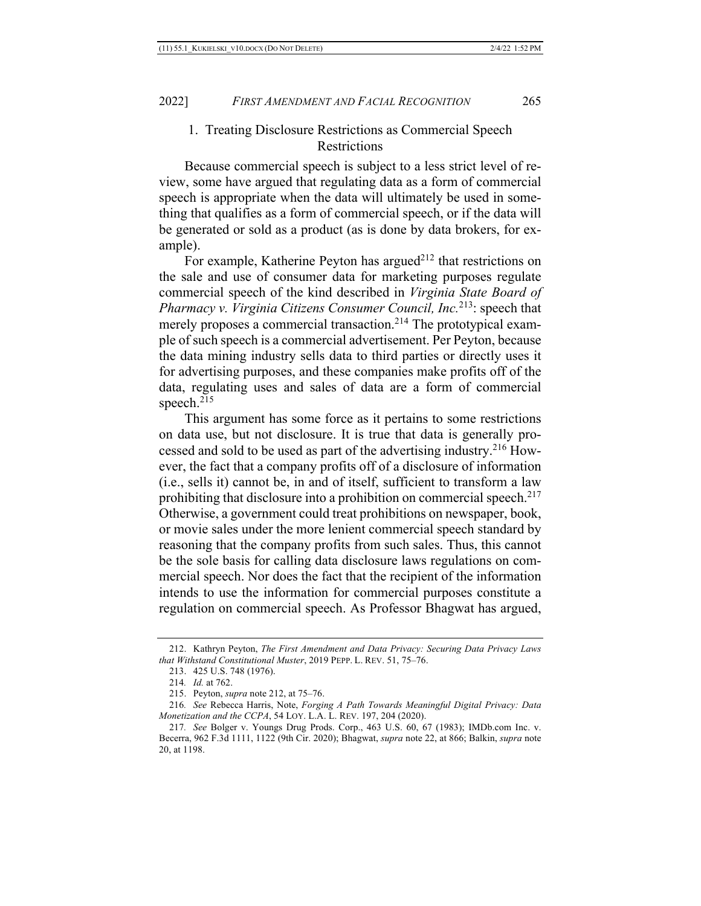## 1. Treating Disclosure Restrictions as Commercial Speech **Restrictions**

Because commercial speech is subject to a less strict level of review, some have argued that regulating data as a form of commercial speech is appropriate when the data will ultimately be used in something that qualifies as a form of commercial speech, or if the data will be generated or sold as a product (as is done by data brokers, for example).

For example, Katherine Peyton has argued<sup> $212$ </sup> that restrictions on the sale and use of consumer data for marketing purposes regulate commercial speech of the kind described in *Virginia State Board of Pharmacy v. Virginia Citizens Consumer Council, Inc.*213: speech that merely proposes a commercial transaction.<sup>214</sup> The prototypical example of such speech is a commercial advertisement. Per Peyton, because the data mining industry sells data to third parties or directly uses it for advertising purposes, and these companies make profits off of the data, regulating uses and sales of data are a form of commercial speech.<sup>215</sup>

This argument has some force as it pertains to some restrictions on data use, but not disclosure. It is true that data is generally processed and sold to be used as part of the advertising industry.216 However, the fact that a company profits off of a disclosure of information (i.e., sells it) cannot be, in and of itself, sufficient to transform a law prohibiting that disclosure into a prohibition on commercial speech.<sup>217</sup> Otherwise, a government could treat prohibitions on newspaper, book, or movie sales under the more lenient commercial speech standard by reasoning that the company profits from such sales. Thus, this cannot be the sole basis for calling data disclosure laws regulations on commercial speech. Nor does the fact that the recipient of the information intends to use the information for commercial purposes constitute a regulation on commercial speech. As Professor Bhagwat has argued,

<sup>212.</sup> Kathryn Peyton, *The First Amendment and Data Privacy: Securing Data Privacy Laws that Withstand Constitutional Muster*, 2019 PEPP. L. REV. 51, 75–76.

<sup>213.</sup> 425 U.S. 748 (1976).

<sup>214</sup>*. Id.* at 762.

<sup>215.</sup> Peyton, *supra* note 212, at 75–76.

<sup>216</sup>*. See* Rebecca Harris, Note, *Forging A Path Towards Meaningful Digital Privacy: Data Monetization and the CCPA*, 54 LOY. L.A. L. REV. 197, 204 (2020).

<sup>217</sup>*. See* Bolger v. Youngs Drug Prods. Corp., 463 U.S. 60, 67 (1983); IMDb.com Inc. v. Becerra, 962 F.3d 1111, 1122 (9th Cir. 2020); Bhagwat, *supra* note 22, at 866; Balkin, *supra* note 20, at 1198.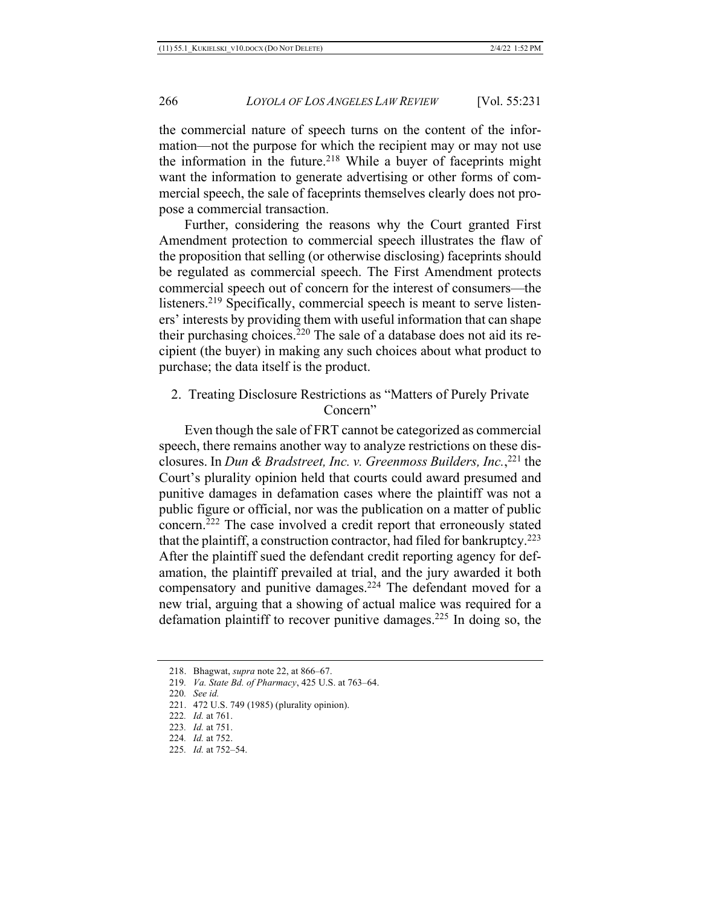the commercial nature of speech turns on the content of the information—not the purpose for which the recipient may or may not use the information in the future.<sup>218</sup> While a buyer of faceprints might want the information to generate advertising or other forms of commercial speech, the sale of faceprints themselves clearly does not propose a commercial transaction.

Further, considering the reasons why the Court granted First Amendment protection to commercial speech illustrates the flaw of the proposition that selling (or otherwise disclosing) faceprints should be regulated as commercial speech. The First Amendment protects commercial speech out of concern for the interest of consumers—the listeners.219 Specifically, commercial speech is meant to serve listeners' interests by providing them with useful information that can shape their purchasing choices.220 The sale of a database does not aid its recipient (the buyer) in making any such choices about what product to purchase; the data itself is the product.

2. Treating Disclosure Restrictions as "Matters of Purely Private Concern"

Even though the sale of FRT cannot be categorized as commercial speech, there remains another way to analyze restrictions on these disclosures. In *Dun & Bradstreet, Inc. v. Greenmoss Builders, Inc.*, <sup>221</sup> the Court's plurality opinion held that courts could award presumed and punitive damages in defamation cases where the plaintiff was not a public figure or official, nor was the publication on a matter of public concern.222 The case involved a credit report that erroneously stated that the plaintiff, a construction contractor, had filed for bankruptcy.<sup>223</sup> After the plaintiff sued the defendant credit reporting agency for defamation, the plaintiff prevailed at trial, and the jury awarded it both compensatory and punitive damages.<sup>224</sup> The defendant moved for a new trial, arguing that a showing of actual malice was required for a defamation plaintiff to recover punitive damages.225 In doing so, the

219*. Va. State Bd. of Pharmacy*, 425 U.S. at 763–64.

- 222*. Id.* at 761.
- 223*. Id.* at 751.
- 224*. Id.* at 752.
- 225*. Id.* at 752–54.

<sup>218.</sup> Bhagwat, *supra* note 22, at 866–67.

<sup>220</sup>*. See id.*

<sup>221.</sup> 472 U.S. 749 (1985) (plurality opinion).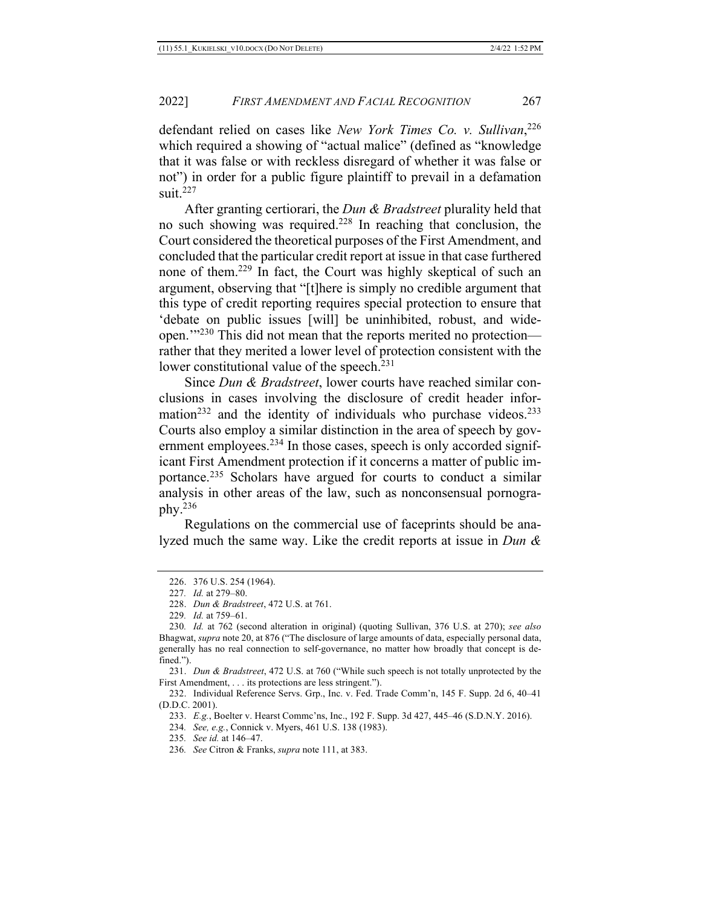defendant relied on cases like *New York Times Co. v. Sullivan*, 226 which required a showing of "actual malice" (defined as "knowledge that it was false or with reckless disregard of whether it was false or not") in order for a public figure plaintiff to prevail in a defamation suit  $227$ 

After granting certiorari, the *Dun & Bradstreet* plurality held that no such showing was required.228 In reaching that conclusion, the Court considered the theoretical purposes of the First Amendment, and concluded that the particular credit report at issue in that case furthered none of them.229 In fact, the Court was highly skeptical of such an argument, observing that "[t]here is simply no credible argument that this type of credit reporting requires special protection to ensure that 'debate on public issues [will] be uninhibited, robust, and wideopen.'"230 This did not mean that the reports merited no protection rather that they merited a lower level of protection consistent with the lower constitutional value of the speech.<sup>231</sup>

Since *Dun & Bradstreet*, lower courts have reached similar conclusions in cases involving the disclosure of credit header information<sup>232</sup> and the identity of individuals who purchase videos.<sup>233</sup> Courts also employ a similar distinction in the area of speech by government employees. $2^{34}$  In those cases, speech is only accorded significant First Amendment protection if it concerns a matter of public importance.235 Scholars have argued for courts to conduct a similar analysis in other areas of the law, such as nonconsensual pornography.236

Regulations on the commercial use of faceprints should be analyzed much the same way. Like the credit reports at issue in *Dun &* 

233. *E.g.*, Boelter v. Hearst Commc'ns, Inc., 192 F. Supp. 3d 427, 445–46 (S.D.N.Y. 2016).

- 235*. See id.* at 146–47.
- 236*. See* Citron & Franks, *supra* note 111, at 383.

<sup>226.</sup> 376 U.S. 254 (1964).

<sup>227</sup>*. Id.* at 279–80.

<sup>228.</sup> *Dun & Bradstreet*, 472 U.S. at 761.

<sup>229</sup>*. Id.* at 759–61.

<sup>230</sup>*. Id.* at 762 (second alteration in original) (quoting Sullivan, 376 U.S. at 270); *see also*  Bhagwat, *supra* note 20, at 876 ("The disclosure of large amounts of data, especially personal data, generally has no real connection to self-governance, no matter how broadly that concept is defined.").

<sup>231.</sup> *Dun & Bradstreet*, 472 U.S. at 760 ("While such speech is not totally unprotected by the First Amendment, . . . its protections are less stringent.").

<sup>232.</sup> Individual Reference Servs. Grp., Inc. v. Fed. Trade Comm'n, 145 F. Supp. 2d 6, 40–41 (D.D.C. 2001).

<sup>234</sup>*. See, e.g.*, Connick v. Myers, 461 U.S. 138 (1983).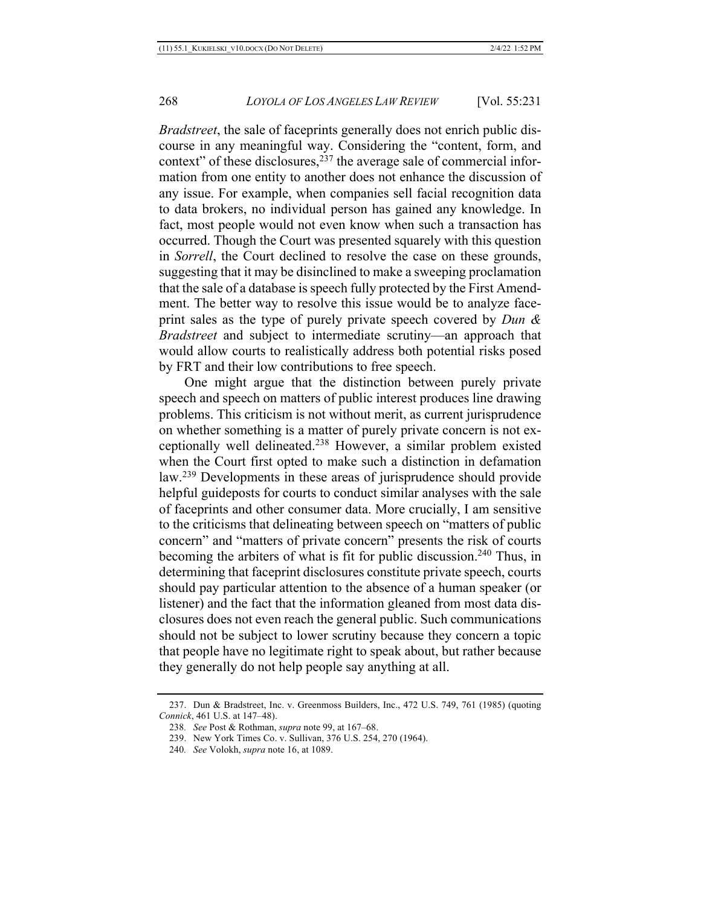*Bradstreet*, the sale of faceprints generally does not enrich public discourse in any meaningful way. Considering the "content, form, and context" of these disclosures, $237$  the average sale of commercial information from one entity to another does not enhance the discussion of any issue. For example, when companies sell facial recognition data to data brokers, no individual person has gained any knowledge. In fact, most people would not even know when such a transaction has occurred. Though the Court was presented squarely with this question in *Sorrell*, the Court declined to resolve the case on these grounds, suggesting that it may be disinclined to make a sweeping proclamation that the sale of a database is speech fully protected by the First Amendment. The better way to resolve this issue would be to analyze faceprint sales as the type of purely private speech covered by *Dun & Bradstreet* and subject to intermediate scrutiny—an approach that would allow courts to realistically address both potential risks posed by FRT and their low contributions to free speech.

One might argue that the distinction between purely private speech and speech on matters of public interest produces line drawing problems. This criticism is not without merit, as current jurisprudence on whether something is a matter of purely private concern is not exceptionally well delineated.238 However, a similar problem existed when the Court first opted to make such a distinction in defamation law.239 Developments in these areas of jurisprudence should provide helpful guideposts for courts to conduct similar analyses with the sale of faceprints and other consumer data. More crucially, I am sensitive to the criticisms that delineating between speech on "matters of public concern" and "matters of private concern" presents the risk of courts becoming the arbiters of what is fit for public discussion.<sup>240</sup> Thus, in determining that faceprint disclosures constitute private speech, courts should pay particular attention to the absence of a human speaker (or listener) and the fact that the information gleaned from most data disclosures does not even reach the general public. Such communications should not be subject to lower scrutiny because they concern a topic that people have no legitimate right to speak about, but rather because they generally do not help people say anything at all.

<sup>237.</sup> Dun & Bradstreet, Inc. v. Greenmoss Builders, Inc., 472 U.S. 749, 761 (1985) (quoting *Connick*, 461 U.S. at 147–48).

<sup>238</sup>*. See* Post & Rothman, *supra* note 99, at 167–68.

<sup>239.</sup> New York Times Co. v. Sullivan, 376 U.S. 254, 270 (1964).

<sup>240</sup>*. See* Volokh, *supra* note 16, at 1089.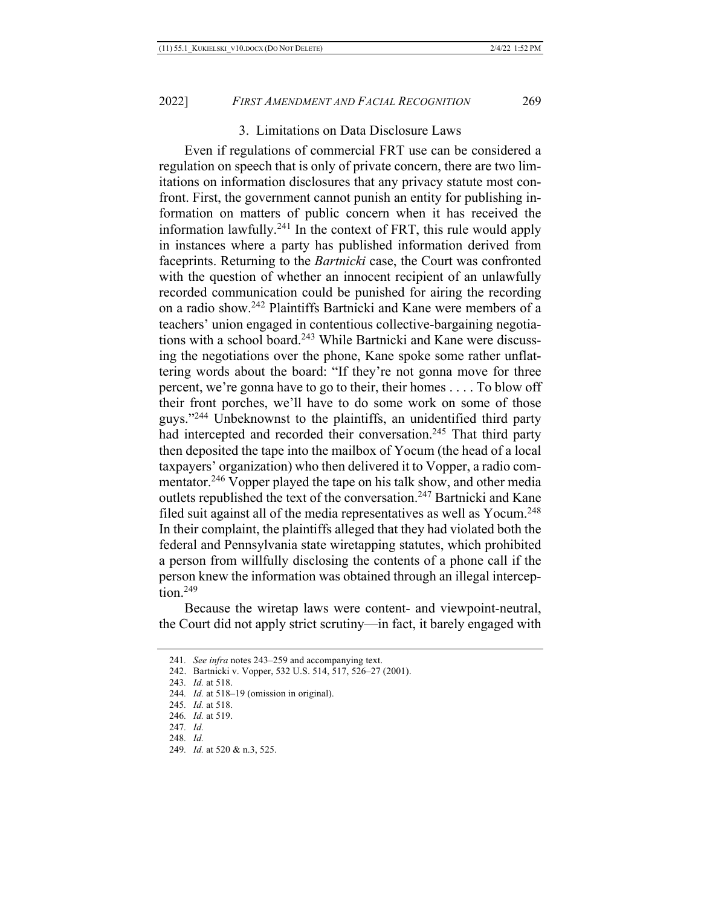### 3. Limitations on Data Disclosure Laws

Even if regulations of commercial FRT use can be considered a regulation on speech that is only of private concern, there are two limitations on information disclosures that any privacy statute most confront. First, the government cannot punish an entity for publishing information on matters of public concern when it has received the information lawfully.<sup>241</sup> In the context of FRT, this rule would apply in instances where a party has published information derived from faceprints. Returning to the *Bartnicki* case, the Court was confronted with the question of whether an innocent recipient of an unlawfully recorded communication could be punished for airing the recording on a radio show.242 Plaintiffs Bartnicki and Kane were members of a teachers' union engaged in contentious collective-bargaining negotiations with a school board.<sup>243</sup> While Bartnicki and Kane were discussing the negotiations over the phone, Kane spoke some rather unflattering words about the board: "If they're not gonna move for three percent, we're gonna have to go to their, their homes . . . . To blow off their front porches, we'll have to do some work on some of those guys."244 Unbeknownst to the plaintiffs, an unidentified third party had intercepted and recorded their conversation.<sup>245</sup> That third party then deposited the tape into the mailbox of Yocum (the head of a local taxpayers' organization) who then delivered it to Vopper, a radio commentator.<sup>246</sup> Vopper played the tape on his talk show, and other media outlets republished the text of the conversation.247 Bartnicki and Kane filed suit against all of the media representatives as well as Yocum.<sup>248</sup> In their complaint, the plaintiffs alleged that they had violated both the federal and Pennsylvania state wiretapping statutes, which prohibited a person from willfully disclosing the contents of a phone call if the person knew the information was obtained through an illegal interception. $249$ 

Because the wiretap laws were content- and viewpoint-neutral, the Court did not apply strict scrutiny—in fact, it barely engaged with

<sup>241</sup>*. See infra* notes 243–259 and accompanying text.

<sup>242.</sup> Bartnicki v. Vopper, 532 U.S. 514, 517, 526–27 (2001).

<sup>243</sup>*. Id.* at 518.

<sup>244</sup>*. Id.* at 518–19 (omission in original).

<sup>245</sup>*. Id.* at 518.

<sup>246</sup>*. Id.* at 519.

<sup>247</sup>*. Id.*

<sup>248</sup>*. Id.*

<sup>249</sup>*. Id.* at 520 & n.3, 525.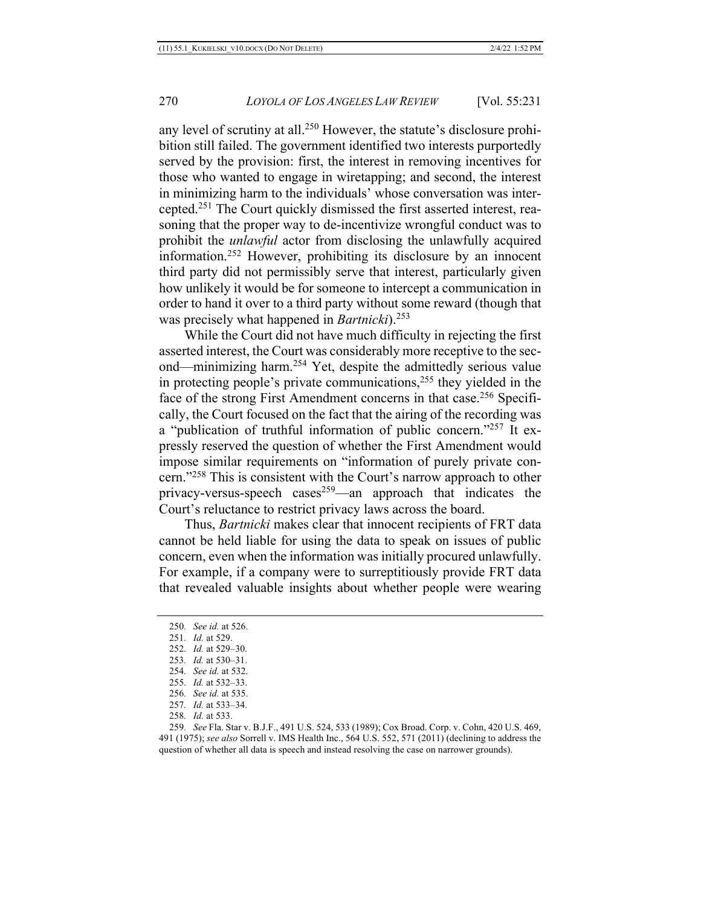any level of scrutiny at all.250 However, the statute's disclosure prohibition still failed. The government identified two interests purportedly served by the provision: first, the interest in removing incentives for those who wanted to engage in wiretapping; and second, the interest in minimizing harm to the individuals' whose conversation was intercepted.251 The Court quickly dismissed the first asserted interest, reasoning that the proper way to de-incentivize wrongful conduct was to prohibit the *unlawful* actor from disclosing the unlawfully acquired information.252 However, prohibiting its disclosure by an innocent third party did not permissibly serve that interest, particularly given how unlikely it would be for someone to intercept a communication in order to hand it over to a third party without some reward (though that was precisely what happened in *Bartnicki*).<sup>253</sup>

While the Court did not have much difficulty in rejecting the first asserted interest, the Court was considerably more receptive to the second—minimizing harm.254 Yet, despite the admittedly serious value in protecting people's private communications,255 they yielded in the face of the strong First Amendment concerns in that case.<sup>256</sup> Specifically, the Court focused on the fact that the airing of the recording was a "publication of truthful information of public concern."257 It expressly reserved the question of whether the First Amendment would impose similar requirements on "information of purely private concern."258 This is consistent with the Court's narrow approach to other privacy-versus-speech cases<sup>259</sup>—an approach that indicates the Court's reluctance to restrict privacy laws across the board.

Thus, *Bartnicki* makes clear that innocent recipients of FRT data cannot be held liable for using the data to speak on issues of public concern, even when the information was initially procured unlawfully. For example, if a company were to surreptitiously provide FRT data that revealed valuable insights about whether people were wearing

- 254*. See id.* at 532.
- 255*. Id.* at 532–33.

<sup>250</sup>*. See id.* at 526.

<sup>251</sup>*. Id.* at 529.

<sup>252</sup>*. Id.* at 529–30.

<sup>253</sup>*. Id.* at 530–31.

<sup>256</sup>*. See id.* at 535.

<sup>257</sup>*. Id.* at 533–34.

<sup>258</sup>*. Id.* at 533.

<sup>259</sup>*. See* Fla. Star v. B.J.F., 491 U.S. 524, 533 (1989); Cox Broad. Corp. v. Cohn, 420 U.S. 469, 491 (1975); *see also* Sorrell v. IMS Health Inc., 564 U.S. 552, 571 (2011) (declining to address the question of whether all data is speech and instead resolving the case on narrower grounds).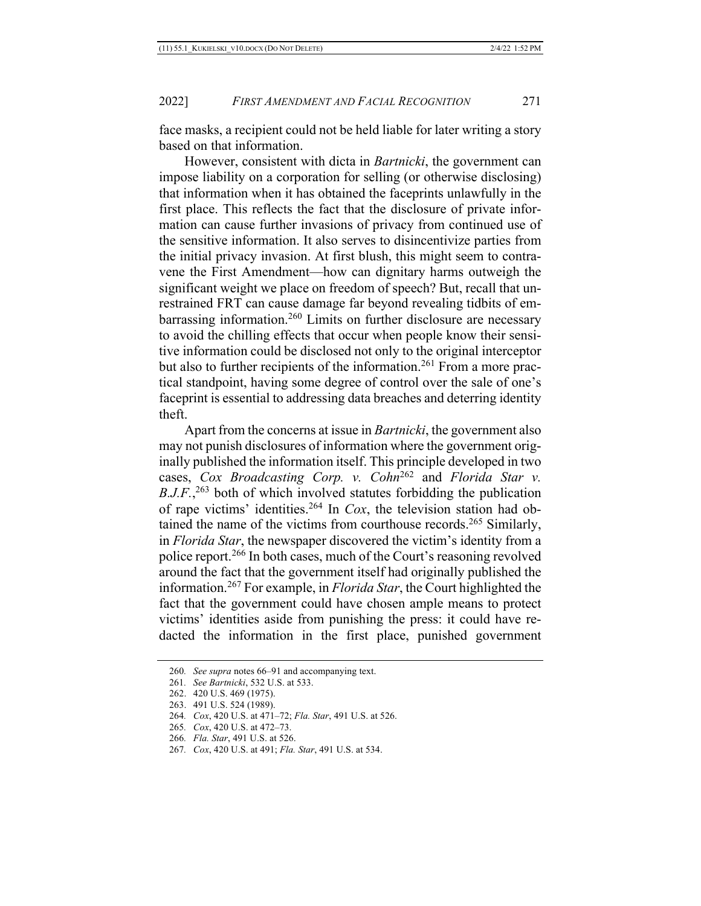face masks, a recipient could not be held liable for later writing a story based on that information.

However, consistent with dicta in *Bartnicki*, the government can impose liability on a corporation for selling (or otherwise disclosing) that information when it has obtained the faceprints unlawfully in the first place. This reflects the fact that the disclosure of private information can cause further invasions of privacy from continued use of the sensitive information. It also serves to disincentivize parties from the initial privacy invasion. At first blush, this might seem to contravene the First Amendment—how can dignitary harms outweigh the significant weight we place on freedom of speech? But, recall that unrestrained FRT can cause damage far beyond revealing tidbits of embarrassing information.<sup>260</sup> Limits on further disclosure are necessary to avoid the chilling effects that occur when people know their sensitive information could be disclosed not only to the original interceptor but also to further recipients of the information.<sup>261</sup> From a more practical standpoint, having some degree of control over the sale of one's faceprint is essential to addressing data breaches and deterring identity theft.

Apart from the concerns at issue in *Bartnicki*, the government also may not punish disclosures of information where the government originally published the information itself. This principle developed in two cases, *Cox Broadcasting Corp. v. Cohn*<sup>262</sup> and *Florida Star v. B.J.F.*<sup>263</sup> both of which involved statutes forbidding the publication of rape victims' identities.264 In *Cox*, the television station had obtained the name of the victims from courthouse records.<sup>265</sup> Similarly, in *Florida Star*, the newspaper discovered the victim's identity from a police report.<sup>266</sup> In both cases, much of the Court's reasoning revolved around the fact that the government itself had originally published the information.267 For example, in *Florida Star*, the Court highlighted the fact that the government could have chosen ample means to protect victims' identities aside from punishing the press: it could have redacted the information in the first place, punished government

266*. Fla. Star*, 491 U.S. at 526.

<sup>260</sup>*. See supra* notes 66–91 and accompanying text.

<sup>261</sup>*. See Bartnicki*, 532 U.S. at 533.

<sup>262.</sup> 420 U.S. 469 (1975).

<sup>263.</sup> 491 U.S. 524 (1989).

<sup>264</sup>*. Cox*, 420 U.S. at 471–72; *Fla. Star*, 491 U.S. at 526.

<sup>265</sup>*. Cox*, 420 U.S. at 472–73.

<sup>267</sup>*. Cox*, 420 U.S. at 491; *Fla. Star*, 491 U.S. at 534.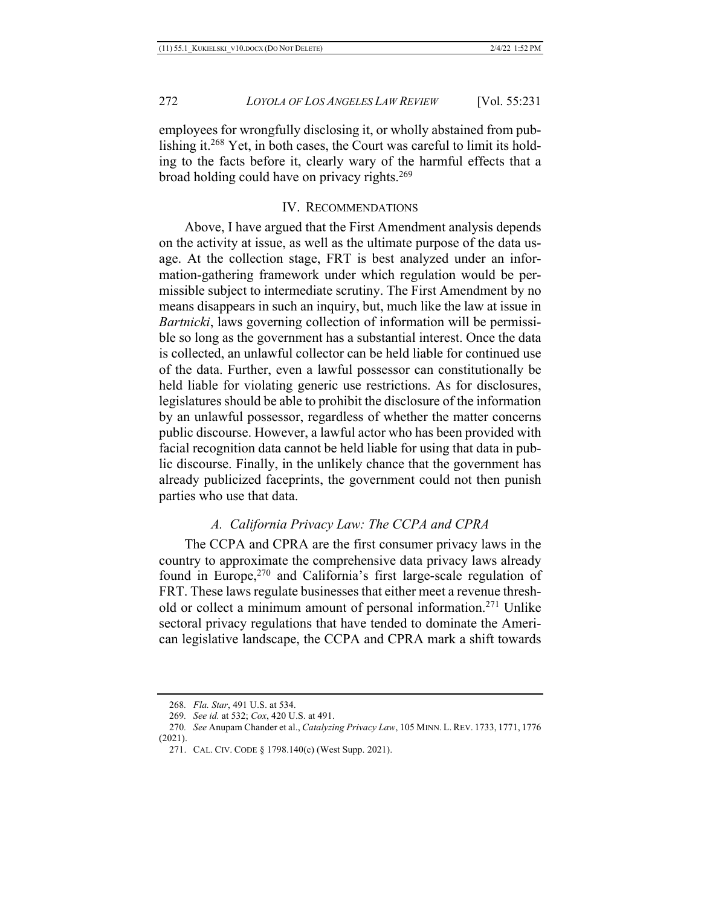employees for wrongfully disclosing it, or wholly abstained from publishing it.268 Yet, in both cases, the Court was careful to limit its holding to the facts before it, clearly wary of the harmful effects that a broad holding could have on privacy rights.<sup>269</sup>

#### IV. RECOMMENDATIONS

Above, I have argued that the First Amendment analysis depends on the activity at issue, as well as the ultimate purpose of the data usage. At the collection stage, FRT is best analyzed under an information-gathering framework under which regulation would be permissible subject to intermediate scrutiny. The First Amendment by no means disappears in such an inquiry, but, much like the law at issue in *Bartnicki*, laws governing collection of information will be permissible so long as the government has a substantial interest. Once the data is collected, an unlawful collector can be held liable for continued use of the data. Further, even a lawful possessor can constitutionally be held liable for violating generic use restrictions. As for disclosures, legislatures should be able to prohibit the disclosure of the information by an unlawful possessor, regardless of whether the matter concerns public discourse. However, a lawful actor who has been provided with facial recognition data cannot be held liable for using that data in public discourse. Finally, in the unlikely chance that the government has already publicized faceprints, the government could not then punish parties who use that data.

## *A. California Privacy Law: The CCPA and CPRA*

The CCPA and CPRA are the first consumer privacy laws in the country to approximate the comprehensive data privacy laws already found in Europe,<sup>270</sup> and California's first large-scale regulation of FRT. These laws regulate businesses that either meet a revenue threshold or collect a minimum amount of personal information.271 Unlike sectoral privacy regulations that have tended to dominate the American legislative landscape, the CCPA and CPRA mark a shift towards

<sup>268</sup>*. Fla. Star*, 491 U.S. at 534.

<sup>269</sup>*. See id.* at 532; *Cox*, 420 U.S. at 491.

<sup>270</sup>*. See* Anupam Chander et al., *Catalyzing Privacy Law*, 105 MINN. L. REV. 1733, 1771, 1776 (2021).

<sup>271.</sup> CAL. CIV. CODE § 1798.140(c) (West Supp. 2021).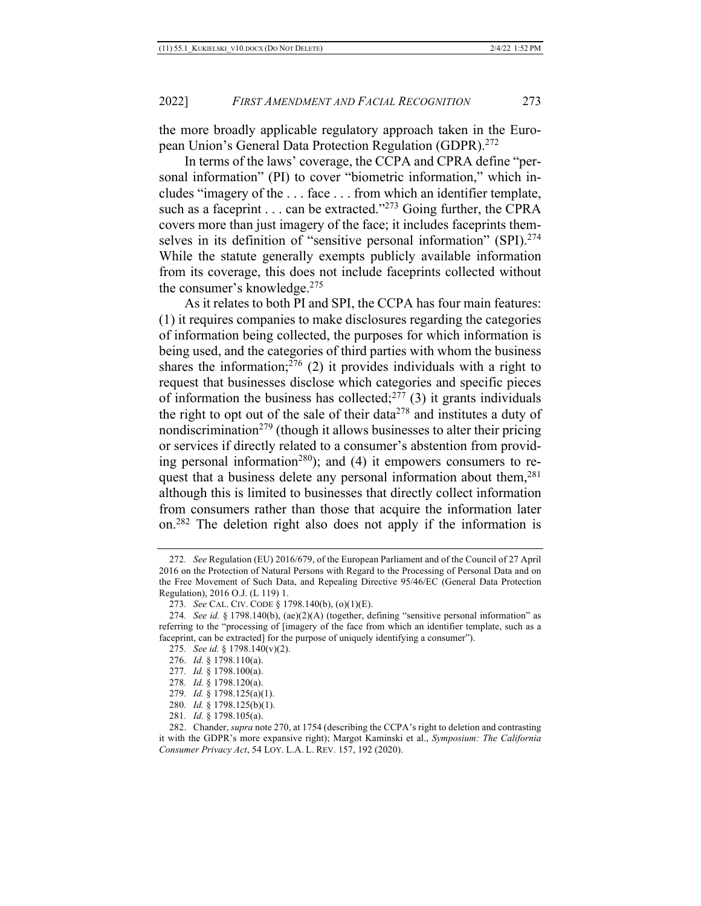the more broadly applicable regulatory approach taken in the European Union's General Data Protection Regulation (GDPR).272

In terms of the laws' coverage, the CCPA and CPRA define "personal information" (PI) to cover "biometric information," which includes "imagery of the . . . face . . . from which an identifier template, such as a faceprint  $\ldots$  can be extracted."<sup>273</sup> Going further, the CPRA covers more than just imagery of the face; it includes faceprints themselves in its definition of "sensitive personal information" (SPI).<sup>274</sup> While the statute generally exempts publicly available information from its coverage, this does not include faceprints collected without the consumer's knowledge.275

As it relates to both PI and SPI, the CCPA has four main features: (1) it requires companies to make disclosures regarding the categories of information being collected, the purposes for which information is being used, and the categories of third parties with whom the business shares the information; $2^{76}$  (2) it provides individuals with a right to request that businesses disclose which categories and specific pieces of information the business has collected; $277$  (3) it grants individuals the right to opt out of the sale of their data<sup>278</sup> and institutes a duty of nondiscrimination<sup>279</sup> (though it allows businesses to alter their pricing or services if directly related to a consumer's abstention from providing personal information<sup>280</sup>); and (4) it empowers consumers to request that a business delete any personal information about them,<sup>281</sup> although this is limited to businesses that directly collect information from consumers rather than those that acquire the information later on.282 The deletion right also does not apply if the information is

<sup>272</sup>*. See* Regulation (EU) 2016/679, of the European Parliament and of the Council of 27 April 2016 on the Protection of Natural Persons with Regard to the Processing of Personal Data and on the Free Movement of Such Data, and Repealing Directive 95/46/EC (General Data Protection Regulation), 2016 O.J. (L 119) 1.

<sup>273</sup>*. See* CAL. CIV. CODE § 1798.140(b), (o)(1)(E).

<sup>274</sup>*. See id.* § 1798.140(b), (ae)(2)(A) (together, defining "sensitive personal information" as referring to the "processing of [imagery of the face from which an identifier template, such as a faceprint, can be extracted] for the purpose of uniquely identifying a consumer").

<sup>275</sup>*. See id.* § 1798.140(v)(2).

<sup>276.</sup> *Id.* § 1798.110(a).

<sup>277</sup>*. Id.* § 1798.100(a).

<sup>278</sup>*. Id.* § 1798.120(a).

<sup>279</sup>*. Id.* § 1798.125(a)(1).

<sup>280</sup>*. Id.* § 1798.125(b)(1).

<sup>281</sup>*. Id.* § 1798.105(a).

<sup>282.</sup> Chander, *supra* note 270, at 1754 (describing the CCPA's right to deletion and contrasting it with the GDPR's more expansive right); Margot Kaminski et al., *Symposium: The California Consumer Privacy Act*, 54 LOY. L.A. L. REV. 157, 192 (2020).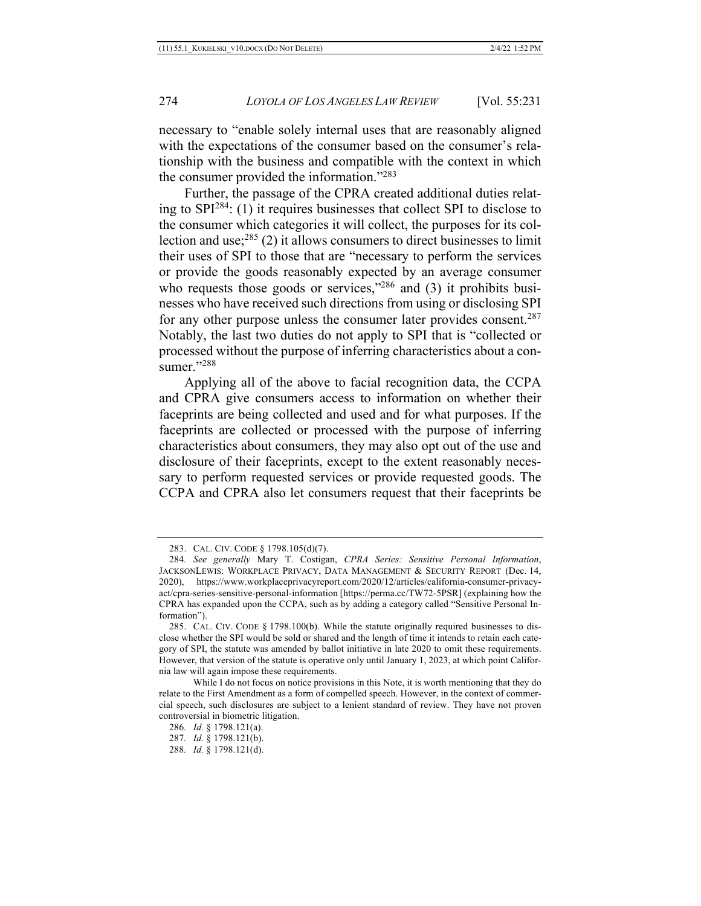necessary to "enable solely internal uses that are reasonably aligned with the expectations of the consumer based on the consumer's relationship with the business and compatible with the context in which the consumer provided the information."283

Further, the passage of the CPRA created additional duties relating to SPI284: (1) it requires businesses that collect SPI to disclose to the consumer which categories it will collect, the purposes for its collection and use; $^{285}$  (2) it allows consumers to direct businesses to limit their uses of SPI to those that are "necessary to perform the services or provide the goods reasonably expected by an average consumer who requests those goods or services," $286$  and (3) it prohibits businesses who have received such directions from using or disclosing SPI for any other purpose unless the consumer later provides consent.<sup>287</sup> Notably, the last two duties do not apply to SPI that is "collected or processed without the purpose of inferring characteristics about a consumer."<sup>288</sup>

Applying all of the above to facial recognition data, the CCPA and CPRA give consumers access to information on whether their faceprints are being collected and used and for what purposes. If the faceprints are collected or processed with the purpose of inferring characteristics about consumers, they may also opt out of the use and disclosure of their faceprints, except to the extent reasonably necessary to perform requested services or provide requested goods. The CCPA and CPRA also let consumers request that their faceprints be

<sup>283.</sup> CAL. CIV. CODE § 1798.105(d)(7).

<sup>284</sup>*. See generally* Mary T. Costigan, *CPRA Series: Sensitive Personal Information*, JACKSONLEWIS: WORKPLACE PRIVACY, DATA MANAGEMENT & SECURITY REPORT (Dec. 14, 2020), https://www.workplaceprivacyreport.com/2020/12/articles/california-consumer-privacyact/cpra-series-sensitive-personal-information [https://perma.cc/TW72-5PSR] (explaining how the CPRA has expanded upon the CCPA, such as by adding a category called "Sensitive Personal Information").

<sup>285.</sup> CAL. CIV. CODE § 1798.100(b). While the statute originally required businesses to disclose whether the SPI would be sold or shared and the length of time it intends to retain each category of SPI, the statute was amended by ballot initiative in late 2020 to omit these requirements. However, that version of the statute is operative only until January 1, 2023, at which point California law will again impose these requirements.

While I do not focus on notice provisions in this Note, it is worth mentioning that they do relate to the First Amendment as a form of compelled speech. However, in the context of commercial speech, such disclosures are subject to a lenient standard of review. They have not proven controversial in biometric litigation.

<sup>286</sup>*. Id.* § 1798.121(a). 287*. Id.* § 1798.121(b).

<sup>288</sup>*. Id.* § 1798.121(d).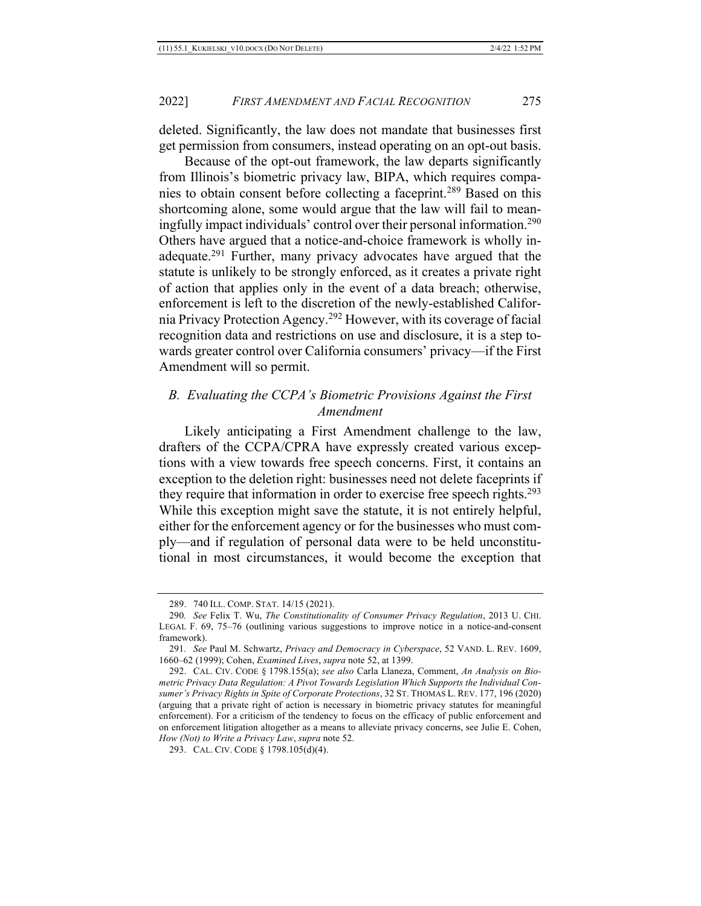deleted. Significantly, the law does not mandate that businesses first get permission from consumers, instead operating on an opt-out basis.

Because of the opt-out framework, the law departs significantly from Illinois's biometric privacy law, BIPA, which requires companies to obtain consent before collecting a faceprint.289 Based on this shortcoming alone, some would argue that the law will fail to meaningfully impact individuals' control over their personal information.290 Others have argued that a notice-and-choice framework is wholly inadequate.<sup>291</sup> Further, many privacy advocates have argued that the statute is unlikely to be strongly enforced, as it creates a private right of action that applies only in the event of a data breach; otherwise, enforcement is left to the discretion of the newly-established California Privacy Protection Agency.292 However, with its coverage of facial recognition data and restrictions on use and disclosure, it is a step towards greater control over California consumers' privacy—if the First Amendment will so permit.

## *B. Evaluating the CCPA's Biometric Provisions Against the First Amendment*

Likely anticipating a First Amendment challenge to the law, drafters of the CCPA/CPRA have expressly created various exceptions with a view towards free speech concerns. First, it contains an exception to the deletion right: businesses need not delete faceprints if they require that information in order to exercise free speech rights.<sup>293</sup> While this exception might save the statute, it is not entirely helpful, either for the enforcement agency or for the businesses who must comply—and if regulation of personal data were to be held unconstitutional in most circumstances, it would become the exception that

<sup>289.</sup> 740 ILL. COMP. STAT. 14/15 (2021).

<sup>290</sup>*. See* Felix T. Wu, *The Constitutionality of Consumer Privacy Regulation*, 2013 U. CHI. LEGAL F. 69, 75–76 (outlining various suggestions to improve notice in a notice-and-consent framework).

<sup>291</sup>*. See* Paul M. Schwartz, *Privacy and Democracy in Cyberspace*, 52 VAND. L. REV. 1609, 1660–62 (1999); Cohen, *Examined Lives*, *supra* note 52, at 1399.

<sup>292.</sup> CAL. CIV. CODE § 1798.155(a); *see also* Carla Llaneza, Comment, *An Analysis on Biometric Privacy Data Regulation: A Pivot Towards Legislation Which Supports the Individual Consumer's Privacy Rights in Spite of Corporate Protections*, 32 ST. THOMAS L. REV. 177, 196 (2020) (arguing that a private right of action is necessary in biometric privacy statutes for meaningful enforcement). For a criticism of the tendency to focus on the efficacy of public enforcement and on enforcement litigation altogether as a means to alleviate privacy concerns, see Julie E. Cohen, *How (Not) to Write a Privacy Law*, *supra* note 52.

<sup>293.</sup> CAL. CIV. CODE § 1798.105(d)(4).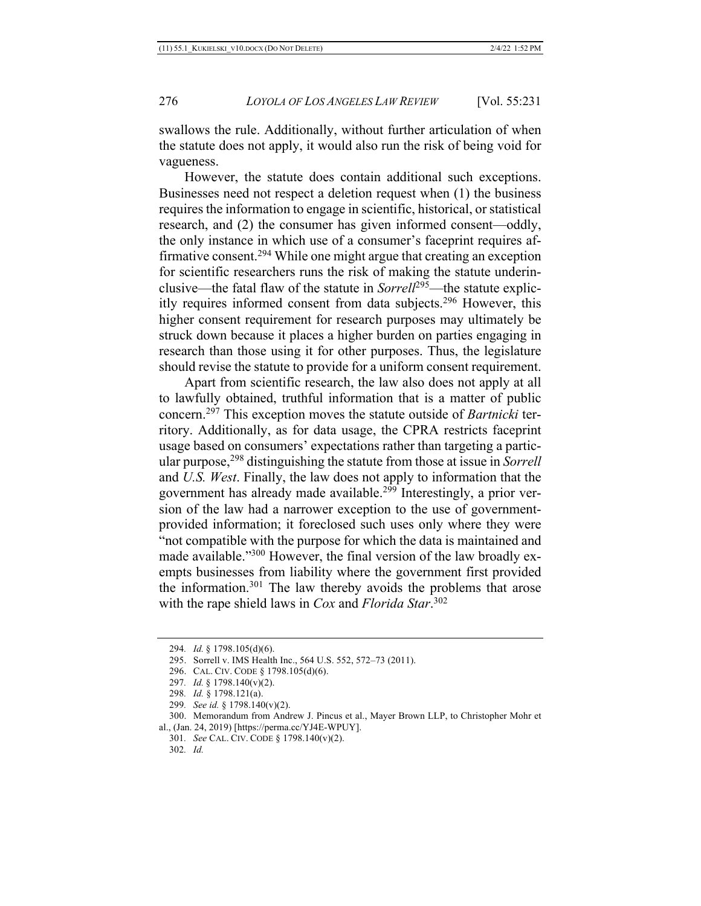swallows the rule. Additionally, without further articulation of when the statute does not apply, it would also run the risk of being void for vagueness.

However, the statute does contain additional such exceptions. Businesses need not respect a deletion request when (1) the business requires the information to engage in scientific, historical, or statistical research, and (2) the consumer has given informed consent—oddly, the only instance in which use of a consumer's faceprint requires affirmative consent.<sup>294</sup> While one might argue that creating an exception for scientific researchers runs the risk of making the statute underinclusive—the fatal flaw of the statute in *Sorrell*295—the statute explicitly requires informed consent from data subjects.296 However, this higher consent requirement for research purposes may ultimately be struck down because it places a higher burden on parties engaging in research than those using it for other purposes. Thus, the legislature should revise the statute to provide for a uniform consent requirement.

Apart from scientific research, the law also does not apply at all to lawfully obtained, truthful information that is a matter of public concern.297 This exception moves the statute outside of *Bartnicki* territory. Additionally, as for data usage, the CPRA restricts faceprint usage based on consumers' expectations rather than targeting a particular purpose,<sup>298</sup> distinguishing the statute from those at issue in *Sorrell* and *U.S. West*. Finally, the law does not apply to information that the government has already made available.<sup>299</sup> Interestingly, a prior version of the law had a narrower exception to the use of governmentprovided information; it foreclosed such uses only where they were "not compatible with the purpose for which the data is maintained and made available."300 However, the final version of the law broadly exempts businesses from liability where the government first provided the information.301 The law thereby avoids the problems that arose with the rape shield laws in *Cox* and *Florida Star*. 302

<sup>294</sup>*. Id.* § 1798.105(d)(6).

<sup>295.</sup> Sorrell v. IMS Health Inc., 564 U.S. 552, 572–73 (2011).

<sup>296.</sup> CAL. CIV. CODE § 1798.105(d)(6).

<sup>297</sup>*. Id.* § 1798.140(v)(2).

<sup>298</sup>*. Id.* § 1798.121(a).

<sup>299</sup>*. See id.* § 1798.140(v)(2).

<sup>300.</sup> Memorandum from Andrew J. Pincus et al., Mayer Brown LLP, to Christopher Mohr et al., (Jan. 24, 2019) [https://perma.cc/YJ4E-WPUY].

<sup>301</sup>*. See* CAL. CIV. CODE § 1798.140(v)(2).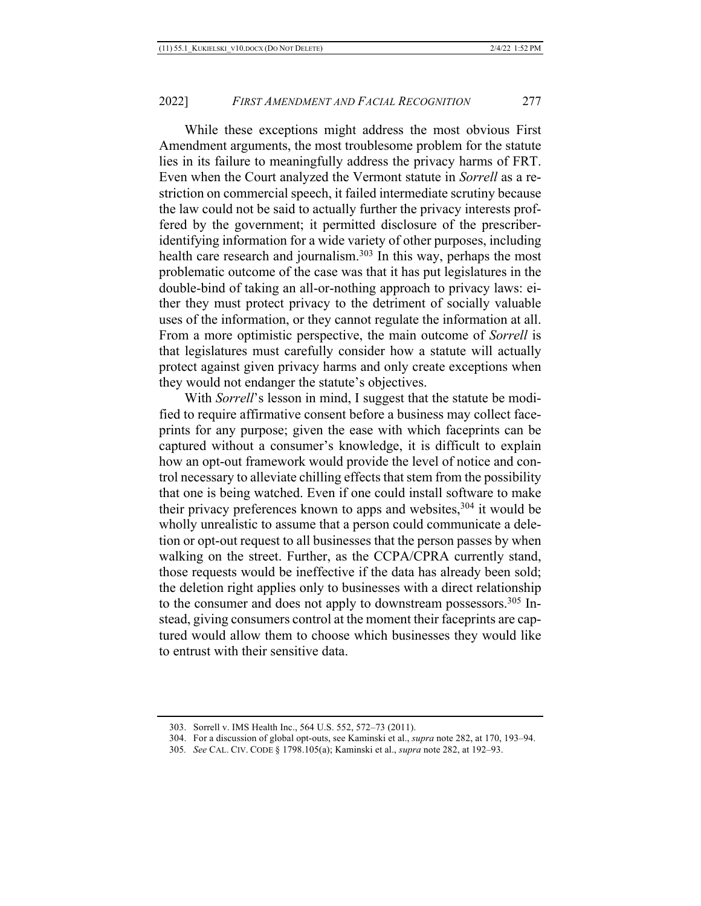While these exceptions might address the most obvious First Amendment arguments, the most troublesome problem for the statute lies in its failure to meaningfully address the privacy harms of FRT. Even when the Court analyzed the Vermont statute in *Sorrell* as a restriction on commercial speech, it failed intermediate scrutiny because the law could not be said to actually further the privacy interests proffered by the government; it permitted disclosure of the prescriberidentifying information for a wide variety of other purposes, including health care research and journalism.<sup>303</sup> In this way, perhaps the most problematic outcome of the case was that it has put legislatures in the double-bind of taking an all-or-nothing approach to privacy laws: either they must protect privacy to the detriment of socially valuable uses of the information, or they cannot regulate the information at all. From a more optimistic perspective, the main outcome of *Sorrell* is that legislatures must carefully consider how a statute will actually protect against given privacy harms and only create exceptions when they would not endanger the statute's objectives.

With *Sorrell*'s lesson in mind, I suggest that the statute be modified to require affirmative consent before a business may collect faceprints for any purpose; given the ease with which faceprints can be captured without a consumer's knowledge, it is difficult to explain how an opt-out framework would provide the level of notice and control necessary to alleviate chilling effects that stem from the possibility that one is being watched. Even if one could install software to make their privacy preferences known to apps and websites,  $304$  it would be wholly unrealistic to assume that a person could communicate a deletion or opt-out request to all businesses that the person passes by when walking on the street. Further, as the CCPA/CPRA currently stand, those requests would be ineffective if the data has already been sold; the deletion right applies only to businesses with a direct relationship to the consumer and does not apply to downstream possessors.<sup>305</sup> Instead, giving consumers control at the moment their faceprints are captured would allow them to choose which businesses they would like to entrust with their sensitive data.

<sup>303.</sup> Sorrell v. IMS Health Inc., 564 U.S. 552, 572–73 (2011).

<sup>304.</sup> For a discussion of global opt-outs, see Kaminski et al., *supra* note 282, at 170, 193–94.

<sup>305</sup>*. See* CAL. CIV. CODE § 1798.105(a); Kaminski et al., *supra* note 282, at 192–93.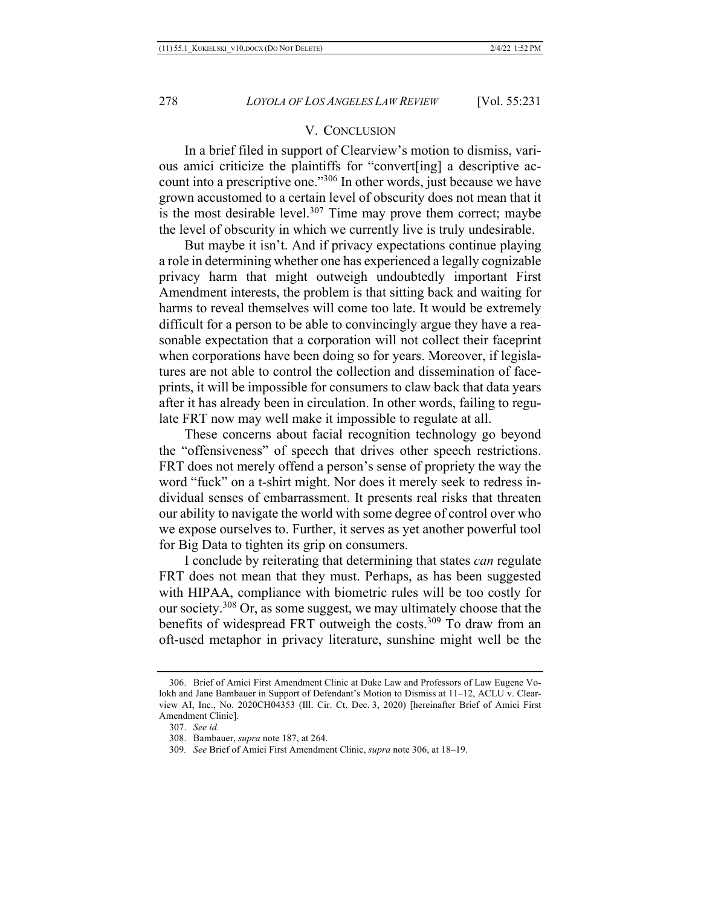#### V. CONCLUSION

In a brief filed in support of Clearview's motion to dismiss, various amici criticize the plaintiffs for "convert[ing] a descriptive account into a prescriptive one."306 In other words, just because we have grown accustomed to a certain level of obscurity does not mean that it is the most desirable level.<sup>307</sup> Time may prove them correct; maybe the level of obscurity in which we currently live is truly undesirable.

But maybe it isn't. And if privacy expectations continue playing a role in determining whether one has experienced a legally cognizable privacy harm that might outweigh undoubtedly important First Amendment interests, the problem is that sitting back and waiting for harms to reveal themselves will come too late. It would be extremely difficult for a person to be able to convincingly argue they have a reasonable expectation that a corporation will not collect their faceprint when corporations have been doing so for years. Moreover, if legislatures are not able to control the collection and dissemination of faceprints, it will be impossible for consumers to claw back that data years after it has already been in circulation. In other words, failing to regulate FRT now may well make it impossible to regulate at all.

These concerns about facial recognition technology go beyond the "offensiveness" of speech that drives other speech restrictions. FRT does not merely offend a person's sense of propriety the way the word "fuck" on a t-shirt might. Nor does it merely seek to redress individual senses of embarrassment. It presents real risks that threaten our ability to navigate the world with some degree of control over who we expose ourselves to. Further, it serves as yet another powerful tool for Big Data to tighten its grip on consumers.

I conclude by reiterating that determining that states *can* regulate FRT does not mean that they must. Perhaps, as has been suggested with HIPAA, compliance with biometric rules will be too costly for our society.308 Or, as some suggest, we may ultimately choose that the benefits of widespread FRT outweigh the costs.<sup>309</sup> To draw from an oft-used metaphor in privacy literature, sunshine might well be the

<sup>306.</sup> Brief of Amici First Amendment Clinic at Duke Law and Professors of Law Eugene Volokh and Jane Bambauer in Support of Defendant's Motion to Dismiss at 11–12, ACLU v. Clearview AI, Inc., No. 2020CH04353 (Ill. Cir. Ct. Dec. 3, 2020) [hereinafter Brief of Amici First Amendment Clinic].

<sup>307.</sup> *See id.*

<sup>308.</sup> Bambauer, *supra* note 187, at 264.

<sup>309</sup>*. See* Brief of Amici First Amendment Clinic, *supra* note 306, at 18–19.